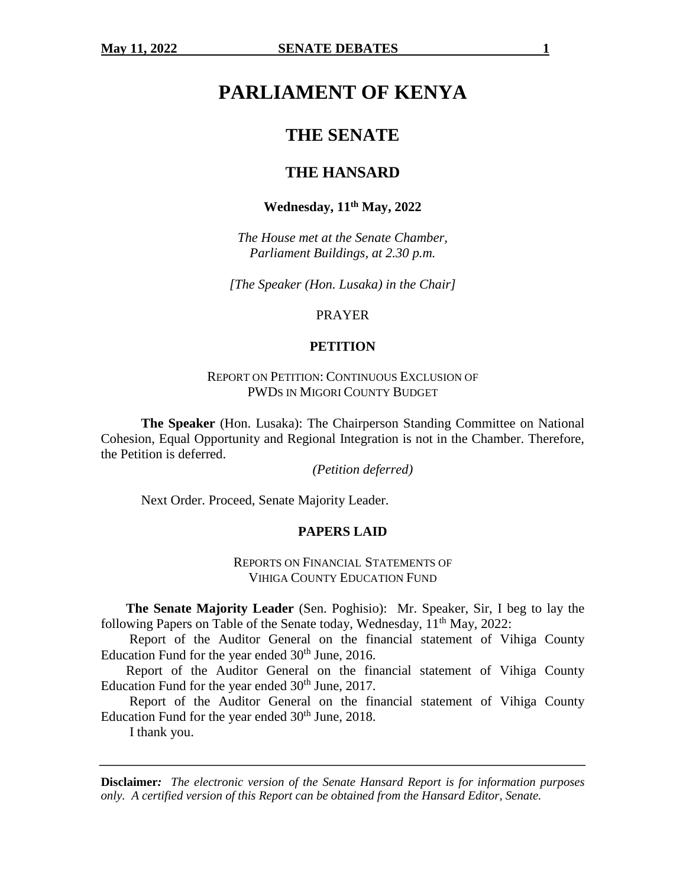# **PARLIAMENT OF KENYA**

## **THE SENATE**

## **THE HANSARD**

#### **Wednesday, 11th May, 2022**

*The House met at the Senate Chamber, Parliament Buildings, at 2.30 p.m.*

*[The Speaker (Hon. Lusaka) in the Chair]*

PRAYER

#### **PETITION**

REPORT ON PETITION: CONTINUOUS EXCLUSION OF PWDS IN MIGORI COUNTY BUDGET

**The Speaker** (Hon. Lusaka): The Chairperson Standing Committee on National Cohesion, Equal Opportunity and Regional Integration is not in the Chamber. Therefore, the Petition is deferred.

*(Petition deferred)*

Next Order. Proceed, Senate Majority Leader.

#### **PAPERS LAID**

REPORTS ON FINANCIAL STATEMENTS OF VIHIGA COUNTY EDUCATION FUND

**The Senate Majority Leader** (Sen. Poghisio): Mr. Speaker, Sir, I beg to lay the following Papers on Table of the Senate today, Wednesday,  $11<sup>th</sup>$  May, 2022:

Report of the Auditor General on the financial statement of Vihiga County Education Fund for the year ended  $30<sup>th</sup>$  June, 2016.

Report of the Auditor General on the financial statement of Vihiga County Education Fund for the year ended  $30<sup>th</sup>$  June, 2017.

Report of the Auditor General on the financial statement of Vihiga County Education Fund for the year ended  $30<sup>th</sup>$  June, 2018.

I thank you.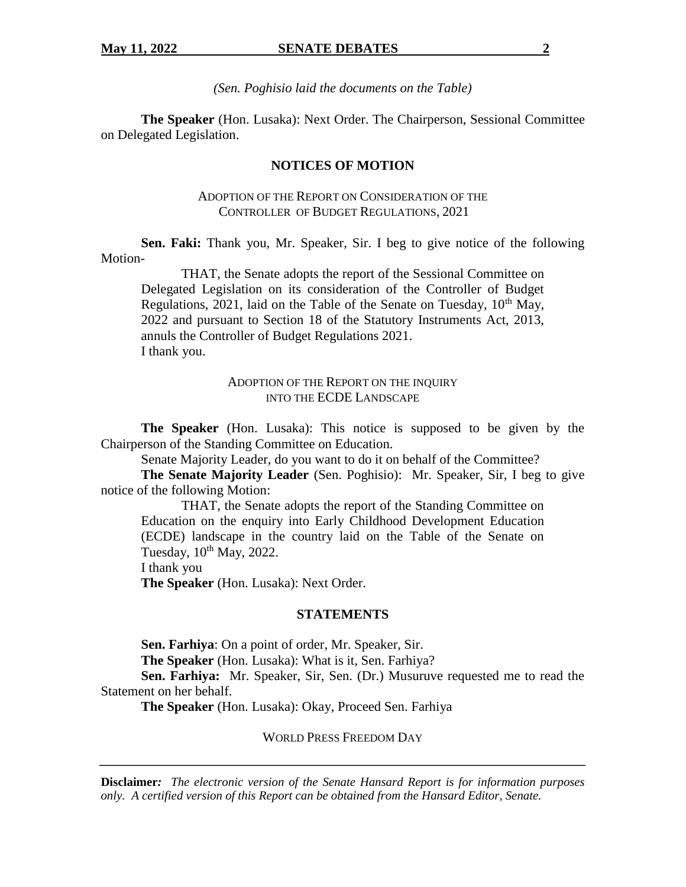*(Sen. Poghisio laid the documents on the Table)*

**The Speaker** (Hon. Lusaka): Next Order. The Chairperson, Sessional Committee on Delegated Legislation.

## **NOTICES OF MOTION**

## ADOPTION OF THE REPORT ON CONSIDERATION OF THE CONTROLLER OF BUDGET REGULATIONS, 2021

**Sen. Faki:** Thank you, Mr. Speaker, Sir. I beg to give notice of the following Motion-

THAT, the Senate adopts the report of the Sessional Committee on Delegated Legislation on its consideration of the Controller of Budget Regulations, 2021, laid on the Table of the Senate on Tuesday,  $10<sup>th</sup>$  May, 2022 and pursuant to Section 18 of the Statutory Instruments Act, 2013, annuls the Controller of Budget Regulations 2021. I thank you.

### ADOPTION OF THE REPORT ON THE INQUIRY INTO THE ECDE LANDSCAPE

**The Speaker** (Hon. Lusaka): This notice is supposed to be given by the Chairperson of the Standing Committee on Education.

Senate Majority Leader, do you want to do it on behalf of the Committee?

**The Senate Majority Leader** (Sen. Poghisio): Mr. Speaker, Sir, I beg to give notice of the following Motion:

THAT, the Senate adopts the report of the Standing Committee on Education on the enquiry into Early Childhood Development Education (ECDE) landscape in the country laid on the Table of the Senate on Tuesday,  $10^{th}$  May,  $2022$ .

I thank you

**The Speaker** (Hon. Lusaka): Next Order.

#### **STATEMENTS**

**Sen. Farhiya**: On a point of order, Mr. Speaker, Sir.

**The Speaker** (Hon. Lusaka): What is it, Sen. Farhiya?

**Sen. Farhiya:** Mr. Speaker, Sir, Sen. (Dr.) Musuruve requested me to read the Statement on her behalf.

**The Speaker** (Hon. Lusaka): Okay, Proceed Sen. Farhiya

WORLD PRESS FREEDOM DAY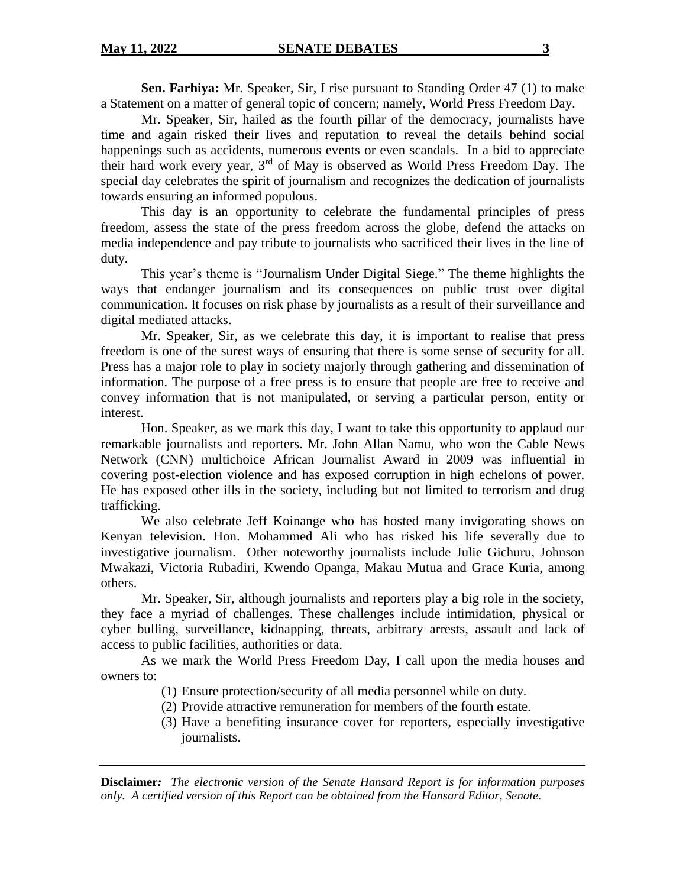**Sen. Farhiya:** Mr. Speaker, Sir, I rise pursuant to Standing Order 47 (1) to make a Statement on a matter of general topic of concern; namely, World Press Freedom Day.

Mr. Speaker, Sir, hailed as the fourth pillar of the democracy, journalists have time and again risked their lives and reputation to reveal the details behind social happenings such as accidents, numerous events or even scandals. In a bid to appreciate their hard work every year, 3<sup>rd</sup> of May is observed as World Press Freedom Day. The special day celebrates the spirit of journalism and recognizes the dedication of journalists towards ensuring an informed populous.

This day is an opportunity to celebrate the fundamental principles of press freedom, assess the state of the press freedom across the globe, defend the attacks on media independence and pay tribute to journalists who sacrificed their lives in the line of duty.

This year's theme is "Journalism Under Digital Siege." The theme highlights the ways that endanger journalism and its consequences on public trust over digital communication. It focuses on risk phase by journalists as a result of their surveillance and digital mediated attacks.

Mr. Speaker, Sir, as we celebrate this day, it is important to realise that press freedom is one of the surest ways of ensuring that there is some sense of security for all. Press has a major role to play in society majorly through gathering and dissemination of information. The purpose of a free press is to ensure that people are free to receive and convey information that is not manipulated, or serving a particular person, entity or interest.

Hon. Speaker, as we mark this day, I want to take this opportunity to applaud our remarkable journalists and reporters. Mr. John Allan Namu, who won the Cable News Network (CNN) multichoice African Journalist Award in 2009 was influential in covering post-election violence and has exposed corruption in high echelons of power. He has exposed other ills in the society, including but not limited to terrorism and drug trafficking.

We also celebrate Jeff Koinange who has hosted many invigorating shows on Kenyan television. Hon. Mohammed Ali who has risked his life severally due to investigative journalism. Other noteworthy journalists include Julie Gichuru, Johnson Mwakazi, Victoria Rubadiri, Kwendo Opanga, Makau Mutua and Grace Kuria, among others.

Mr. Speaker, Sir, although journalists and reporters play a big role in the society, they face a myriad of challenges. These challenges include intimidation, physical or cyber bulling, surveillance, kidnapping, threats, arbitrary arrests, assault and lack of access to public facilities, authorities or data.

As we mark the World Press Freedom Day, I call upon the media houses and owners to:

- (1) Ensure protection/security of all media personnel while on duty.
- (2) Provide attractive remuneration for members of the fourth estate.
- (3) Have a benefiting insurance cover for reporters, especially investigative journalists.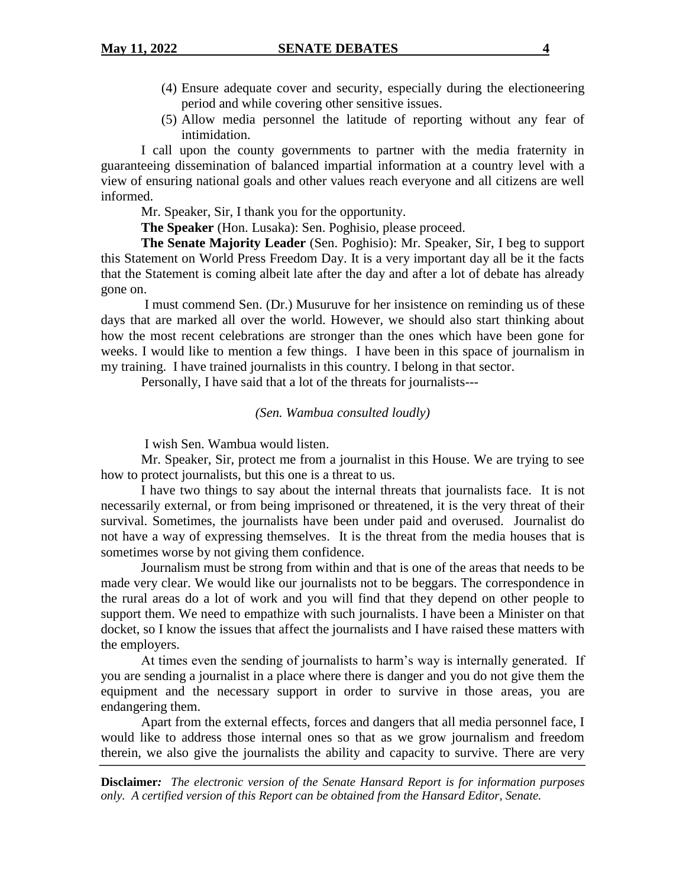- (4) Ensure adequate cover and security, especially during the electioneering period and while covering other sensitive issues.
- (5) Allow media personnel the latitude of reporting without any fear of intimidation.

I call upon the county governments to partner with the media fraternity in guaranteeing dissemination of balanced impartial information at a country level with a view of ensuring national goals and other values reach everyone and all citizens are well informed.

Mr. Speaker, Sir, I thank you for the opportunity.

**The Speaker** (Hon. Lusaka): Sen. Poghisio, please proceed.

**The Senate Majority Leader** (Sen. Poghisio): Mr. Speaker, Sir, I beg to support this Statement on World Press Freedom Day. It is a very important day all be it the facts that the Statement is coming albeit late after the day and after a lot of debate has already gone on.

I must commend Sen. (Dr.) Musuruve for her insistence on reminding us of these days that are marked all over the world. However, we should also start thinking about how the most recent celebrations are stronger than the ones which have been gone for weeks. I would like to mention a few things. I have been in this space of journalism in my training. I have trained journalists in this country. I belong in that sector.

Personally, I have said that a lot of the threats for journalists---

#### *(Sen. Wambua consulted loudly)*

I wish Sen. Wambua would listen.

Mr. Speaker, Sir, protect me from a journalist in this House. We are trying to see how to protect journalists, but this one is a threat to us.

I have two things to say about the internal threats that journalists face. It is not necessarily external, or from being imprisoned or threatened, it is the very threat of their survival. Sometimes, the journalists have been under paid and overused. Journalist do not have a way of expressing themselves. It is the threat from the media houses that is sometimes worse by not giving them confidence.

Journalism must be strong from within and that is one of the areas that needs to be made very clear. We would like our journalists not to be beggars. The correspondence in the rural areas do a lot of work and you will find that they depend on other people to support them. We need to empathize with such journalists. I have been a Minister on that docket, so I know the issues that affect the journalists and I have raised these matters with the employers.

At times even the sending of journalists to harm's way is internally generated. If you are sending a journalist in a place where there is danger and you do not give them the equipment and the necessary support in order to survive in those areas, you are endangering them.

Apart from the external effects, forces and dangers that all media personnel face, I would like to address those internal ones so that as we grow journalism and freedom therein, we also give the journalists the ability and capacity to survive. There are very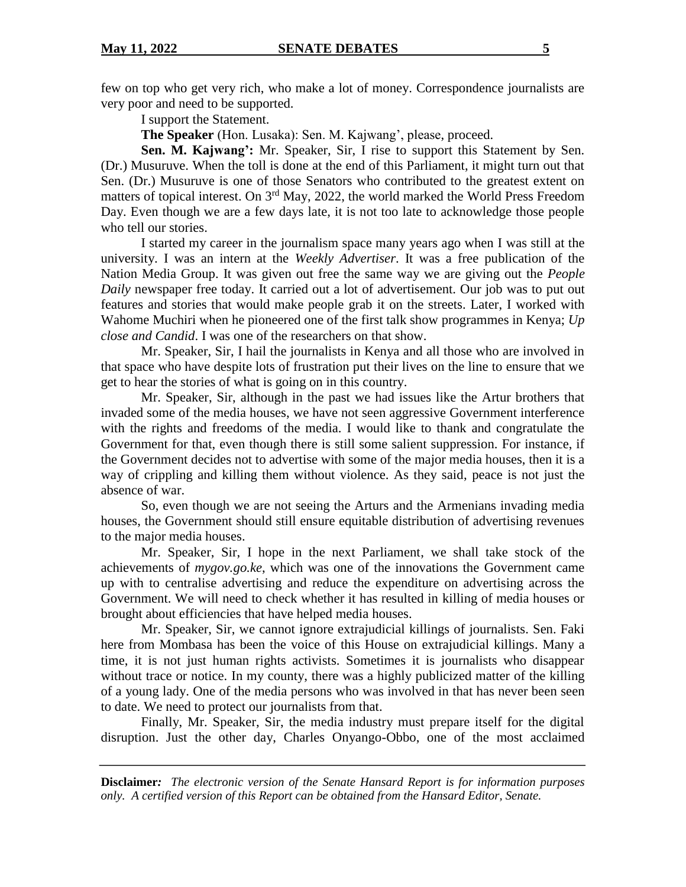few on top who get very rich, who make a lot of money. Correspondence journalists are very poor and need to be supported.

I support the Statement.

**The Speaker** (Hon. Lusaka): Sen. M. Kajwang', please, proceed.

**Sen. M. Kajwang':** Mr. Speaker, Sir, I rise to support this Statement by Sen. (Dr.) Musuruve. When the toll is done at the end of this Parliament, it might turn out that Sen. (Dr.) Musuruve is one of those Senators who contributed to the greatest extent on matters of topical interest. On  $3<sup>rd</sup>$  May, 2022, the world marked the World Press Freedom Day. Even though we are a few days late, it is not too late to acknowledge those people who tell our stories.

I started my career in the journalism space many years ago when I was still at the university. I was an intern at the *Weekly Advertiser*. It was a free publication of the Nation Media Group. It was given out free the same way we are giving out the *People Daily* newspaper free today. It carried out a lot of advertisement. Our job was to put out features and stories that would make people grab it on the streets. Later, I worked with Wahome Muchiri when he pioneered one of the first talk show programmes in Kenya; *Up close and Candid*. I was one of the researchers on that show.

Mr. Speaker, Sir, I hail the journalists in Kenya and all those who are involved in that space who have despite lots of frustration put their lives on the line to ensure that we get to hear the stories of what is going on in this country.

Mr. Speaker, Sir, although in the past we had issues like the Artur brothers that invaded some of the media houses, we have not seen aggressive Government interference with the rights and freedoms of the media. I would like to thank and congratulate the Government for that, even though there is still some salient suppression. For instance, if the Government decides not to advertise with some of the major media houses, then it is a way of crippling and killing them without violence. As they said, peace is not just the absence of war.

So, even though we are not seeing the Arturs and the Armenians invading media houses, the Government should still ensure equitable distribution of advertising revenues to the major media houses.

Mr. Speaker, Sir, I hope in the next Parliament, we shall take stock of the achievements of *mygov.go.ke*, which was one of the innovations the Government came up with to centralise advertising and reduce the expenditure on advertising across the Government. We will need to check whether it has resulted in killing of media houses or brought about efficiencies that have helped media houses.

Mr. Speaker, Sir, we cannot ignore extrajudicial killings of journalists. Sen. Faki here from Mombasa has been the voice of this House on extrajudicial killings. Many a time, it is not just human rights activists. Sometimes it is journalists who disappear without trace or notice. In my county, there was a highly publicized matter of the killing of a young lady. One of the media persons who was involved in that has never been seen to date. We need to protect our journalists from that.

Finally, Mr. Speaker, Sir, the media industry must prepare itself for the digital disruption. Just the other day, Charles Onyango-Obbo, one of the most acclaimed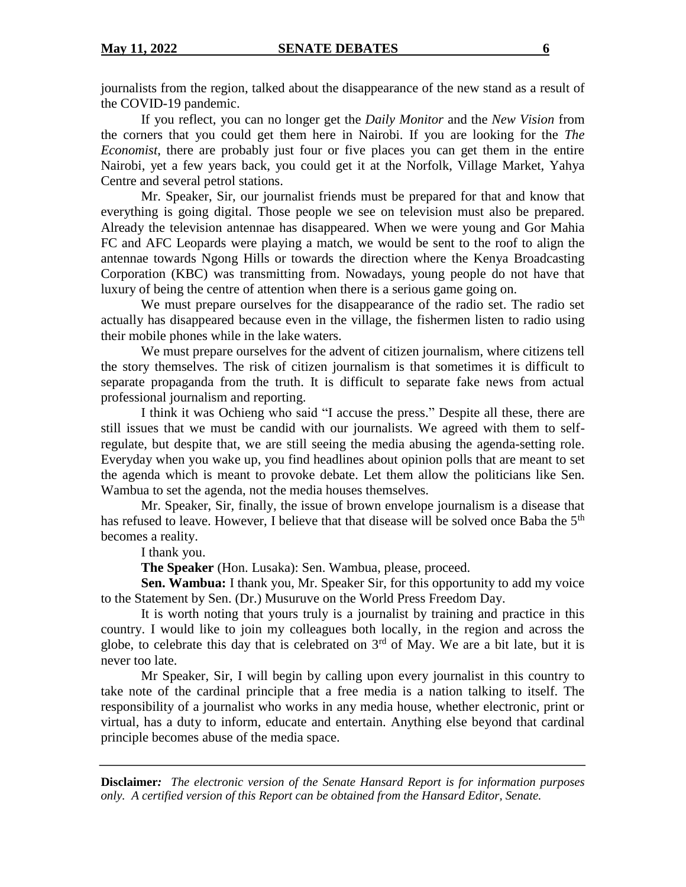journalists from the region, talked about the disappearance of the new stand as a result of the COVID-19 pandemic.

If you reflect, you can no longer get the *Daily Monitor* and the *New Vision* from the corners that you could get them here in Nairobi. If you are looking for the *The Economist*, there are probably just four or five places you can get them in the entire Nairobi, yet a few years back, you could get it at the Norfolk, Village Market, Yahya Centre and several petrol stations.

Mr. Speaker, Sir, our journalist friends must be prepared for that and know that everything is going digital. Those people we see on television must also be prepared. Already the television antennae has disappeared. When we were young and Gor Mahia FC and AFC Leopards were playing a match, we would be sent to the roof to align the antennae towards Ngong Hills or towards the direction where the Kenya Broadcasting Corporation (KBC) was transmitting from. Nowadays, young people do not have that luxury of being the centre of attention when there is a serious game going on.

We must prepare ourselves for the disappearance of the radio set. The radio set actually has disappeared because even in the village, the fishermen listen to radio using their mobile phones while in the lake waters.

We must prepare ourselves for the advent of citizen journalism, where citizens tell the story themselves. The risk of citizen journalism is that sometimes it is difficult to separate propaganda from the truth. It is difficult to separate fake news from actual professional journalism and reporting.

I think it was Ochieng who said "I accuse the press." Despite all these, there are still issues that we must be candid with our journalists. We agreed with them to selfregulate, but despite that, we are still seeing the media abusing the agenda-setting role. Everyday when you wake up, you find headlines about opinion polls that are meant to set the agenda which is meant to provoke debate. Let them allow the politicians like Sen. Wambua to set the agenda, not the media houses themselves.

Mr. Speaker, Sir, finally, the issue of brown envelope journalism is a disease that has refused to leave. However, I believe that that disease will be solved once Baba the 5<sup>th</sup> becomes a reality.

I thank you.

**The Speaker** (Hon. Lusaka): Sen. Wambua, please, proceed.

**Sen. Wambua:** I thank you, Mr. Speaker Sir, for this opportunity to add my voice to the Statement by Sen. (Dr.) Musuruve on the World Press Freedom Day.

It is worth noting that yours truly is a journalist by training and practice in this country. I would like to join my colleagues both locally, in the region and across the globe, to celebrate this day that is celebrated on  $3<sup>rd</sup>$  of May. We are a bit late, but it is never too late.

Mr Speaker, Sir, I will begin by calling upon every journalist in this country to take note of the cardinal principle that a free media is a nation talking to itself. The responsibility of a journalist who works in any media house, whether electronic, print or virtual, has a duty to inform, educate and entertain. Anything else beyond that cardinal principle becomes abuse of the media space.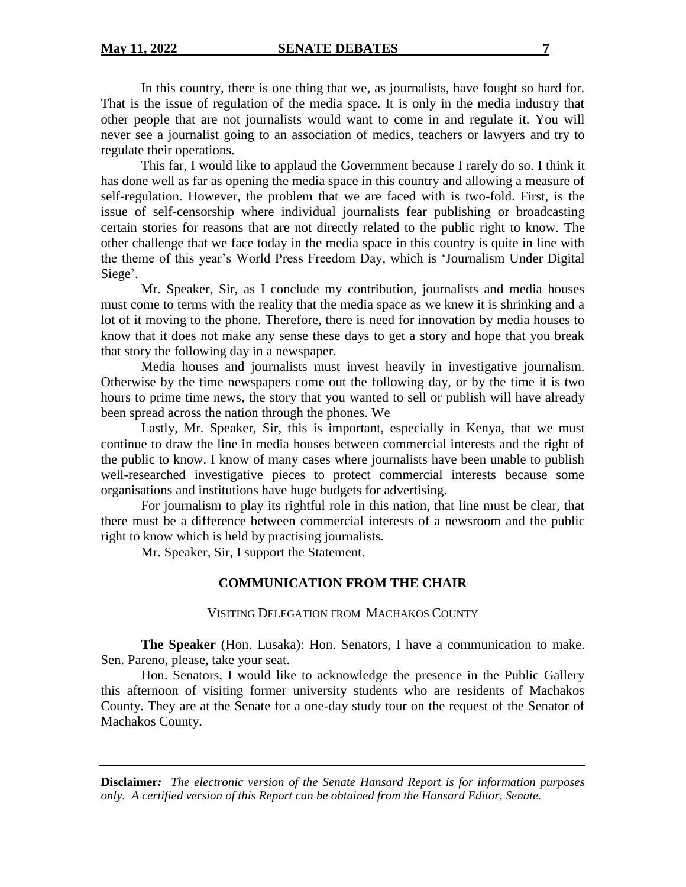In this country, there is one thing that we, as journalists, have fought so hard for. That is the issue of regulation of the media space. It is only in the media industry that other people that are not journalists would want to come in and regulate it. You will never see a journalist going to an association of medics, teachers or lawyers and try to regulate their operations.

This far, I would like to applaud the Government because I rarely do so. I think it has done well as far as opening the media space in this country and allowing a measure of self-regulation. However, the problem that we are faced with is two-fold. First, is the issue of self-censorship where individual journalists fear publishing or broadcasting certain stories for reasons that are not directly related to the public right to know. The other challenge that we face today in the media space in this country is quite in line with the theme of this year's World Press Freedom Day, which is 'Journalism Under Digital Siege'.

Mr. Speaker, Sir, as I conclude my contribution, journalists and media houses must come to terms with the reality that the media space as we knew it is shrinking and a lot of it moving to the phone. Therefore, there is need for innovation by media houses to know that it does not make any sense these days to get a story and hope that you break that story the following day in a newspaper.

Media houses and journalists must invest heavily in investigative journalism. Otherwise by the time newspapers come out the following day, or by the time it is two hours to prime time news, the story that you wanted to sell or publish will have already been spread across the nation through the phones. We

Lastly, Mr. Speaker, Sir, this is important, especially in Kenya, that we must continue to draw the line in media houses between commercial interests and the right of the public to know. I know of many cases where journalists have been unable to publish well-researched investigative pieces to protect commercial interests because some organisations and institutions have huge budgets for advertising.

For journalism to play its rightful role in this nation, that line must be clear, that there must be a difference between commercial interests of a newsroom and the public right to know which is held by practising journalists.

Mr. Speaker, Sir, I support the Statement.

## **COMMUNICATION FROM THE CHAIR**

VISITING DELEGATION FROM MACHAKOS COUNTY

**The Speaker** (Hon. Lusaka): Hon. Senators, I have a communication to make. Sen. Pareno, please, take your seat.

Hon. Senators, I would like to acknowledge the presence in the Public Gallery this afternoon of visiting former university students who are residents of Machakos County. They are at the Senate for a one-day study tour on the request of the Senator of Machakos County.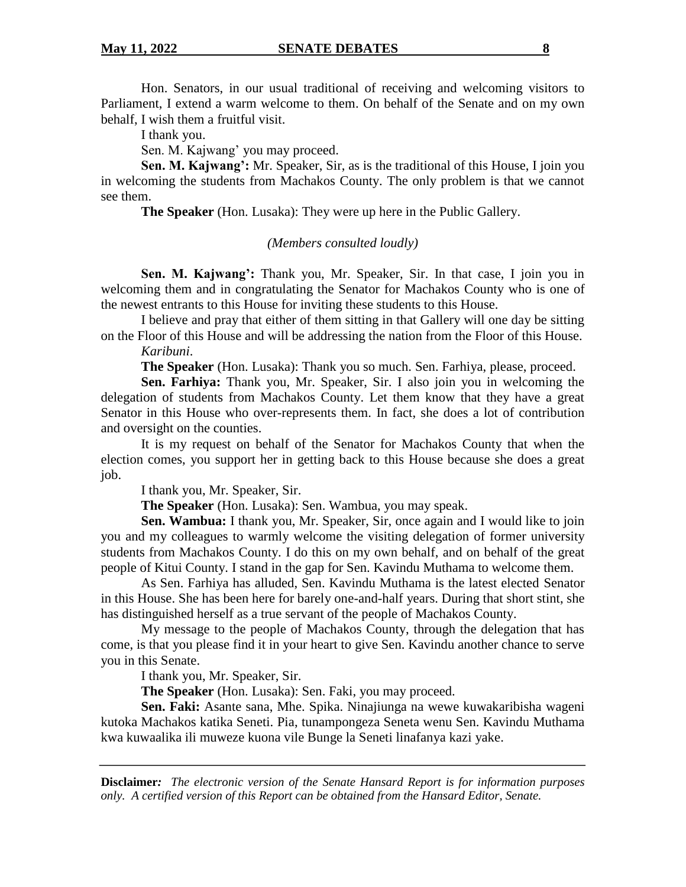Hon. Senators, in our usual traditional of receiving and welcoming visitors to Parliament, I extend a warm welcome to them. On behalf of the Senate and on my own behalf, I wish them a fruitful visit.

I thank you.

Sen. M. Kajwang' you may proceed.

**Sen. M. Kajwang':** Mr. Speaker, Sir, as is the traditional of this House, I join you in welcoming the students from Machakos County. The only problem is that we cannot see them.

**The Speaker** (Hon. Lusaka): They were up here in the Public Gallery.

#### *(Members consulted loudly)*

**Sen. M. Kajwang':** Thank you, Mr. Speaker, Sir. In that case, I join you in welcoming them and in congratulating the Senator for Machakos County who is one of the newest entrants to this House for inviting these students to this House.

I believe and pray that either of them sitting in that Gallery will one day be sitting on the Floor of this House and will be addressing the nation from the Floor of this House. *Karibuni*.

**The Speaker** (Hon. Lusaka): Thank you so much. Sen. Farhiya, please, proceed.

**Sen. Farhiya:** Thank you, Mr. Speaker, Sir. I also join you in welcoming the delegation of students from Machakos County. Let them know that they have a great Senator in this House who over-represents them. In fact, she does a lot of contribution and oversight on the counties.

It is my request on behalf of the Senator for Machakos County that when the election comes, you support her in getting back to this House because she does a great job.

I thank you, Mr. Speaker, Sir.

**The Speaker** (Hon. Lusaka): Sen. Wambua, you may speak.

**Sen. Wambua:** I thank you, Mr. Speaker, Sir, once again and I would like to join you and my colleagues to warmly welcome the visiting delegation of former university students from Machakos County. I do this on my own behalf, and on behalf of the great people of Kitui County. I stand in the gap for Sen. Kavindu Muthama to welcome them.

As Sen. Farhiya has alluded, Sen. Kavindu Muthama is the latest elected Senator in this House. She has been here for barely one-and-half years. During that short stint, she has distinguished herself as a true servant of the people of Machakos County.

My message to the people of Machakos County, through the delegation that has come, is that you please find it in your heart to give Sen. Kavindu another chance to serve you in this Senate.

I thank you, Mr. Speaker, Sir.

**The Speaker** (Hon. Lusaka): Sen. Faki, you may proceed.

**Sen. Faki:** Asante sana, Mhe. Spika. Ninajiunga na wewe kuwakaribisha wageni kutoka Machakos katika Seneti. Pia, tunampongeza Seneta wenu Sen. Kavindu Muthama kwa kuwaalika ili muweze kuona vile Bunge la Seneti linafanya kazi yake.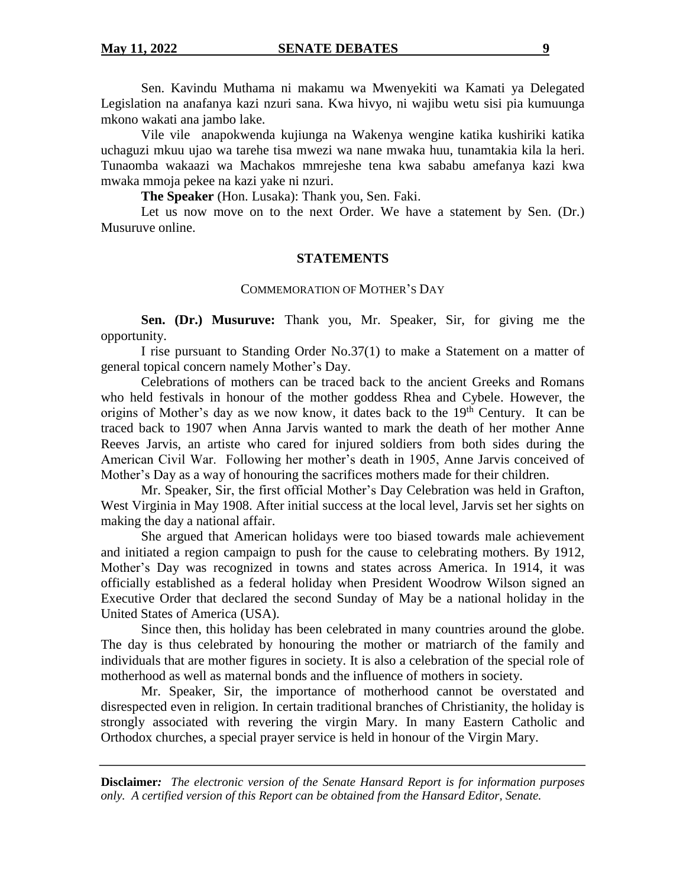Sen. Kavindu Muthama ni makamu wa Mwenyekiti wa Kamati ya Delegated Legislation na anafanya kazi nzuri sana. Kwa hivyo, ni wajibu wetu sisi pia kumuunga mkono wakati ana jambo lake.

Vile vile anapokwenda kujiunga na Wakenya wengine katika kushiriki katika uchaguzi mkuu ujao wa tarehe tisa mwezi wa nane mwaka huu, tunamtakia kila la heri. Tunaomba wakaazi wa Machakos mmrejeshe tena kwa sababu amefanya kazi kwa mwaka mmoja pekee na kazi yake ni nzuri.

**The Speaker** (Hon. Lusaka): Thank you, Sen. Faki.

Let us now move on to the next Order. We have a statement by Sen. (Dr.) Musuruve online.

#### **STATEMENTS**

#### COMMEMORATION OF MOTHER'S DAY

**Sen. (Dr.) Musuruve:** Thank you, Mr. Speaker, Sir, for giving me the opportunity.

I rise pursuant to Standing Order No.37(1) to make a Statement on a matter of general topical concern namely Mother's Day.

Celebrations of mothers can be traced back to the ancient Greeks and Romans who held festivals in honour of the mother goddess Rhea and Cybele. However, the origins of Mother's day as we now know, it dates back to the  $19<sup>th</sup>$  Century. It can be traced back to 1907 when Anna Jarvis wanted to mark the death of her mother Anne Reeves Jarvis, an artiste who cared for injured soldiers from both sides during the American Civil War. Following her mother's death in 1905, Anne Jarvis conceived of Mother's Day as a way of honouring the sacrifices mothers made for their children.

Mr. Speaker, Sir, the first official Mother's Day Celebration was held in Grafton, West Virginia in May 1908. After initial success at the local level, Jarvis set her sights on making the day a national affair.

She argued that American holidays were too biased towards male achievement and initiated a region campaign to push for the cause to celebrating mothers. By 1912, Mother's Day was recognized in towns and states across America. In 1914, it was officially established as a federal holiday when President Woodrow Wilson signed an Executive Order that declared the second Sunday of May be a national holiday in the United States of America (USA).

Since then, this holiday has been celebrated in many countries around the globe. The day is thus celebrated by honouring the mother or matriarch of the family and individuals that are mother figures in society. It is also a celebration of the special role of motherhood as well as maternal bonds and the influence of mothers in society.

Mr. Speaker, Sir, the importance of motherhood cannot be overstated and disrespected even in religion. In certain traditional branches of Christianity, the holiday is strongly associated with revering the virgin Mary. In many Eastern Catholic and Orthodox churches, a special prayer service is held in honour of the Virgin Mary.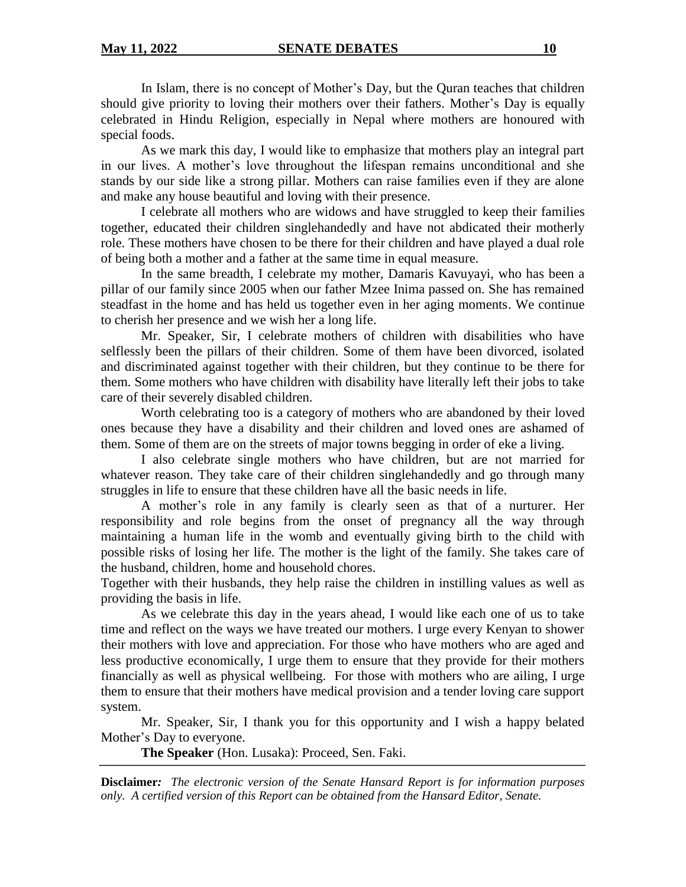In Islam, there is no concept of Mother's Day, but the Quran teaches that children should give priority to loving their mothers over their fathers. Mother's Day is equally celebrated in Hindu Religion, especially in Nepal where mothers are honoured with special foods.

As we mark this day, I would like to emphasize that mothers play an integral part in our lives. A mother's love throughout the lifespan remains unconditional and she stands by our side like a strong pillar. Mothers can raise families even if they are alone and make any house beautiful and loving with their presence.

I celebrate all mothers who are widows and have struggled to keep their families together, educated their children singlehandedly and have not abdicated their motherly role. These mothers have chosen to be there for their children and have played a dual role of being both a mother and a father at the same time in equal measure.

In the same breadth, I celebrate my mother, Damaris Kavuyayi, who has been a pillar of our family since 2005 when our father Mzee Inima passed on. She has remained steadfast in the home and has held us together even in her aging moments. We continue to cherish her presence and we wish her a long life.

Mr. Speaker, Sir, I celebrate mothers of children with disabilities who have selflessly been the pillars of their children. Some of them have been divorced, isolated and discriminated against together with their children, but they continue to be there for them. Some mothers who have children with disability have literally left their jobs to take care of their severely disabled children.

Worth celebrating too is a category of mothers who are abandoned by their loved ones because they have a disability and their children and loved ones are ashamed of them. Some of them are on the streets of major towns begging in order of eke a living.

I also celebrate single mothers who have children, but are not married for whatever reason. They take care of their children singlehandedly and go through many struggles in life to ensure that these children have all the basic needs in life.

A mother's role in any family is clearly seen as that of a nurturer. Her responsibility and role begins from the onset of pregnancy all the way through maintaining a human life in the womb and eventually giving birth to the child with possible risks of losing her life. The mother is the light of the family. She takes care of the husband, children, home and household chores.

Together with their husbands, they help raise the children in instilling values as well as providing the basis in life.

As we celebrate this day in the years ahead, I would like each one of us to take time and reflect on the ways we have treated our mothers. I urge every Kenyan to shower their mothers with love and appreciation. For those who have mothers who are aged and less productive economically, I urge them to ensure that they provide for their mothers financially as well as physical wellbeing. For those with mothers who are ailing, I urge them to ensure that their mothers have medical provision and a tender loving care support system.

Mr. Speaker, Sir, I thank you for this opportunity and I wish a happy belated Mother's Day to everyone.

**The Speaker** (Hon. Lusaka): Proceed, Sen. Faki.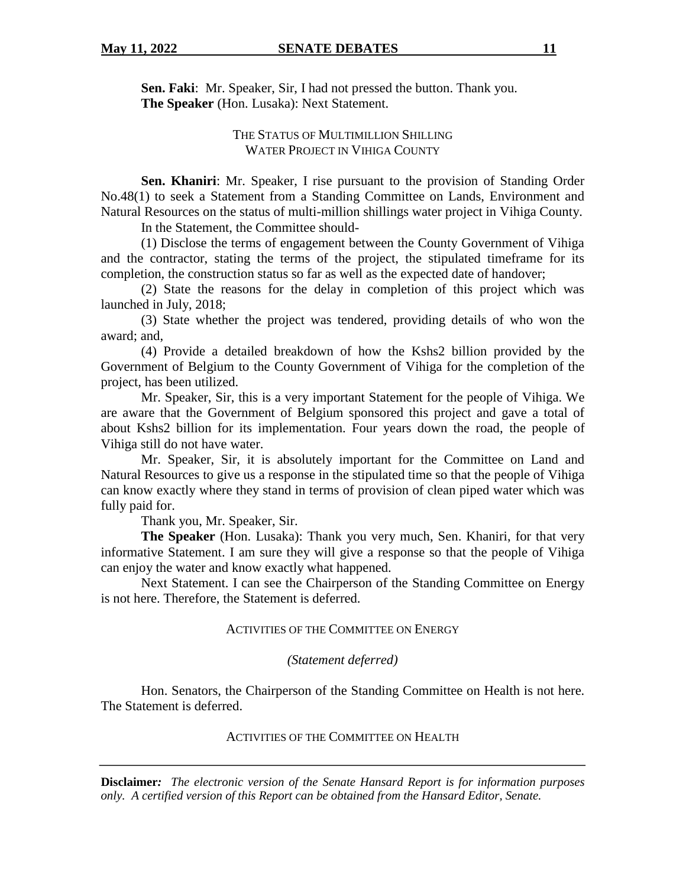**Sen. Faki**: Mr. Speaker, Sir, I had not pressed the button. Thank you. **The Speaker** (Hon. Lusaka): Next Statement.

## THE STATUS OF MULTIMILLION SHILLING WATER PROJECT IN VIHIGA COUNTY

**Sen. Khaniri**: Mr. Speaker, I rise pursuant to the provision of Standing Order No.48(1) to seek a Statement from a Standing Committee on Lands, Environment and Natural Resources on the status of multi-million shillings water project in Vihiga County.

In the Statement, the Committee should-

(1) Disclose the terms of engagement between the County Government of Vihiga and the contractor, stating the terms of the project, the stipulated timeframe for its completion, the construction status so far as well as the expected date of handover;

(2) State the reasons for the delay in completion of this project which was launched in July, 2018;

(3) State whether the project was tendered, providing details of who won the award; and,

(4) Provide a detailed breakdown of how the Kshs2 billion provided by the Government of Belgium to the County Government of Vihiga for the completion of the project, has been utilized.

Mr. Speaker, Sir, this is a very important Statement for the people of Vihiga. We are aware that the Government of Belgium sponsored this project and gave a total of about Kshs2 billion for its implementation. Four years down the road, the people of Vihiga still do not have water.

Mr. Speaker, Sir, it is absolutely important for the Committee on Land and Natural Resources to give us a response in the stipulated time so that the people of Vihiga can know exactly where they stand in terms of provision of clean piped water which was fully paid for.

Thank you, Mr. Speaker, Sir.

**The Speaker** (Hon. Lusaka): Thank you very much, Sen. Khaniri, for that very informative Statement. I am sure they will give a response so that the people of Vihiga can enjoy the water and know exactly what happened.

Next Statement. I can see the Chairperson of the Standing Committee on Energy is not here. Therefore, the Statement is deferred.

## ACTIVITIES OF THE COMMITTEE ON ENERGY

#### *(Statement deferred)*

Hon. Senators, the Chairperson of the Standing Committee on Health is not here. The Statement is deferred.

#### ACTIVITIES OF THE COMMITTEE ON HEALTH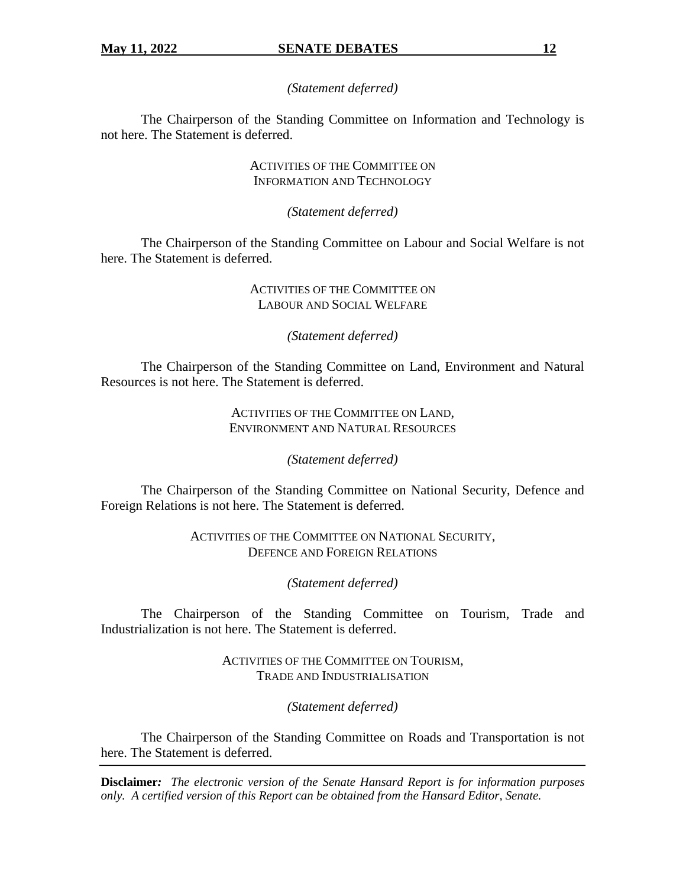*(Statement deferred)*

The Chairperson of the Standing Committee on Information and Technology is not here. The Statement is deferred.

> ACTIVITIES OF THE COMMITTEE ON INFORMATION AND TECHNOLOGY

> > *(Statement deferred)*

The Chairperson of the Standing Committee on Labour and Social Welfare is not here. The Statement is deferred.

## ACTIVITIES OF THE COMMITTEE ON LABOUR AND SOCIAL WELFARE

## *(Statement deferred)*

The Chairperson of the Standing Committee on Land, Environment and Natural Resources is not here. The Statement is deferred.

#### ACTIVITIES OF THE COMMITTEE ON LAND, ENVIRONMENT AND NATURAL RESOURCES

*(Statement deferred)*

The Chairperson of the Standing Committee on National Security, Defence and Foreign Relations is not here. The Statement is deferred.

> ACTIVITIES OF THE COMMITTEE ON NATIONAL SECURITY, DEFENCE AND FOREIGN RELATIONS

> > *(Statement deferred)*

The Chairperson of the Standing Committee on Tourism, Trade and Industrialization is not here. The Statement is deferred.

> ACTIVITIES OF THE COMMITTEE ON TOURISM, TRADE AND INDUSTRIALISATION

> > *(Statement deferred)*

The Chairperson of the Standing Committee on Roads and Transportation is not here. The Statement is deferred.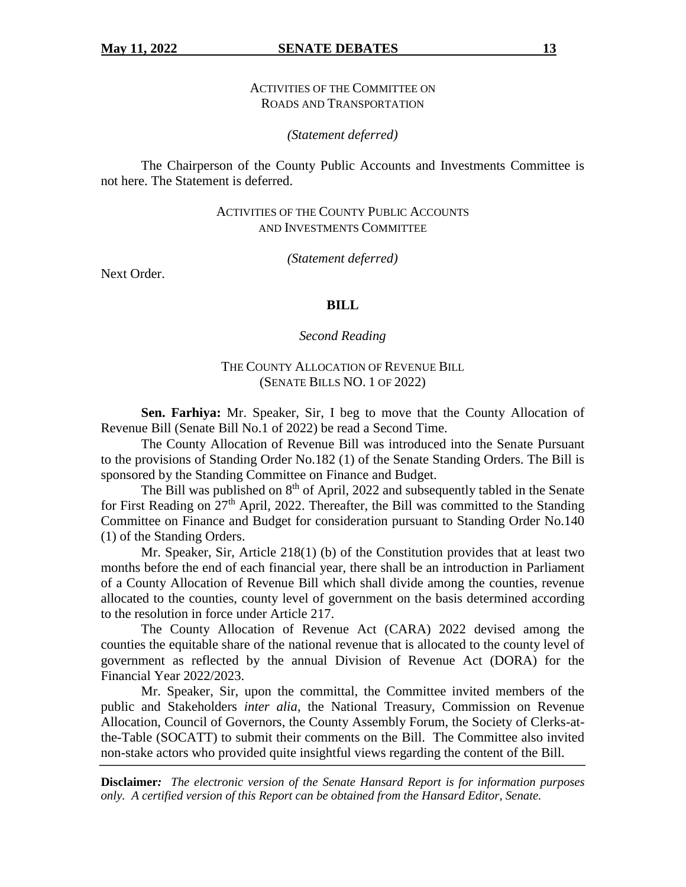ACTIVITIES OF THE COMMITTEE ON ROADS AND TRANSPORTATION

*(Statement deferred)*

The Chairperson of the County Public Accounts and Investments Committee is not here. The Statement is deferred.

> ACTIVITIES OF THE COUNTY PUBLIC ACCOUNTS AND INVESTMENTS COMMITTEE

> > *(Statement deferred)*

Next Order.

#### **BILL**

*Second Reading*

## THE COUNTY ALLOCATION OF REVENUE BILL (SENATE BILLS NO. 1 OF 2022)

**Sen. Farhiya:** Mr. Speaker, Sir, I beg to move that the County Allocation of Revenue Bill (Senate Bill No.1 of 2022) be read a Second Time.

The County Allocation of Revenue Bill was introduced into the Senate Pursuant to the provisions of Standing Order No.182 (1) of the Senate Standing Orders. The Bill is sponsored by the Standing Committee on Finance and Budget.

The Bill was published on  $8<sup>th</sup>$  of April, 2022 and subsequently tabled in the Senate for First Reading on  $27<sup>th</sup>$  April, 2022. Thereafter, the Bill was committed to the Standing Committee on Finance and Budget for consideration pursuant to Standing Order No.140 (1) of the Standing Orders.

Mr. Speaker, Sir, Article 218(1) (b) of the Constitution provides that at least two months before the end of each financial year, there shall be an introduction in Parliament of a County Allocation of Revenue Bill which shall divide among the counties, revenue allocated to the counties, county level of government on the basis determined according to the resolution in force under Article 217.

The County Allocation of Revenue Act (CARA) 2022 devised among the counties the equitable share of the national revenue that is allocated to the county level of government as reflected by the annual Division of Revenue Act (DORA) for the Financial Year 2022/2023.

Mr. Speaker, Sir, upon the committal, the Committee invited members of the public and Stakeholders *inter alia*, the National Treasury, Commission on Revenue Allocation, Council of Governors, the County Assembly Forum, the Society of Clerks-atthe-Table (SOCATT) to submit their comments on the Bill. The Committee also invited non-stake actors who provided quite insightful views regarding the content of the Bill.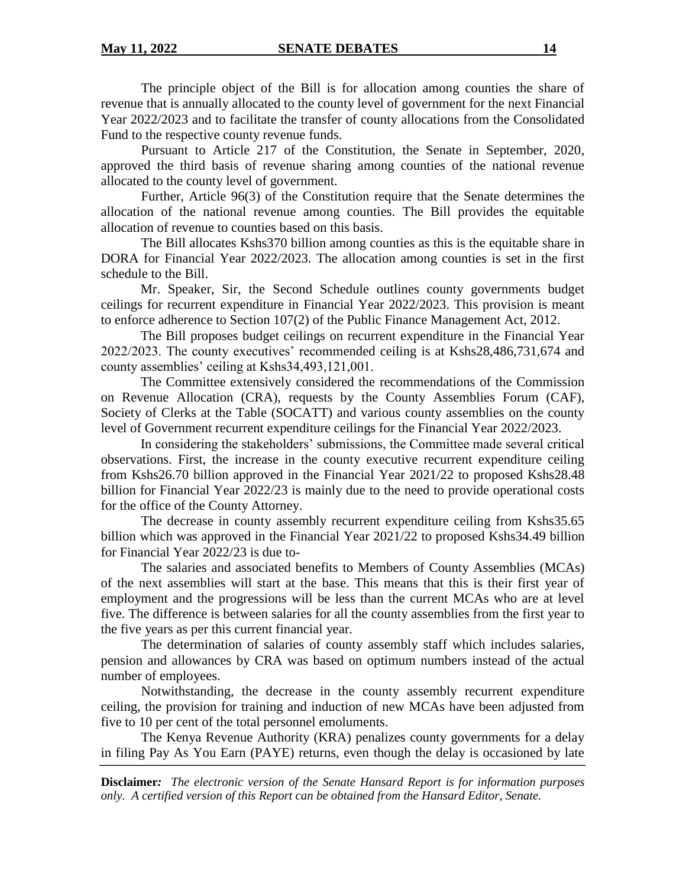The principle object of the Bill is for allocation among counties the share of revenue that is annually allocated to the county level of government for the next Financial Year 2022/2023 and to facilitate the transfer of county allocations from the Consolidated Fund to the respective county revenue funds.

Pursuant to Article 217 of the Constitution, the Senate in September, 2020, approved the third basis of revenue sharing among counties of the national revenue allocated to the county level of government.

Further, Article 96(3) of the Constitution require that the Senate determines the allocation of the national revenue among counties. The Bill provides the equitable allocation of revenue to counties based on this basis.

The Bill allocates Kshs370 billion among counties as this is the equitable share in DORA for Financial Year 2022/2023. The allocation among counties is set in the first schedule to the Bill.

Mr. Speaker, Sir, the Second Schedule outlines county governments budget ceilings for recurrent expenditure in Financial Year 2022/2023. This provision is meant to enforce adherence to Section 107(2) of the Public Finance Management Act, 2012.

The Bill proposes budget ceilings on recurrent expenditure in the Financial Year 2022/2023. The county executives' recommended ceiling is at Kshs28,486,731,674 and county assemblies' ceiling at Kshs34,493,121,001.

The Committee extensively considered the recommendations of the Commission on Revenue Allocation (CRA), requests by the County Assemblies Forum (CAF), Society of Clerks at the Table (SOCATT) and various county assemblies on the county level of Government recurrent expenditure ceilings for the Financial Year 2022/2023.

In considering the stakeholders' submissions, the Committee made several critical observations. First, the increase in the county executive recurrent expenditure ceiling from Kshs26.70 billion approved in the Financial Year 2021/22 to proposed Kshs28.48 billion for Financial Year 2022/23 is mainly due to the need to provide operational costs for the office of the County Attorney.

The decrease in county assembly recurrent expenditure ceiling from Kshs35.65 billion which was approved in the Financial Year 2021/22 to proposed Kshs34.49 billion for Financial Year 2022/23 is due to-

The salaries and associated benefits to Members of County Assemblies (MCAs) of the next assemblies will start at the base. This means that this is their first year of employment and the progressions will be less than the current MCAs who are at level five. The difference is between salaries for all the county assemblies from the first year to the five years as per this current financial year.

The determination of salaries of county assembly staff which includes salaries, pension and allowances by CRA was based on optimum numbers instead of the actual number of employees.

Notwithstanding, the decrease in the county assembly recurrent expenditure ceiling, the provision for training and induction of new MCAs have been adjusted from five to 10 per cent of the total personnel emoluments.

The Kenya Revenue Authority (KRA) penalizes county governments for a delay in filing Pay As You Earn (PAYE) returns, even though the delay is occasioned by late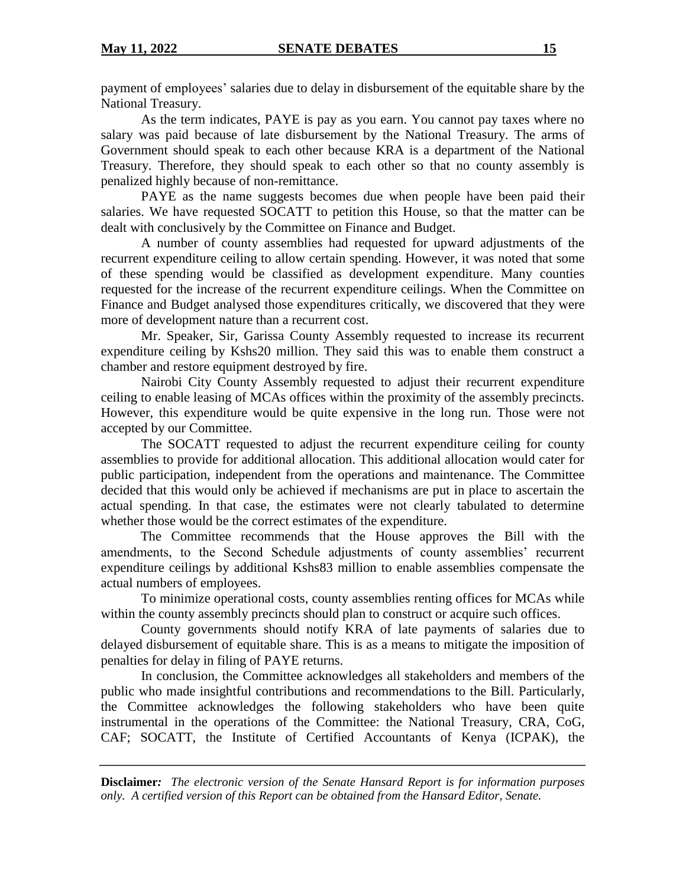payment of employees' salaries due to delay in disbursement of the equitable share by the National Treasury.

As the term indicates, PAYE is pay as you earn. You cannot pay taxes where no salary was paid because of late disbursement by the National Treasury. The arms of Government should speak to each other because KRA is a department of the National Treasury. Therefore, they should speak to each other so that no county assembly is penalized highly because of non-remittance.

PAYE as the name suggests becomes due when people have been paid their salaries. We have requested SOCATT to petition this House, so that the matter can be dealt with conclusively by the Committee on Finance and Budget.

A number of county assemblies had requested for upward adjustments of the recurrent expenditure ceiling to allow certain spending. However, it was noted that some of these spending would be classified as development expenditure. Many counties requested for the increase of the recurrent expenditure ceilings. When the Committee on Finance and Budget analysed those expenditures critically, we discovered that they were more of development nature than a recurrent cost.

Mr. Speaker, Sir, Garissa County Assembly requested to increase its recurrent expenditure ceiling by Kshs20 million. They said this was to enable them construct a chamber and restore equipment destroyed by fire.

Nairobi City County Assembly requested to adjust their recurrent expenditure ceiling to enable leasing of MCAs offices within the proximity of the assembly precincts. However, this expenditure would be quite expensive in the long run. Those were not accepted by our Committee.

The SOCATT requested to adjust the recurrent expenditure ceiling for county assemblies to provide for additional allocation. This additional allocation would cater for public participation, independent from the operations and maintenance. The Committee decided that this would only be achieved if mechanisms are put in place to ascertain the actual spending. In that case, the estimates were not clearly tabulated to determine whether those would be the correct estimates of the expenditure.

The Committee recommends that the House approves the Bill with the amendments, to the Second Schedule adjustments of county assemblies' recurrent expenditure ceilings by additional Kshs83 million to enable assemblies compensate the actual numbers of employees.

To minimize operational costs, county assemblies renting offices for MCAs while within the county assembly precincts should plan to construct or acquire such offices.

County governments should notify KRA of late payments of salaries due to delayed disbursement of equitable share. This is as a means to mitigate the imposition of penalties for delay in filing of PAYE returns.

In conclusion, the Committee acknowledges all stakeholders and members of the public who made insightful contributions and recommendations to the Bill. Particularly, the Committee acknowledges the following stakeholders who have been quite instrumental in the operations of the Committee: the National Treasury, CRA, CoG, CAF; SOCATT, the Institute of Certified Accountants of Kenya (ICPAK), the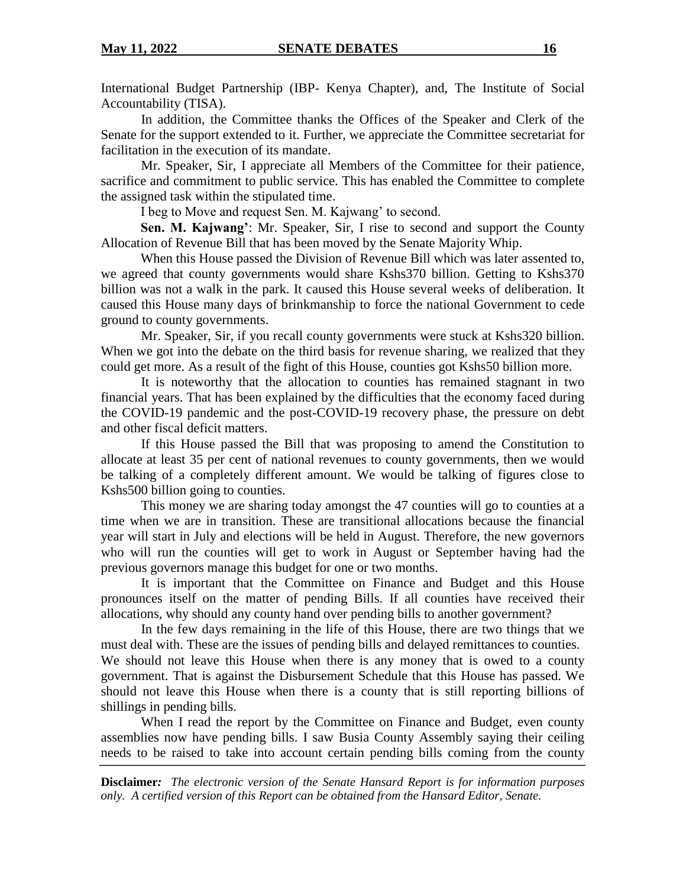International Budget Partnership (IBP- Kenya Chapter), and, The Institute of Social Accountability (TISA).

In addition, the Committee thanks the Offices of the Speaker and Clerk of the Senate for the support extended to it. Further, we appreciate the Committee secretariat for facilitation in the execution of its mandate.

Mr. Speaker, Sir, I appreciate all Members of the Committee for their patience, sacrifice and commitment to public service. This has enabled the Committee to complete the assigned task within the stipulated time.

I beg to Move and request Sen. M. Kajwang' to second.

**Sen. M. Kajwang'**: Mr. Speaker, Sir, I rise to second and support the County Allocation of Revenue Bill that has been moved by the Senate Majority Whip.

When this House passed the Division of Revenue Bill which was later assented to, we agreed that county governments would share Kshs370 billion. Getting to Kshs370 billion was not a walk in the park. It caused this House several weeks of deliberation. It caused this House many days of brinkmanship to force the national Government to cede ground to county governments.

Mr. Speaker, Sir, if you recall county governments were stuck at Kshs320 billion. When we got into the debate on the third basis for revenue sharing, we realized that they could get more. As a result of the fight of this House, counties got Kshs50 billion more.

It is noteworthy that the allocation to counties has remained stagnant in two financial years. That has been explained by the difficulties that the economy faced during the COVID-19 pandemic and the post-COVID-19 recovery phase, the pressure on debt and other fiscal deficit matters.

If this House passed the Bill that was proposing to amend the Constitution to allocate at least 35 per cent of national revenues to county governments, then we would be talking of a completely different amount. We would be talking of figures close to Kshs500 billion going to counties.

This money we are sharing today amongst the 47 counties will go to counties at a time when we are in transition. These are transitional allocations because the financial year will start in July and elections will be held in August. Therefore, the new governors who will run the counties will get to work in August or September having had the previous governors manage this budget for one or two months.

It is important that the Committee on Finance and Budget and this House pronounces itself on the matter of pending Bills. If all counties have received their allocations, why should any county hand over pending bills to another government?

In the few days remaining in the life of this House, there are two things that we must deal with. These are the issues of pending bills and delayed remittances to counties. We should not leave this House when there is any money that is owed to a county government. That is against the Disbursement Schedule that this House has passed. We should not leave this House when there is a county that is still reporting billions of shillings in pending bills.

When I read the report by the Committee on Finance and Budget, even county assemblies now have pending bills. I saw Busia County Assembly saying their ceiling needs to be raised to take into account certain pending bills coming from the county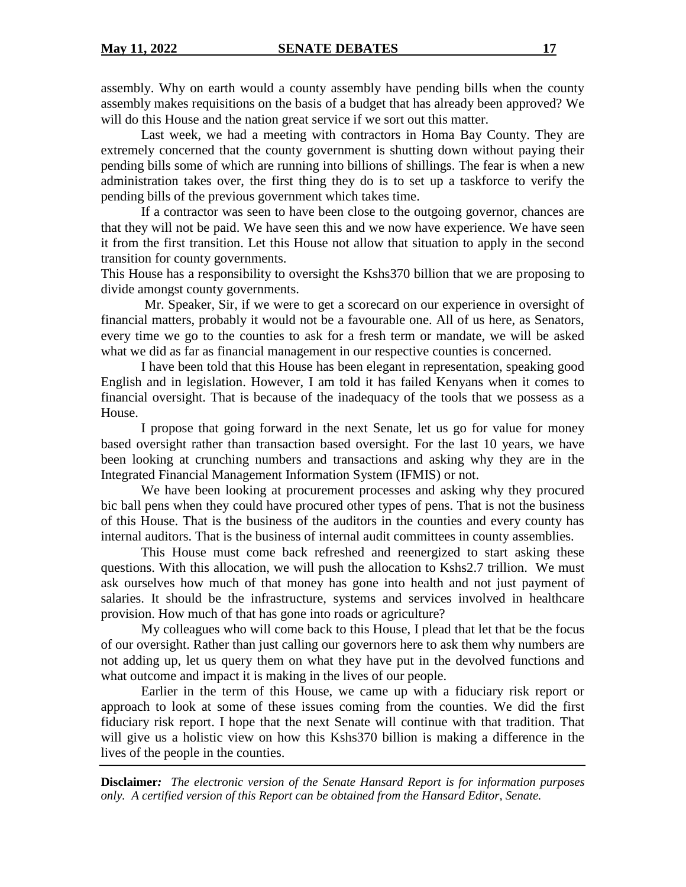assembly. Why on earth would a county assembly have pending bills when the county assembly makes requisitions on the basis of a budget that has already been approved? We will do this House and the nation great service if we sort out this matter.

Last week, we had a meeting with contractors in Homa Bay County. They are extremely concerned that the county government is shutting down without paying their pending bills some of which are running into billions of shillings. The fear is when a new administration takes over, the first thing they do is to set up a taskforce to verify the pending bills of the previous government which takes time.

If a contractor was seen to have been close to the outgoing governor, chances are that they will not be paid. We have seen this and we now have experience. We have seen it from the first transition. Let this House not allow that situation to apply in the second transition for county governments.

This House has a responsibility to oversight the Kshs370 billion that we are proposing to divide amongst county governments.

Mr. Speaker, Sir, if we were to get a scorecard on our experience in oversight of financial matters, probably it would not be a favourable one. All of us here, as Senators, every time we go to the counties to ask for a fresh term or mandate, we will be asked what we did as far as financial management in our respective counties is concerned.

I have been told that this House has been elegant in representation, speaking good English and in legislation. However, I am told it has failed Kenyans when it comes to financial oversight. That is because of the inadequacy of the tools that we possess as a House.

I propose that going forward in the next Senate, let us go for value for money based oversight rather than transaction based oversight. For the last 10 years, we have been looking at crunching numbers and transactions and asking why they are in the Integrated Financial Management Information System (IFMIS) or not.

We have been looking at procurement processes and asking why they procured bic ball pens when they could have procured other types of pens. That is not the business of this House. That is the business of the auditors in the counties and every county has internal auditors. That is the business of internal audit committees in county assemblies.

This House must come back refreshed and reenergized to start asking these questions. With this allocation, we will push the allocation to Kshs2.7 trillion. We must ask ourselves how much of that money has gone into health and not just payment of salaries. It should be the infrastructure, systems and services involved in healthcare provision. How much of that has gone into roads or agriculture?

My colleagues who will come back to this House, I plead that let that be the focus of our oversight. Rather than just calling our governors here to ask them why numbers are not adding up, let us query them on what they have put in the devolved functions and what outcome and impact it is making in the lives of our people.

Earlier in the term of this House, we came up with a fiduciary risk report or approach to look at some of these issues coming from the counties. We did the first fiduciary risk report. I hope that the next Senate will continue with that tradition. That will give us a holistic view on how this Kshs370 billion is making a difference in the lives of the people in the counties.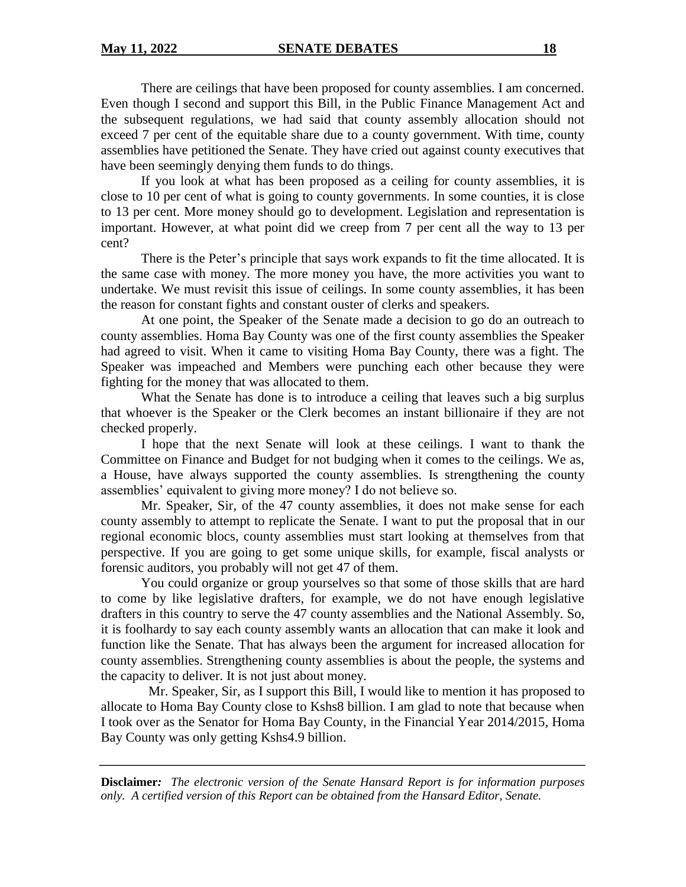There are ceilings that have been proposed for county assemblies. I am concerned. Even though I second and support this Bill, in the Public Finance Management Act and the subsequent regulations, we had said that county assembly allocation should not exceed 7 per cent of the equitable share due to a county government. With time, county assemblies have petitioned the Senate. They have cried out against county executives that have been seemingly denying them funds to do things.

If you look at what has been proposed as a ceiling for county assemblies, it is close to 10 per cent of what is going to county governments. In some counties, it is close to 13 per cent. More money should go to development. Legislation and representation is important. However, at what point did we creep from 7 per cent all the way to 13 per cent?

There is the Peter's principle that says work expands to fit the time allocated. It is the same case with money. The more money you have, the more activities you want to undertake. We must revisit this issue of ceilings. In some county assemblies, it has been the reason for constant fights and constant ouster of clerks and speakers.

At one point, the Speaker of the Senate made a decision to go do an outreach to county assemblies. Homa Bay County was one of the first county assemblies the Speaker had agreed to visit. When it came to visiting Homa Bay County, there was a fight. The Speaker was impeached and Members were punching each other because they were fighting for the money that was allocated to them.

What the Senate has done is to introduce a ceiling that leaves such a big surplus that whoever is the Speaker or the Clerk becomes an instant billionaire if they are not checked properly.

I hope that the next Senate will look at these ceilings. I want to thank the Committee on Finance and Budget for not budging when it comes to the ceilings. We as, a House, have always supported the county assemblies. Is strengthening the county assemblies' equivalent to giving more money? I do not believe so.

Mr. Speaker, Sir, of the 47 county assemblies, it does not make sense for each county assembly to attempt to replicate the Senate. I want to put the proposal that in our regional economic blocs, county assemblies must start looking at themselves from that perspective. If you are going to get some unique skills, for example, fiscal analysts or forensic auditors, you probably will not get 47 of them.

You could organize or group yourselves so that some of those skills that are hard to come by like legislative drafters, for example, we do not have enough legislative drafters in this country to serve the 47 county assemblies and the National Assembly. So, it is foolhardy to say each county assembly wants an allocation that can make it look and function like the Senate. That has always been the argument for increased allocation for county assemblies. Strengthening county assemblies is about the people, the systems and the capacity to deliver. It is not just about money.

Mr. Speaker, Sir, as I support this Bill, I would like to mention it has proposed to allocate to Homa Bay County close to Kshs8 billion. I am glad to note that because when I took over as the Senator for Homa Bay County, in the Financial Year 2014/2015, Homa Bay County was only getting Kshs4.9 billion.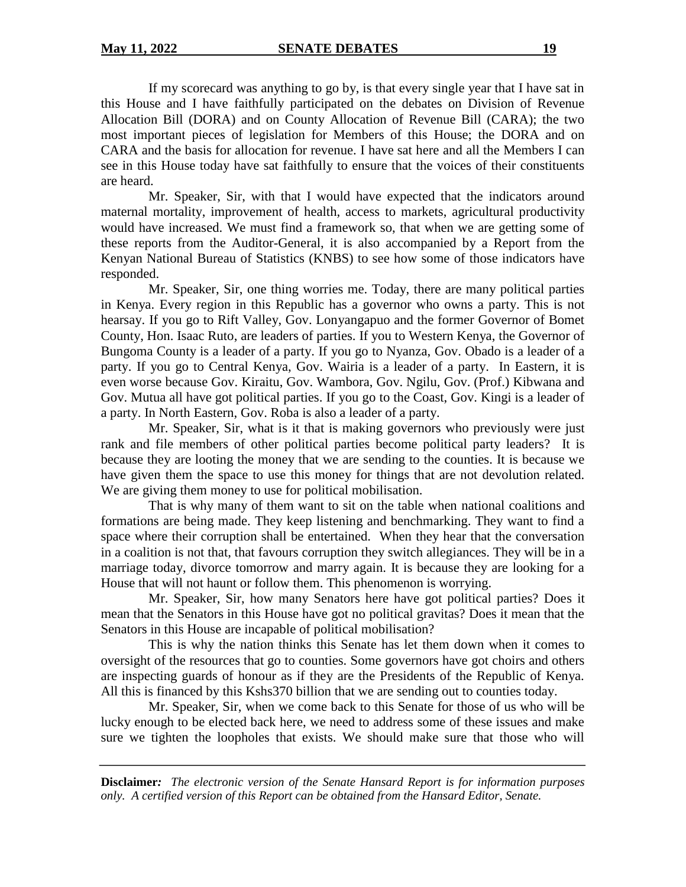If my scorecard was anything to go by, is that every single year that I have sat in this House and I have faithfully participated on the debates on Division of Revenue Allocation Bill (DORA) and on County Allocation of Revenue Bill (CARA); the two most important pieces of legislation for Members of this House; the DORA and on CARA and the basis for allocation for revenue. I have sat here and all the Members I can see in this House today have sat faithfully to ensure that the voices of their constituents are heard.

Mr. Speaker, Sir, with that I would have expected that the indicators around maternal mortality, improvement of health, access to markets, agricultural productivity would have increased. We must find a framework so, that when we are getting some of these reports from the Auditor-General, it is also accompanied by a Report from the Kenyan National Bureau of Statistics (KNBS) to see how some of those indicators have responded.

Mr. Speaker, Sir, one thing worries me. Today, there are many political parties in Kenya. Every region in this Republic has a governor who owns a party. This is not hearsay. If you go to Rift Valley, Gov. Lonyangapuo and the former Governor of Bomet County, Hon. Isaac Ruto, are leaders of parties. If you to Western Kenya, the Governor of Bungoma County is a leader of a party. If you go to Nyanza, Gov. Obado is a leader of a party. If you go to Central Kenya, Gov. Wairia is a leader of a party. In Eastern, it is even worse because Gov. Kiraitu, Gov. Wambora, Gov. Ngilu, Gov. (Prof.) Kibwana and Gov. Mutua all have got political parties. If you go to the Coast, Gov. Kingi is a leader of a party. In North Eastern, Gov. Roba is also a leader of a party.

Mr. Speaker, Sir, what is it that is making governors who previously were just rank and file members of other political parties become political party leaders? It is because they are looting the money that we are sending to the counties. It is because we have given them the space to use this money for things that are not devolution related. We are giving them money to use for political mobilisation.

That is why many of them want to sit on the table when national coalitions and formations are being made. They keep listening and benchmarking. They want to find a space where their corruption shall be entertained. When they hear that the conversation in a coalition is not that, that favours corruption they switch allegiances. They will be in a marriage today, divorce tomorrow and marry again. It is because they are looking for a House that will not haunt or follow them. This phenomenon is worrying.

Mr. Speaker, Sir, how many Senators here have got political parties? Does it mean that the Senators in this House have got no political gravitas? Does it mean that the Senators in this House are incapable of political mobilisation?

This is why the nation thinks this Senate has let them down when it comes to oversight of the resources that go to counties. Some governors have got choirs and others are inspecting guards of honour as if they are the Presidents of the Republic of Kenya. All this is financed by this Kshs370 billion that we are sending out to counties today.

Mr. Speaker, Sir, when we come back to this Senate for those of us who will be lucky enough to be elected back here, we need to address some of these issues and make sure we tighten the loopholes that exists. We should make sure that those who will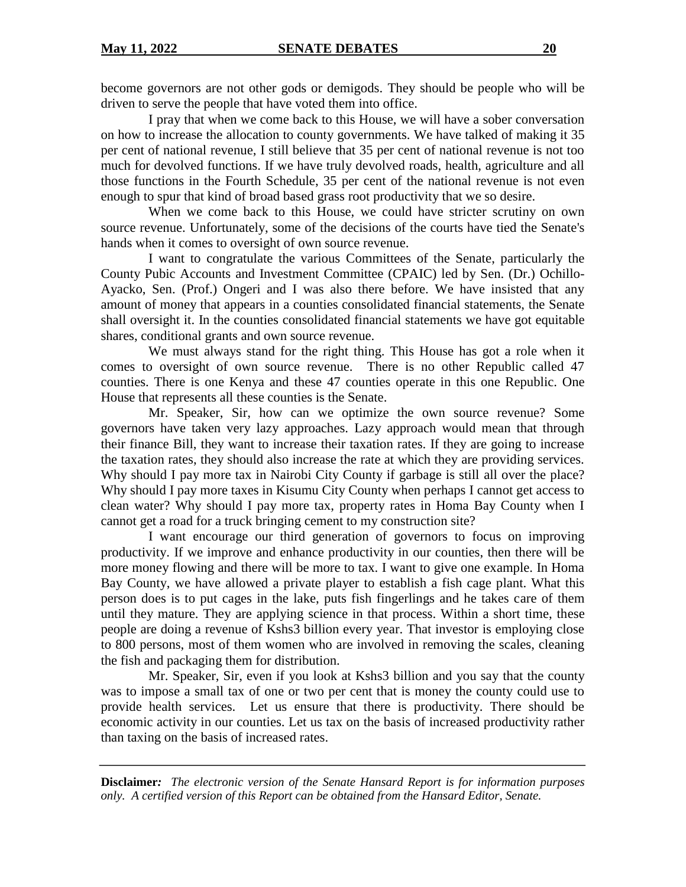become governors are not other gods or demigods. They should be people who will be driven to serve the people that have voted them into office.

I pray that when we come back to this House, we will have a sober conversation on how to increase the allocation to county governments. We have talked of making it 35 per cent of national revenue, I still believe that 35 per cent of national revenue is not too much for devolved functions. If we have truly devolved roads, health, agriculture and all those functions in the Fourth Schedule, 35 per cent of the national revenue is not even enough to spur that kind of broad based grass root productivity that we so desire.

When we come back to this House, we could have stricter scrutiny on own source revenue. Unfortunately, some of the decisions of the courts have tied the Senate's hands when it comes to oversight of own source revenue.

I want to congratulate the various Committees of the Senate, particularly the County Pubic Accounts and Investment Committee (CPAIC) led by Sen. (Dr.) Ochillo-Ayacko, Sen. (Prof.) Ongeri and I was also there before. We have insisted that any amount of money that appears in a counties consolidated financial statements, the Senate shall oversight it. In the counties consolidated financial statements we have got equitable shares, conditional grants and own source revenue.

We must always stand for the right thing. This House has got a role when it comes to oversight of own source revenue. There is no other Republic called 47 counties. There is one Kenya and these 47 counties operate in this one Republic. One House that represents all these counties is the Senate.

Mr. Speaker, Sir, how can we optimize the own source revenue? Some governors have taken very lazy approaches. Lazy approach would mean that through their finance Bill, they want to increase their taxation rates. If they are going to increase the taxation rates, they should also increase the rate at which they are providing services. Why should I pay more tax in Nairobi City County if garbage is still all over the place? Why should I pay more taxes in Kisumu City County when perhaps I cannot get access to clean water? Why should I pay more tax, property rates in Homa Bay County when I cannot get a road for a truck bringing cement to my construction site?

I want encourage our third generation of governors to focus on improving productivity. If we improve and enhance productivity in our counties, then there will be more money flowing and there will be more to tax. I want to give one example. In Homa Bay County, we have allowed a private player to establish a fish cage plant. What this person does is to put cages in the lake, puts fish fingerlings and he takes care of them until they mature. They are applying science in that process. Within a short time, these people are doing a revenue of Kshs3 billion every year. That investor is employing close to 800 persons, most of them women who are involved in removing the scales, cleaning the fish and packaging them for distribution.

Mr. Speaker, Sir, even if you look at Kshs3 billion and you say that the county was to impose a small tax of one or two per cent that is money the county could use to provide health services. Let us ensure that there is productivity. There should be economic activity in our counties. Let us tax on the basis of increased productivity rather than taxing on the basis of increased rates.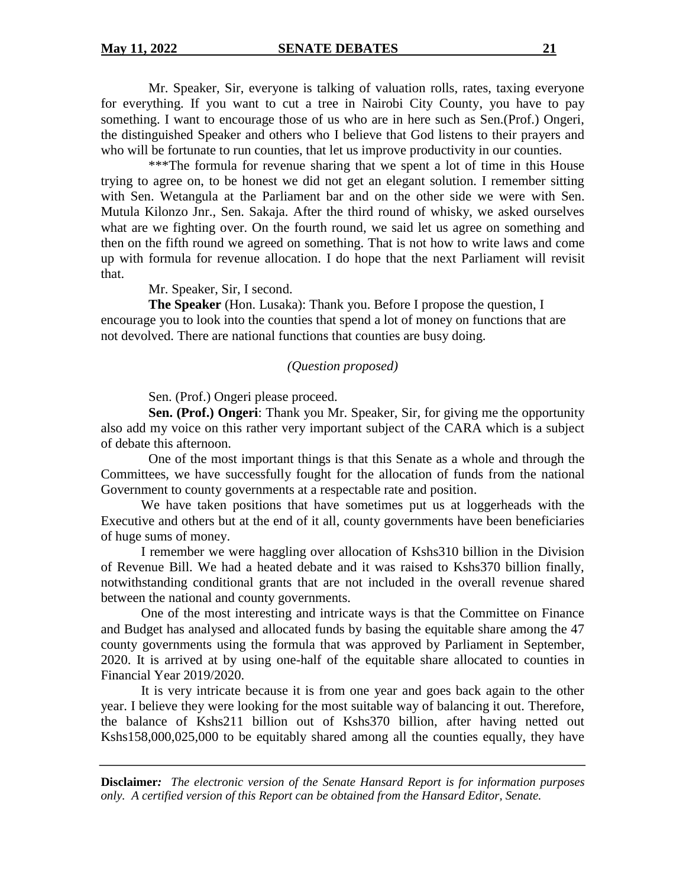Mr. Speaker, Sir, everyone is talking of valuation rolls, rates, taxing everyone for everything. If you want to cut a tree in Nairobi City County, you have to pay something. I want to encourage those of us who are in here such as Sen.(Prof.) Ongeri, the distinguished Speaker and others who I believe that God listens to their prayers and who will be fortunate to run counties, that let us improve productivity in our counties.

\*\*\*The formula for revenue sharing that we spent a lot of time in this House trying to agree on, to be honest we did not get an elegant solution. I remember sitting with Sen. Wetangula at the Parliament bar and on the other side we were with Sen. Mutula Kilonzo Jnr., Sen. Sakaja. After the third round of whisky, we asked ourselves what are we fighting over. On the fourth round, we said let us agree on something and then on the fifth round we agreed on something. That is not how to write laws and come up with formula for revenue allocation. I do hope that the next Parliament will revisit that.

Mr. Speaker, Sir, I second.

**The Speaker** (Hon. Lusaka): Thank you. Before I propose the question, I encourage you to look into the counties that spend a lot of money on functions that are not devolved. There are national functions that counties are busy doing.

#### *(Question proposed)*

Sen. (Prof.) Ongeri please proceed.

**Sen. (Prof.) Ongeri**: Thank you Mr. Speaker, Sir, for giving me the opportunity also add my voice on this rather very important subject of the CARA which is a subject of debate this afternoon.

One of the most important things is that this Senate as a whole and through the Committees, we have successfully fought for the allocation of funds from the national Government to county governments at a respectable rate and position.

We have taken positions that have sometimes put us at loggerheads with the Executive and others but at the end of it all, county governments have been beneficiaries of huge sums of money.

I remember we were haggling over allocation of Kshs310 billion in the Division of Revenue Bill. We had a heated debate and it was raised to Kshs370 billion finally, notwithstanding conditional grants that are not included in the overall revenue shared between the national and county governments.

One of the most interesting and intricate ways is that the Committee on Finance and Budget has analysed and allocated funds by basing the equitable share among the 47 county governments using the formula that was approved by Parliament in September, 2020. It is arrived at by using one-half of the equitable share allocated to counties in Financial Year 2019/2020.

It is very intricate because it is from one year and goes back again to the other year. I believe they were looking for the most suitable way of balancing it out. Therefore, the balance of Kshs211 billion out of Kshs370 billion, after having netted out Kshs158,000,025,000 to be equitably shared among all the counties equally, they have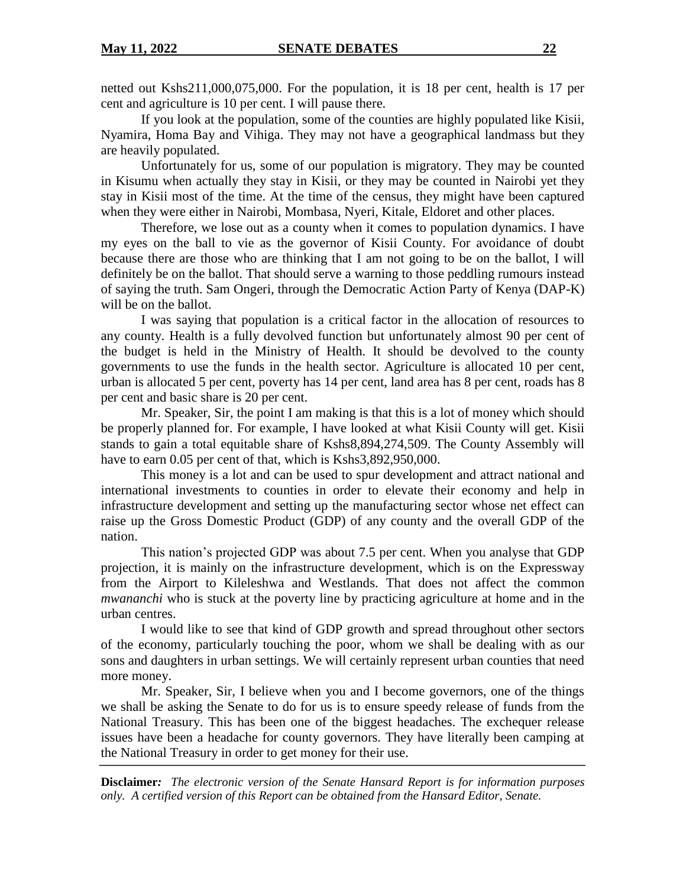netted out Kshs211,000,075,000. For the population, it is 18 per cent, health is 17 per cent and agriculture is 10 per cent. I will pause there.

If you look at the population, some of the counties are highly populated like Kisii, Nyamira, Homa Bay and Vihiga. They may not have a geographical landmass but they are heavily populated.

Unfortunately for us, some of our population is migratory. They may be counted in Kisumu when actually they stay in Kisii, or they may be counted in Nairobi yet they stay in Kisii most of the time. At the time of the census, they might have been captured when they were either in Nairobi, Mombasa, Nyeri, Kitale, Eldoret and other places.

Therefore, we lose out as a county when it comes to population dynamics. I have my eyes on the ball to vie as the governor of Kisii County. For avoidance of doubt because there are those who are thinking that I am not going to be on the ballot, I will definitely be on the ballot. That should serve a warning to those peddling rumours instead of saying the truth. Sam Ongeri, through the Democratic Action Party of Kenya (DAP-K) will be on the ballot.

I was saying that population is a critical factor in the allocation of resources to any county. Health is a fully devolved function but unfortunately almost 90 per cent of the budget is held in the Ministry of Health. It should be devolved to the county governments to use the funds in the health sector. Agriculture is allocated 10 per cent, urban is allocated 5 per cent, poverty has 14 per cent, land area has 8 per cent, roads has 8 per cent and basic share is 20 per cent.

Mr. Speaker, Sir, the point I am making is that this is a lot of money which should be properly planned for. For example, I have looked at what Kisii County will get. Kisii stands to gain a total equitable share of Kshs8,894,274,509. The County Assembly will have to earn 0.05 per cent of that, which is Kshs3,892,950,000.

This money is a lot and can be used to spur development and attract national and international investments to counties in order to elevate their economy and help in infrastructure development and setting up the manufacturing sector whose net effect can raise up the Gross Domestic Product (GDP) of any county and the overall GDP of the nation.

This nation's projected GDP was about 7.5 per cent. When you analyse that GDP projection, it is mainly on the infrastructure development, which is on the Expressway from the Airport to Kileleshwa and Westlands. That does not affect the common *mwananchi* who is stuck at the poverty line by practicing agriculture at home and in the urban centres.

I would like to see that kind of GDP growth and spread throughout other sectors of the economy, particularly touching the poor, whom we shall be dealing with as our sons and daughters in urban settings. We will certainly represent urban counties that need more money.

Mr. Speaker, Sir, I believe when you and I become governors, one of the things we shall be asking the Senate to do for us is to ensure speedy release of funds from the National Treasury. This has been one of the biggest headaches. The exchequer release issues have been a headache for county governors. They have literally been camping at the National Treasury in order to get money for their use.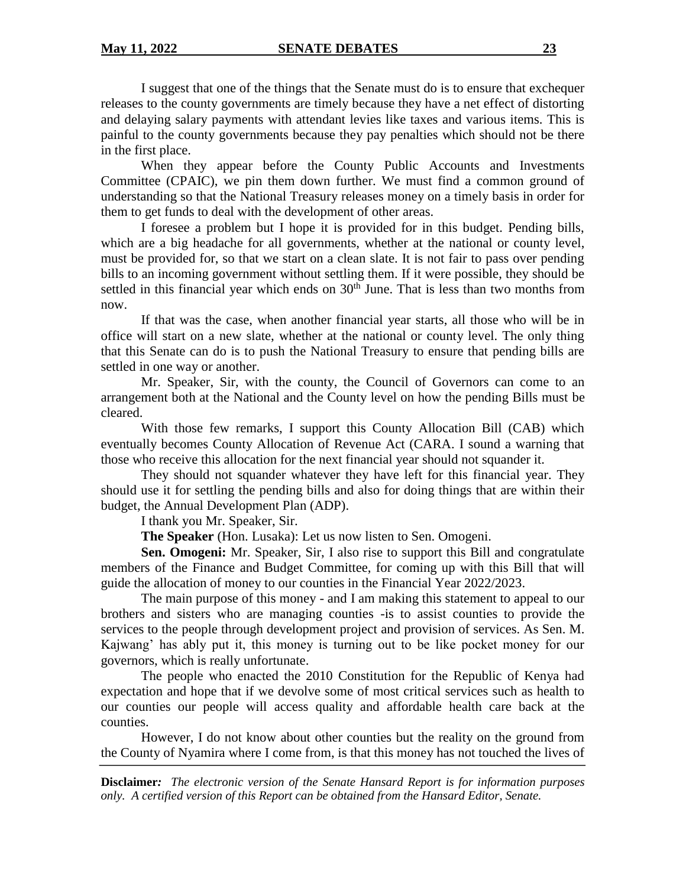I suggest that one of the things that the Senate must do is to ensure that exchequer releases to the county governments are timely because they have a net effect of distorting and delaying salary payments with attendant levies like taxes and various items. This is painful to the county governments because they pay penalties which should not be there in the first place.

When they appear before the County Public Accounts and Investments Committee (CPAIC), we pin them down further. We must find a common ground of understanding so that the National Treasury releases money on a timely basis in order for them to get funds to deal with the development of other areas.

I foresee a problem but I hope it is provided for in this budget. Pending bills, which are a big headache for all governments, whether at the national or county level, must be provided for, so that we start on a clean slate. It is not fair to pass over pending bills to an incoming government without settling them. If it were possible, they should be settled in this financial year which ends on  $30<sup>th</sup>$  June. That is less than two months from now.

If that was the case, when another financial year starts, all those who will be in office will start on a new slate, whether at the national or county level. The only thing that this Senate can do is to push the National Treasury to ensure that pending bills are settled in one way or another.

Mr. Speaker, Sir, with the county, the Council of Governors can come to an arrangement both at the National and the County level on how the pending Bills must be cleared.

With those few remarks, I support this County Allocation Bill (CAB) which eventually becomes County Allocation of Revenue Act (CARA. I sound a warning that those who receive this allocation for the next financial year should not squander it.

They should not squander whatever they have left for this financial year. They should use it for settling the pending bills and also for doing things that are within their budget, the Annual Development Plan (ADP).

I thank you Mr. Speaker, Sir.

**The Speaker** (Hon. Lusaka): Let us now listen to Sen. Omogeni.

**Sen. Omogeni:** Mr. Speaker, Sir, I also rise to support this Bill and congratulate members of the Finance and Budget Committee, for coming up with this Bill that will guide the allocation of money to our counties in the Financial Year 2022/2023.

The main purpose of this money - and I am making this statement to appeal to our brothers and sisters who are managing counties -is to assist counties to provide the services to the people through development project and provision of services. As Sen. M. Kajwang' has ably put it, this money is turning out to be like pocket money for our governors, which is really unfortunate.

The people who enacted the 2010 Constitution for the Republic of Kenya had expectation and hope that if we devolve some of most critical services such as health to our counties our people will access quality and affordable health care back at the counties.

However, I do not know about other counties but the reality on the ground from the County of Nyamira where I come from, is that this money has not touched the lives of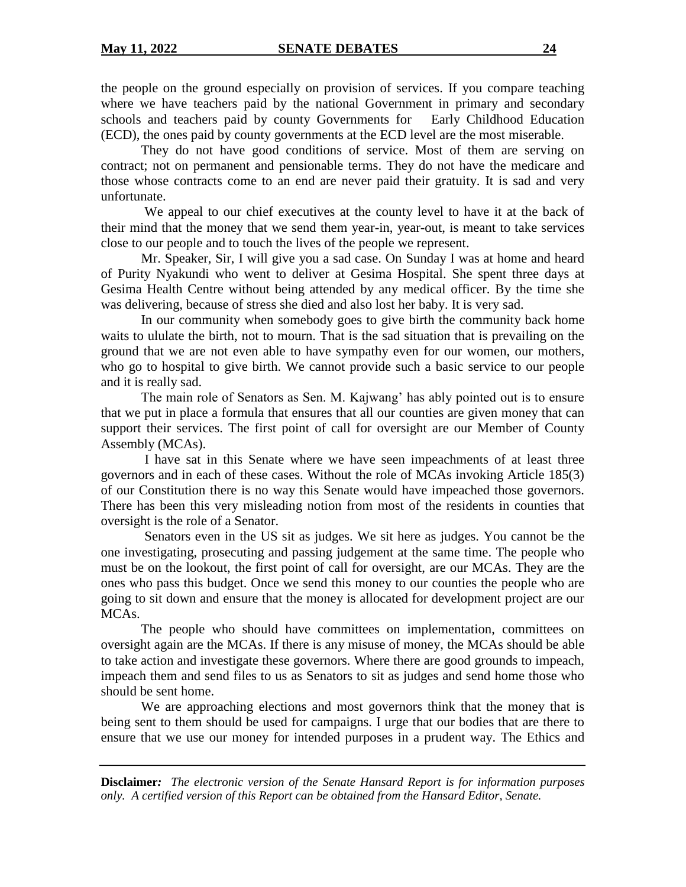the people on the ground especially on provision of services. If you compare teaching where we have teachers paid by the national Government in primary and secondary schools and teachers paid by county Governments for Early Childhood Education (ECD), the ones paid by county governments at the ECD level are the most miserable.

They do not have good conditions of service. Most of them are serving on contract; not on permanent and pensionable terms. They do not have the medicare and those whose contracts come to an end are never paid their gratuity. It is sad and very unfortunate.

We appeal to our chief executives at the county level to have it at the back of their mind that the money that we send them year-in, year-out, is meant to take services close to our people and to touch the lives of the people we represent.

Mr. Speaker, Sir, I will give you a sad case. On Sunday I was at home and heard of Purity Nyakundi who went to deliver at Gesima Hospital. She spent three days at Gesima Health Centre without being attended by any medical officer. By the time she was delivering, because of stress she died and also lost her baby. It is very sad.

In our community when somebody goes to give birth the community back home waits to ululate the birth, not to mourn. That is the sad situation that is prevailing on the ground that we are not even able to have sympathy even for our women, our mothers, who go to hospital to give birth. We cannot provide such a basic service to our people and it is really sad.

The main role of Senators as Sen. M. Kajwang' has ably pointed out is to ensure that we put in place a formula that ensures that all our counties are given money that can support their services. The first point of call for oversight are our Member of County Assembly (MCAs).

I have sat in this Senate where we have seen impeachments of at least three governors and in each of these cases. Without the role of MCAs invoking Article 185(3) of our Constitution there is no way this Senate would have impeached those governors. There has been this very misleading notion from most of the residents in counties that oversight is the role of a Senator.

Senators even in the US sit as judges. We sit here as judges. You cannot be the one investigating, prosecuting and passing judgement at the same time. The people who must be on the lookout, the first point of call for oversight, are our MCAs. They are the ones who pass this budget. Once we send this money to our counties the people who are going to sit down and ensure that the money is allocated for development project are our MCAs.

The people who should have committees on implementation, committees on oversight again are the MCAs. If there is any misuse of money, the MCAs should be able to take action and investigate these governors. Where there are good grounds to impeach, impeach them and send files to us as Senators to sit as judges and send home those who should be sent home.

We are approaching elections and most governors think that the money that is being sent to them should be used for campaigns. I urge that our bodies that are there to ensure that we use our money for intended purposes in a prudent way. The Ethics and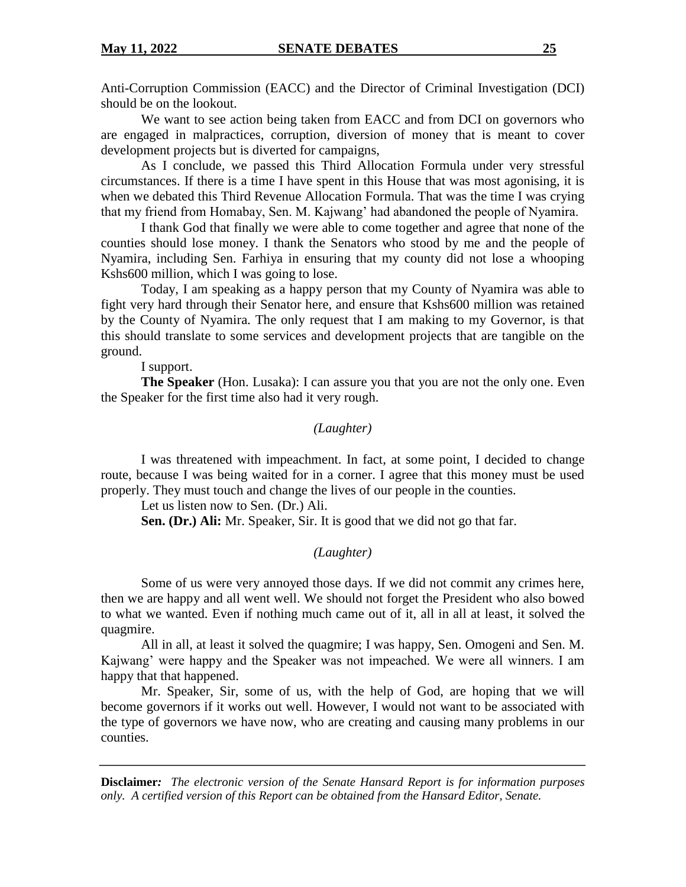Anti-Corruption Commission (EACC) and the Director of Criminal Investigation (DCI) should be on the lookout.

We want to see action being taken from EACC and from DCI on governors who are engaged in malpractices, corruption, diversion of money that is meant to cover development projects but is diverted for campaigns,

As I conclude, we passed this Third Allocation Formula under very stressful circumstances. If there is a time I have spent in this House that was most agonising, it is when we debated this Third Revenue Allocation Formula. That was the time I was crying that my friend from Homabay, Sen. M. Kajwang' had abandoned the people of Nyamira.

I thank God that finally we were able to come together and agree that none of the counties should lose money. I thank the Senators who stood by me and the people of Nyamira, including Sen. Farhiya in ensuring that my county did not lose a whooping Kshs600 million, which I was going to lose.

Today, I am speaking as a happy person that my County of Nyamira was able to fight very hard through their Senator here, and ensure that Kshs600 million was retained by the County of Nyamira. The only request that I am making to my Governor, is that this should translate to some services and development projects that are tangible on the ground.

I support.

**The Speaker** (Hon. Lusaka): I can assure you that you are not the only one. Even the Speaker for the first time also had it very rough.

#### *(Laughter)*

I was threatened with impeachment. In fact, at some point, I decided to change route, because I was being waited for in a corner. I agree that this money must be used properly. They must touch and change the lives of our people in the counties.

Let us listen now to Sen. (Dr.) Ali.

**Sen. (Dr.) Ali:** Mr. Speaker, Sir. It is good that we did not go that far.

#### *(Laughter)*

Some of us were very annoyed those days. If we did not commit any crimes here, then we are happy and all went well. We should not forget the President who also bowed to what we wanted. Even if nothing much came out of it, all in all at least, it solved the quagmire.

All in all, at least it solved the quagmire; I was happy, Sen. Omogeni and Sen. M. Kajwang' were happy and the Speaker was not impeached. We were all winners. I am happy that that happened.

Mr. Speaker, Sir, some of us, with the help of God, are hoping that we will become governors if it works out well. However, I would not want to be associated with the type of governors we have now, who are creating and causing many problems in our counties.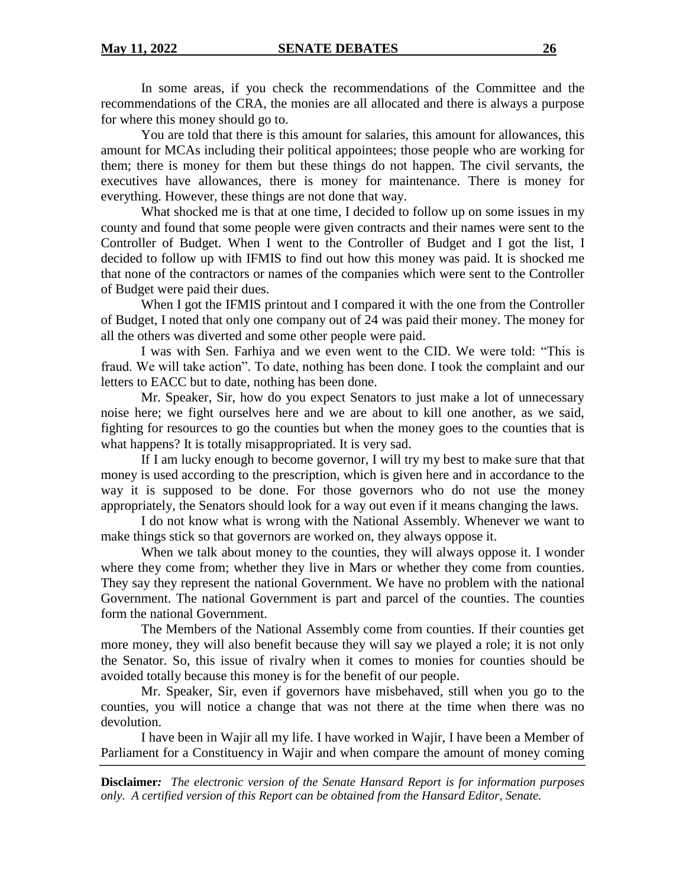In some areas, if you check the recommendations of the Committee and the recommendations of the CRA, the monies are all allocated and there is always a purpose for where this money should go to.

You are told that there is this amount for salaries, this amount for allowances, this amount for MCAs including their political appointees; those people who are working for them; there is money for them but these things do not happen. The civil servants, the executives have allowances, there is money for maintenance. There is money for everything. However, these things are not done that way.

What shocked me is that at one time, I decided to follow up on some issues in my county and found that some people were given contracts and their names were sent to the Controller of Budget. When I went to the Controller of Budget and I got the list, I decided to follow up with IFMIS to find out how this money was paid. It is shocked me that none of the contractors or names of the companies which were sent to the Controller of Budget were paid their dues.

When I got the IFMIS printout and I compared it with the one from the Controller of Budget, I noted that only one company out of 24 was paid their money. The money for all the others was diverted and some other people were paid.

I was with Sen. Farhiya and we even went to the CID. We were told: "This is fraud. We will take action". To date, nothing has been done. I took the complaint and our letters to EACC but to date, nothing has been done.

Mr. Speaker, Sir, how do you expect Senators to just make a lot of unnecessary noise here; we fight ourselves here and we are about to kill one another, as we said, fighting for resources to go the counties but when the money goes to the counties that is what happens? It is totally misappropriated. It is very sad.

If I am lucky enough to become governor, I will try my best to make sure that that money is used according to the prescription, which is given here and in accordance to the way it is supposed to be done. For those governors who do not use the money appropriately, the Senators should look for a way out even if it means changing the laws.

I do not know what is wrong with the National Assembly. Whenever we want to make things stick so that governors are worked on, they always oppose it.

When we talk about money to the counties, they will always oppose it. I wonder where they come from; whether they live in Mars or whether they come from counties. They say they represent the national Government. We have no problem with the national Government. The national Government is part and parcel of the counties. The counties form the national Government.

The Members of the National Assembly come from counties. If their counties get more money, they will also benefit because they will say we played a role; it is not only the Senator. So, this issue of rivalry when it comes to monies for counties should be avoided totally because this money is for the benefit of our people.

Mr. Speaker, Sir, even if governors have misbehaved, still when you go to the counties, you will notice a change that was not there at the time when there was no devolution.

I have been in Wajir all my life. I have worked in Wajir, I have been a Member of Parliament for a Constituency in Wajir and when compare the amount of money coming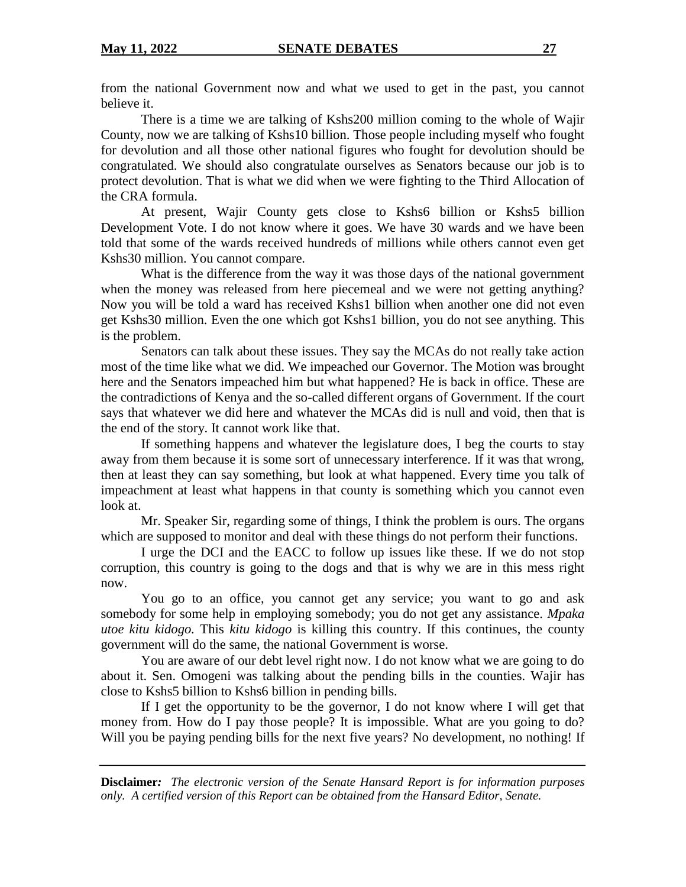from the national Government now and what we used to get in the past, you cannot believe it.

There is a time we are talking of Kshs200 million coming to the whole of Wajir County, now we are talking of Kshs10 billion. Those people including myself who fought for devolution and all those other national figures who fought for devolution should be congratulated. We should also congratulate ourselves as Senators because our job is to protect devolution. That is what we did when we were fighting to the Third Allocation of the CRA formula.

At present, Wajir County gets close to Kshs6 billion or Kshs5 billion Development Vote. I do not know where it goes. We have 30 wards and we have been told that some of the wards received hundreds of millions while others cannot even get Kshs30 million. You cannot compare.

What is the difference from the way it was those days of the national government when the money was released from here piecemeal and we were not getting anything? Now you will be told a ward has received Kshs1 billion when another one did not even get Kshs30 million. Even the one which got Kshs1 billion, you do not see anything. This is the problem.

Senators can talk about these issues. They say the MCAs do not really take action most of the time like what we did. We impeached our Governor. The Motion was brought here and the Senators impeached him but what happened? He is back in office. These are the contradictions of Kenya and the so-called different organs of Government. If the court says that whatever we did here and whatever the MCAs did is null and void, then that is the end of the story. It cannot work like that.

If something happens and whatever the legislature does, I beg the courts to stay away from them because it is some sort of unnecessary interference. If it was that wrong, then at least they can say something, but look at what happened. Every time you talk of impeachment at least what happens in that county is something which you cannot even look at.

Mr. Speaker Sir, regarding some of things, I think the problem is ours. The organs which are supposed to monitor and deal with these things do not perform their functions.

I urge the DCI and the EACC to follow up issues like these. If we do not stop corruption, this country is going to the dogs and that is why we are in this mess right now.

You go to an office, you cannot get any service; you want to go and ask somebody for some help in employing somebody; you do not get any assistance. *Mpaka utoe kitu kidogo.* This *kitu kidogo* is killing this country. If this continues, the county government will do the same, the national Government is worse.

You are aware of our debt level right now. I do not know what we are going to do about it. Sen. Omogeni was talking about the pending bills in the counties. Wajir has close to Kshs5 billion to Kshs6 billion in pending bills.

If I get the opportunity to be the governor, I do not know where I will get that money from. How do I pay those people? It is impossible. What are you going to do? Will you be paying pending bills for the next five years? No development, no nothing! If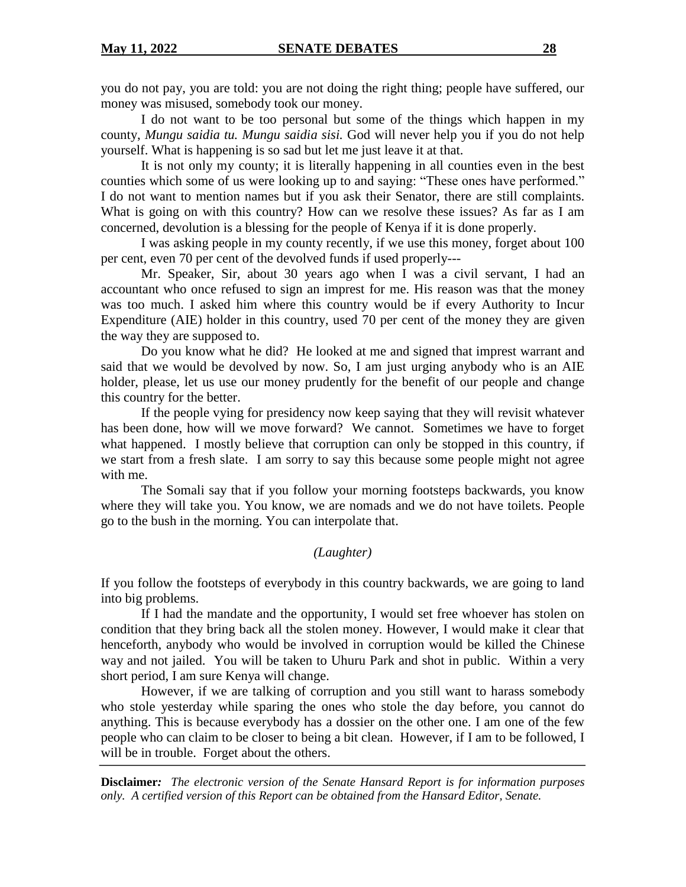you do not pay, you are told: you are not doing the right thing; people have suffered, our money was misused, somebody took our money.

I do not want to be too personal but some of the things which happen in my county, *Mungu saidia tu. Mungu saidia sisi.* God will never help you if you do not help yourself. What is happening is so sad but let me just leave it at that.

It is not only my county; it is literally happening in all counties even in the best counties which some of us were looking up to and saying: "These ones have performed." I do not want to mention names but if you ask their Senator, there are still complaints. What is going on with this country? How can we resolve these issues? As far as I am concerned, devolution is a blessing for the people of Kenya if it is done properly.

I was asking people in my county recently, if we use this money, forget about 100 per cent, even 70 per cent of the devolved funds if used properly---

Mr. Speaker, Sir, about 30 years ago when I was a civil servant, I had an accountant who once refused to sign an imprest for me. His reason was that the money was too much. I asked him where this country would be if every Authority to Incur Expenditure (AIE) holder in this country, used 70 per cent of the money they are given the way they are supposed to.

Do you know what he did? He looked at me and signed that imprest warrant and said that we would be devolved by now. So, I am just urging anybody who is an AIE holder, please, let us use our money prudently for the benefit of our people and change this country for the better.

If the people vying for presidency now keep saying that they will revisit whatever has been done, how will we move forward? We cannot. Sometimes we have to forget what happened. I mostly believe that corruption can only be stopped in this country, if we start from a fresh slate. I am sorry to say this because some people might not agree with me.

The Somali say that if you follow your morning footsteps backwards, you know where they will take you. You know, we are nomads and we do not have toilets. People go to the bush in the morning. You can interpolate that.

## *(Laughter)*

If you follow the footsteps of everybody in this country backwards, we are going to land into big problems.

If I had the mandate and the opportunity, I would set free whoever has stolen on condition that they bring back all the stolen money. However, I would make it clear that henceforth, anybody who would be involved in corruption would be killed the Chinese way and not jailed. You will be taken to Uhuru Park and shot in public. Within a very short period, I am sure Kenya will change.

However, if we are talking of corruption and you still want to harass somebody who stole yesterday while sparing the ones who stole the day before, you cannot do anything. This is because everybody has a dossier on the other one. I am one of the few people who can claim to be closer to being a bit clean. However, if I am to be followed, I will be in trouble. Forget about the others.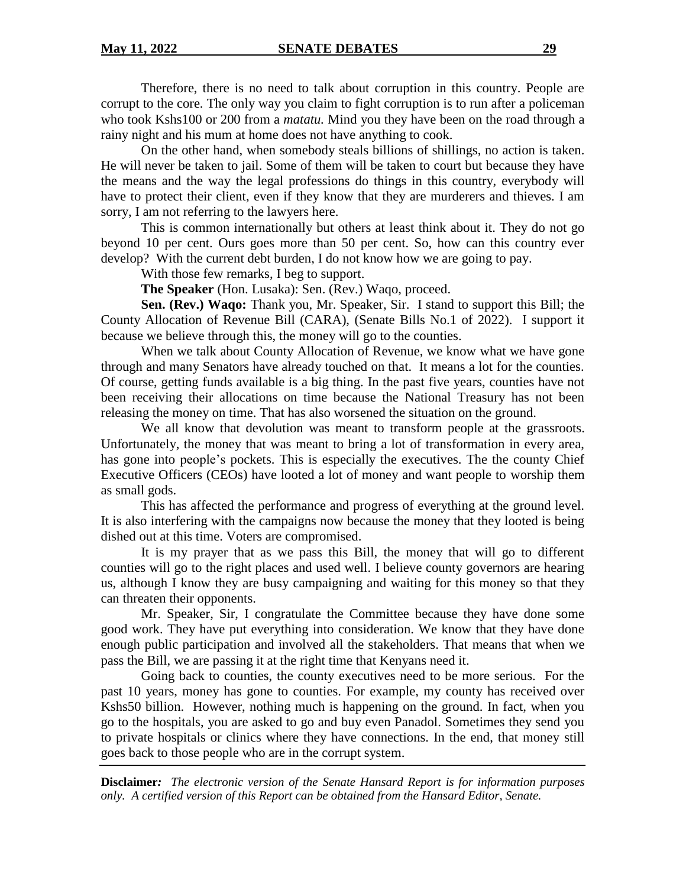Therefore, there is no need to talk about corruption in this country. People are corrupt to the core. The only way you claim to fight corruption is to run after a policeman who took Kshs100 or 200 from a *matatu.* Mind you they have been on the road through a rainy night and his mum at home does not have anything to cook.

On the other hand, when somebody steals billions of shillings, no action is taken. He will never be taken to jail. Some of them will be taken to court but because they have the means and the way the legal professions do things in this country, everybody will have to protect their client, even if they know that they are murderers and thieves. I am sorry, I am not referring to the lawyers here.

This is common internationally but others at least think about it. They do not go beyond 10 per cent. Ours goes more than 50 per cent. So, how can this country ever develop? With the current debt burden, I do not know how we are going to pay.

With those few remarks, I beg to support.

**The Speaker** (Hon. Lusaka): Sen. (Rev.) Waqo, proceed.

**Sen. (Rev.) Waqo:** Thank you, Mr. Speaker, Sir. I stand to support this Bill; the County Allocation of Revenue Bill (CARA), (Senate Bills No.1 of 2022). I support it because we believe through this, the money will go to the counties.

When we talk about County Allocation of Revenue, we know what we have gone through and many Senators have already touched on that. It means a lot for the counties. Of course, getting funds available is a big thing. In the past five years, counties have not been receiving their allocations on time because the National Treasury has not been releasing the money on time. That has also worsened the situation on the ground.

We all know that devolution was meant to transform people at the grassroots. Unfortunately, the money that was meant to bring a lot of transformation in every area, has gone into people's pockets. This is especially the executives. The the county Chief Executive Officers (CEOs) have looted a lot of money and want people to worship them as small gods.

This has affected the performance and progress of everything at the ground level. It is also interfering with the campaigns now because the money that they looted is being dished out at this time. Voters are compromised.

It is my prayer that as we pass this Bill, the money that will go to different counties will go to the right places and used well. I believe county governors are hearing us, although I know they are busy campaigning and waiting for this money so that they can threaten their opponents.

Mr. Speaker, Sir, I congratulate the Committee because they have done some good work. They have put everything into consideration. We know that they have done enough public participation and involved all the stakeholders. That means that when we pass the Bill, we are passing it at the right time that Kenyans need it.

Going back to counties, the county executives need to be more serious. For the past 10 years, money has gone to counties. For example, my county has received over Kshs50 billion. However, nothing much is happening on the ground. In fact, when you go to the hospitals, you are asked to go and buy even Panadol. Sometimes they send you to private hospitals or clinics where they have connections. In the end, that money still goes back to those people who are in the corrupt system.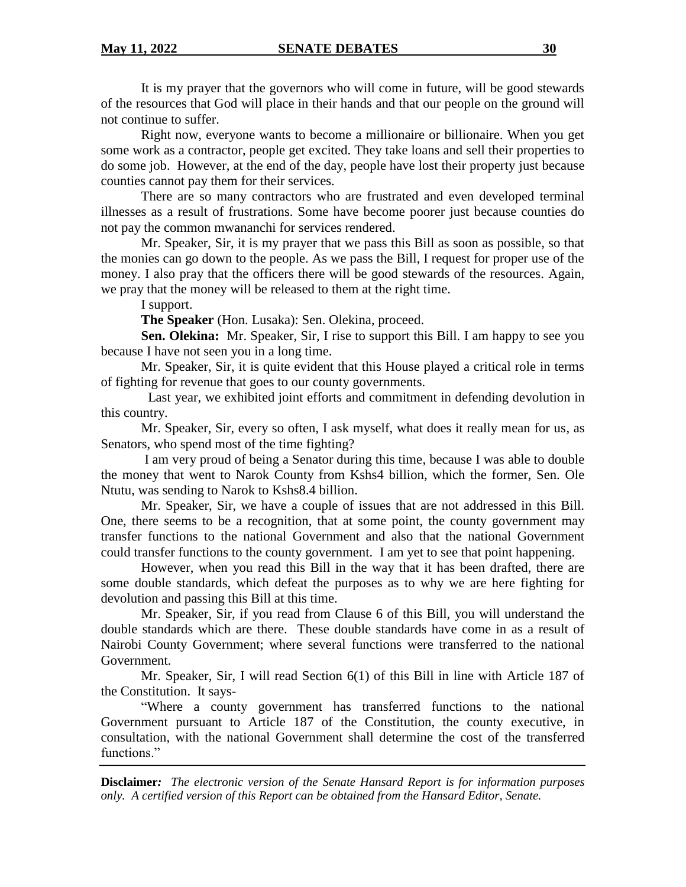It is my prayer that the governors who will come in future, will be good stewards of the resources that God will place in their hands and that our people on the ground will not continue to suffer.

Right now, everyone wants to become a millionaire or billionaire. When you get some work as a contractor, people get excited. They take loans and sell their properties to do some job. However, at the end of the day, people have lost their property just because counties cannot pay them for their services.

There are so many contractors who are frustrated and even developed terminal illnesses as a result of frustrations. Some have become poorer just because counties do not pay the common mwananchi for services rendered.

Mr. Speaker, Sir, it is my prayer that we pass this Bill as soon as possible, so that the monies can go down to the people. As we pass the Bill, I request for proper use of the money. I also pray that the officers there will be good stewards of the resources. Again, we pray that the money will be released to them at the right time.

I support.

**The Speaker** (Hon. Lusaka): Sen. Olekina, proceed.

**Sen. Olekina:** Mr. Speaker, Sir, I rise to support this Bill. I am happy to see you because I have not seen you in a long time.

Mr. Speaker, Sir, it is quite evident that this House played a critical role in terms of fighting for revenue that goes to our county governments.

 Last year, we exhibited joint efforts and commitment in defending devolution in this country.

Mr. Speaker, Sir, every so often, I ask myself, what does it really mean for us, as Senators, who spend most of the time fighting?

I am very proud of being a Senator during this time, because I was able to double the money that went to Narok County from Kshs4 billion, which the former, Sen. Ole Ntutu, was sending to Narok to Kshs8.4 billion.

Mr. Speaker, Sir, we have a couple of issues that are not addressed in this Bill. One, there seems to be a recognition, that at some point, the county government may transfer functions to the national Government and also that the national Government could transfer functions to the county government. I am yet to see that point happening.

However, when you read this Bill in the way that it has been drafted, there are some double standards, which defeat the purposes as to why we are here fighting for devolution and passing this Bill at this time.

Mr. Speaker, Sir, if you read from Clause 6 of this Bill, you will understand the double standards which are there. These double standards have come in as a result of Nairobi County Government; where several functions were transferred to the national Government.

Mr. Speaker, Sir, I will read Section 6(1) of this Bill in line with Article 187 of the Constitution. It says-

"Where a county government has transferred functions to the national Government pursuant to Article 187 of the Constitution, the county executive, in consultation, with the national Government shall determine the cost of the transferred functions."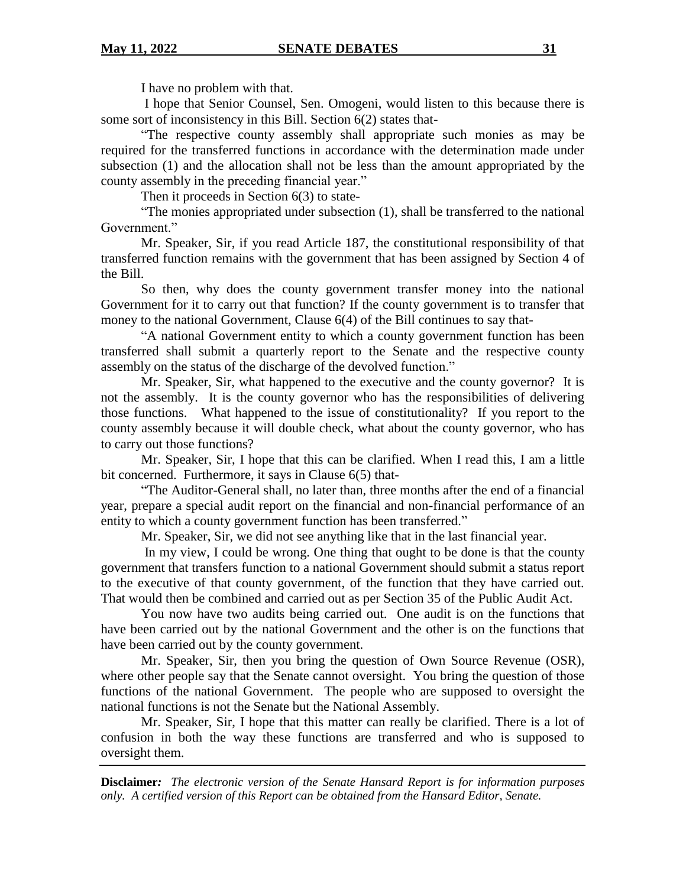I have no problem with that.

I hope that Senior Counsel, Sen. Omogeni, would listen to this because there is some sort of inconsistency in this Bill. Section 6(2) states that-

"The respective county assembly shall appropriate such monies as may be required for the transferred functions in accordance with the determination made under subsection (1) and the allocation shall not be less than the amount appropriated by the county assembly in the preceding financial year."

Then it proceeds in Section 6(3) to state-

"The monies appropriated under subsection (1), shall be transferred to the national Government."

Mr. Speaker, Sir, if you read Article 187, the constitutional responsibility of that transferred function remains with the government that has been assigned by Section 4 of the Bill.

So then, why does the county government transfer money into the national Government for it to carry out that function? If the county government is to transfer that money to the national Government, Clause 6(4) of the Bill continues to say that-

"A national Government entity to which a county government function has been transferred shall submit a quarterly report to the Senate and the respective county assembly on the status of the discharge of the devolved function."

Mr. Speaker, Sir, what happened to the executive and the county governor? It is not the assembly. It is the county governor who has the responsibilities of delivering those functions. What happened to the issue of constitutionality? If you report to the county assembly because it will double check, what about the county governor, who has to carry out those functions?

Mr. Speaker, Sir, I hope that this can be clarified. When I read this, I am a little bit concerned. Furthermore, it says in Clause 6(5) that-

"The Auditor-General shall, no later than, three months after the end of a financial year, prepare a special audit report on the financial and non-financial performance of an entity to which a county government function has been transferred."

Mr. Speaker, Sir, we did not see anything like that in the last financial year.

In my view, I could be wrong. One thing that ought to be done is that the county government that transfers function to a national Government should submit a status report to the executive of that county government, of the function that they have carried out. That would then be combined and carried out as per Section 35 of the Public Audit Act.

You now have two audits being carried out. One audit is on the functions that have been carried out by the national Government and the other is on the functions that have been carried out by the county government.

Mr. Speaker, Sir, then you bring the question of Own Source Revenue (OSR), where other people say that the Senate cannot oversight. You bring the question of those functions of the national Government. The people who are supposed to oversight the national functions is not the Senate but the National Assembly.

Mr. Speaker, Sir, I hope that this matter can really be clarified. There is a lot of confusion in both the way these functions are transferred and who is supposed to oversight them.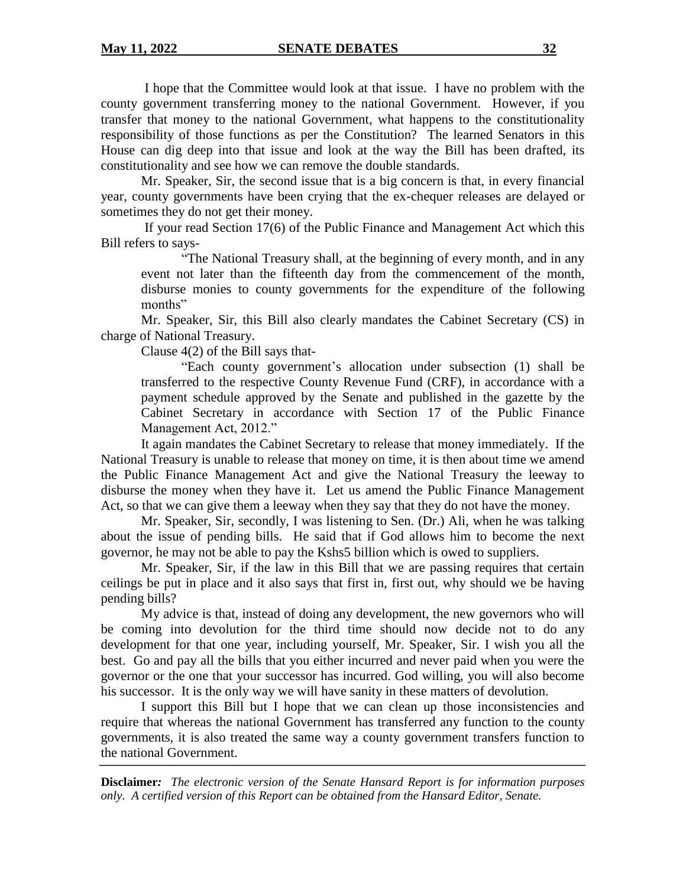I hope that the Committee would look at that issue. I have no problem with the county government transferring money to the national Government. However, if you transfer that money to the national Government, what happens to the constitutionality responsibility of those functions as per the Constitution? The learned Senators in this House can dig deep into that issue and look at the way the Bill has been drafted, its constitutionality and see how we can remove the double standards.

Mr. Speaker, Sir, the second issue that is a big concern is that, in every financial year, county governments have been crying that the ex-chequer releases are delayed or sometimes they do not get their money.

If your read Section 17(6) of the Public Finance and Management Act which this Bill refers to says-

"The National Treasury shall, at the beginning of every month, and in any event not later than the fifteenth day from the commencement of the month, disburse monies to county governments for the expenditure of the following months"

Mr. Speaker, Sir, this Bill also clearly mandates the Cabinet Secretary (CS) in charge of National Treasury.

Clause 4(2) of the Bill says that-

"Each county government's allocation under subsection (1) shall be transferred to the respective County Revenue Fund (CRF), in accordance with a payment schedule approved by the Senate and published in the gazette by the Cabinet Secretary in accordance with Section 17 of the Public Finance Management Act, 2012."

It again mandates the Cabinet Secretary to release that money immediately. If the National Treasury is unable to release that money on time, it is then about time we amend the Public Finance Management Act and give the National Treasury the leeway to disburse the money when they have it. Let us amend the Public Finance Management Act, so that we can give them a leeway when they say that they do not have the money.

Mr. Speaker, Sir, secondly, I was listening to Sen. (Dr.) Ali, when he was talking about the issue of pending bills. He said that if God allows him to become the next governor, he may not be able to pay the Kshs5 billion which is owed to suppliers.

Mr. Speaker, Sir, if the law in this Bill that we are passing requires that certain ceilings be put in place and it also says that first in, first out, why should we be having pending bills?

My advice is that, instead of doing any development, the new governors who will be coming into devolution for the third time should now decide not to do any development for that one year, including yourself, Mr. Speaker, Sir. I wish you all the best. Go and pay all the bills that you either incurred and never paid when you were the governor or the one that your successor has incurred. God willing, you will also become his successor. It is the only way we will have sanity in these matters of devolution.

I support this Bill but I hope that we can clean up those inconsistencies and require that whereas the national Government has transferred any function to the county governments, it is also treated the same way a county government transfers function to the national Government.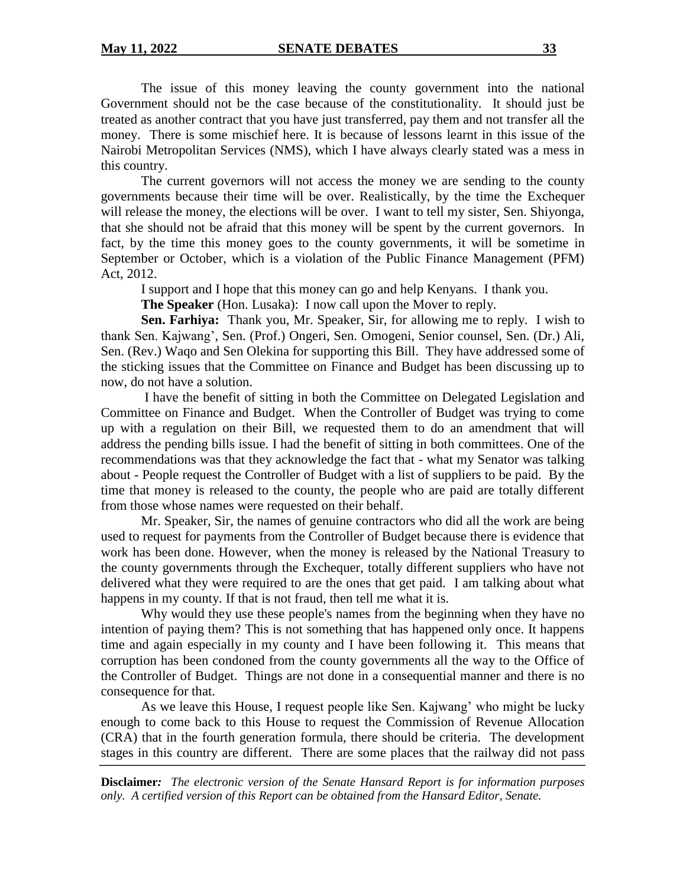The issue of this money leaving the county government into the national Government should not be the case because of the constitutionality. It should just be treated as another contract that you have just transferred, pay them and not transfer all the money. There is some mischief here. It is because of lessons learnt in this issue of the Nairobi Metropolitan Services (NMS), which I have always clearly stated was a mess in this country.

The current governors will not access the money we are sending to the county governments because their time will be over. Realistically, by the time the Exchequer will release the money, the elections will be over. I want to tell my sister, Sen. Shiyonga, that she should not be afraid that this money will be spent by the current governors. In fact, by the time this money goes to the county governments, it will be sometime in September or October, which is a violation of the Public Finance Management (PFM) Act, 2012.

I support and I hope that this money can go and help Kenyans. I thank you.

**The Speaker** (Hon. Lusaka): I now call upon the Mover to reply.

**Sen. Farhiya:** Thank you, Mr. Speaker, Sir, for allowing me to reply. I wish to thank Sen. Kajwang', Sen. (Prof.) Ongeri, Sen. Omogeni, Senior counsel, Sen. (Dr.) Ali, Sen. (Rev.) Waqo and Sen Olekina for supporting this Bill. They have addressed some of the sticking issues that the Committee on Finance and Budget has been discussing up to now, do not have a solution.

I have the benefit of sitting in both the Committee on Delegated Legislation and Committee on Finance and Budget. When the Controller of Budget was trying to come up with a regulation on their Bill, we requested them to do an amendment that will address the pending bills issue. I had the benefit of sitting in both committees. One of the recommendations was that they acknowledge the fact that - what my Senator was talking about - People request the Controller of Budget with a list of suppliers to be paid. By the time that money is released to the county, the people who are paid are totally different from those whose names were requested on their behalf.

Mr. Speaker, Sir, the names of genuine contractors who did all the work are being used to request for payments from the Controller of Budget because there is evidence that work has been done. However, when the money is released by the National Treasury to the county governments through the Exchequer, totally different suppliers who have not delivered what they were required to are the ones that get paid. I am talking about what happens in my county. If that is not fraud, then tell me what it is.

Why would they use these people's names from the beginning when they have no intention of paying them? This is not something that has happened only once. It happens time and again especially in my county and I have been following it. This means that corruption has been condoned from the county governments all the way to the Office of the Controller of Budget. Things are not done in a consequential manner and there is no consequence for that.

As we leave this House, I request people like Sen. Kajwang' who might be lucky enough to come back to this House to request the Commission of Revenue Allocation (CRA) that in the fourth generation formula, there should be criteria. The development stages in this country are different. There are some places that the railway did not pass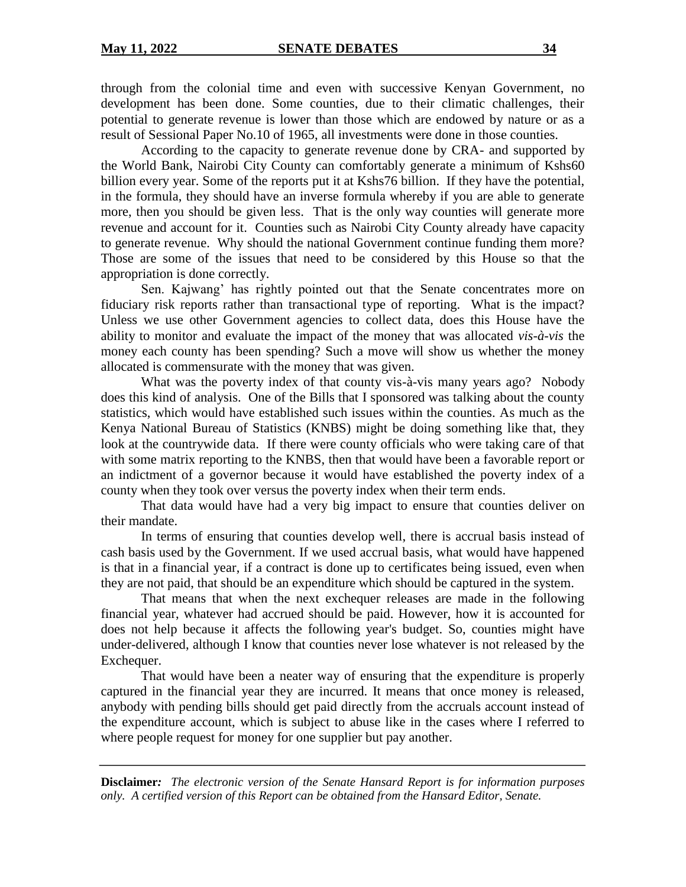through from the colonial time and even with successive Kenyan Government, no development has been done. Some counties, due to their climatic challenges, their potential to generate revenue is lower than those which are endowed by nature or as a result of Sessional Paper No.10 of 1965, all investments were done in those counties.

According to the capacity to generate revenue done by CRA- and supported by the World Bank, Nairobi City County can comfortably generate a minimum of Kshs60 billion every year. Some of the reports put it at Kshs76 billion. If they have the potential, in the formula, they should have an inverse formula whereby if you are able to generate more, then you should be given less. That is the only way counties will generate more revenue and account for it. Counties such as Nairobi City County already have capacity to generate revenue. Why should the national Government continue funding them more? Those are some of the issues that need to be considered by this House so that the appropriation is done correctly.

Sen. Kajwang' has rightly pointed out that the Senate concentrates more on fiduciary risk reports rather than transactional type of reporting. What is the impact? Unless we use other Government agencies to collect data, does this House have the ability to monitor and evaluate the impact of the money that was allocated *vis-à-vis* the money each county has been spending? Such a move will show us whether the money allocated is commensurate with the money that was given.

What was the poverty index of that county vis-à-vis many years ago? Nobody does this kind of analysis. One of the Bills that I sponsored was talking about the county statistics, which would have established such issues within the counties. As much as the Kenya National Bureau of Statistics (KNBS) might be doing something like that, they look at the countrywide data. If there were county officials who were taking care of that with some matrix reporting to the KNBS, then that would have been a favorable report or an indictment of a governor because it would have established the poverty index of a county when they took over versus the poverty index when their term ends.

That data would have had a very big impact to ensure that counties deliver on their mandate.

In terms of ensuring that counties develop well, there is accrual basis instead of cash basis used by the Government. If we used accrual basis, what would have happened is that in a financial year, if a contract is done up to certificates being issued, even when they are not paid, that should be an expenditure which should be captured in the system.

That means that when the next exchequer releases are made in the following financial year, whatever had accrued should be paid. However, how it is accounted for does not help because it affects the following year's budget. So, counties might have under-delivered, although I know that counties never lose whatever is not released by the Exchequer.

That would have been a neater way of ensuring that the expenditure is properly captured in the financial year they are incurred. It means that once money is released, anybody with pending bills should get paid directly from the accruals account instead of the expenditure account, which is subject to abuse like in the cases where I referred to where people request for money for one supplier but pay another.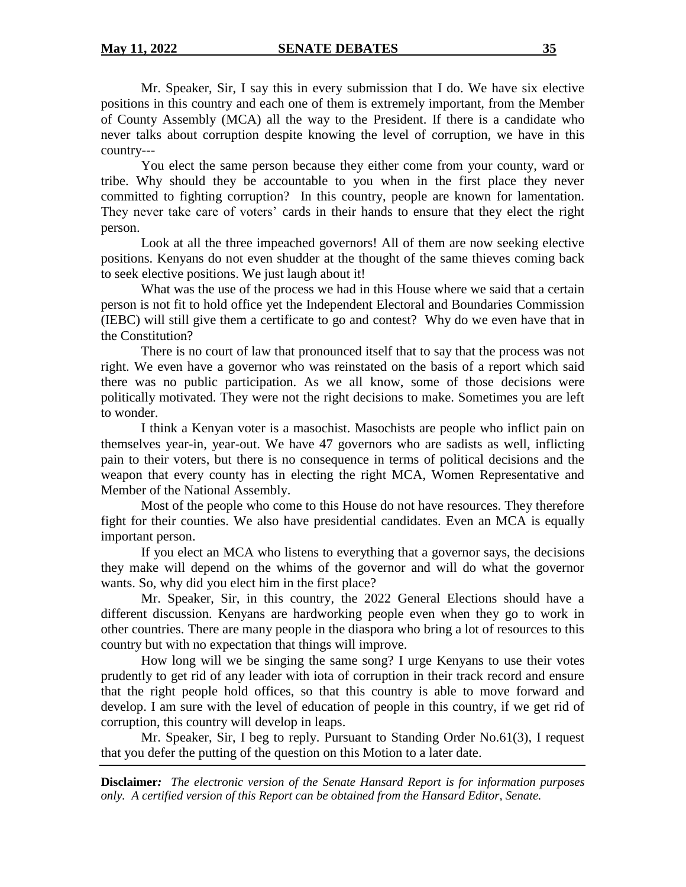Mr. Speaker, Sir, I say this in every submission that I do. We have six elective positions in this country and each one of them is extremely important, from the Member of County Assembly (MCA) all the way to the President. If there is a candidate who never talks about corruption despite knowing the level of corruption, we have in this country---

You elect the same person because they either come from your county, ward or tribe. Why should they be accountable to you when in the first place they never committed to fighting corruption? In this country, people are known for lamentation. They never take care of voters' cards in their hands to ensure that they elect the right person.

Look at all the three impeached governors! All of them are now seeking elective positions. Kenyans do not even shudder at the thought of the same thieves coming back to seek elective positions. We just laugh about it!

What was the use of the process we had in this House where we said that a certain person is not fit to hold office yet the Independent Electoral and Boundaries Commission (IEBC) will still give them a certificate to go and contest? Why do we even have that in the Constitution?

There is no court of law that pronounced itself that to say that the process was not right. We even have a governor who was reinstated on the basis of a report which said there was no public participation. As we all know, some of those decisions were politically motivated. They were not the right decisions to make. Sometimes you are left to wonder.

I think a Kenyan voter is a masochist. Masochists are people who inflict pain on themselves year-in, year-out. We have 47 governors who are sadists as well, inflicting pain to their voters, but there is no consequence in terms of political decisions and the weapon that every county has in electing the right MCA, Women Representative and Member of the National Assembly.

Most of the people who come to this House do not have resources. They therefore fight for their counties. We also have presidential candidates. Even an MCA is equally important person.

If you elect an MCA who listens to everything that a governor says, the decisions they make will depend on the whims of the governor and will do what the governor wants. So, why did you elect him in the first place?

Mr. Speaker, Sir, in this country, the 2022 General Elections should have a different discussion. Kenyans are hardworking people even when they go to work in other countries. There are many people in the diaspora who bring a lot of resources to this country but with no expectation that things will improve.

How long will we be singing the same song? I urge Kenyans to use their votes prudently to get rid of any leader with iota of corruption in their track record and ensure that the right people hold offices, so that this country is able to move forward and develop. I am sure with the level of education of people in this country, if we get rid of corruption, this country will develop in leaps.

Mr. Speaker, Sir, I beg to reply. Pursuant to Standing Order No.61(3), I request that you defer the putting of the question on this Motion to a later date.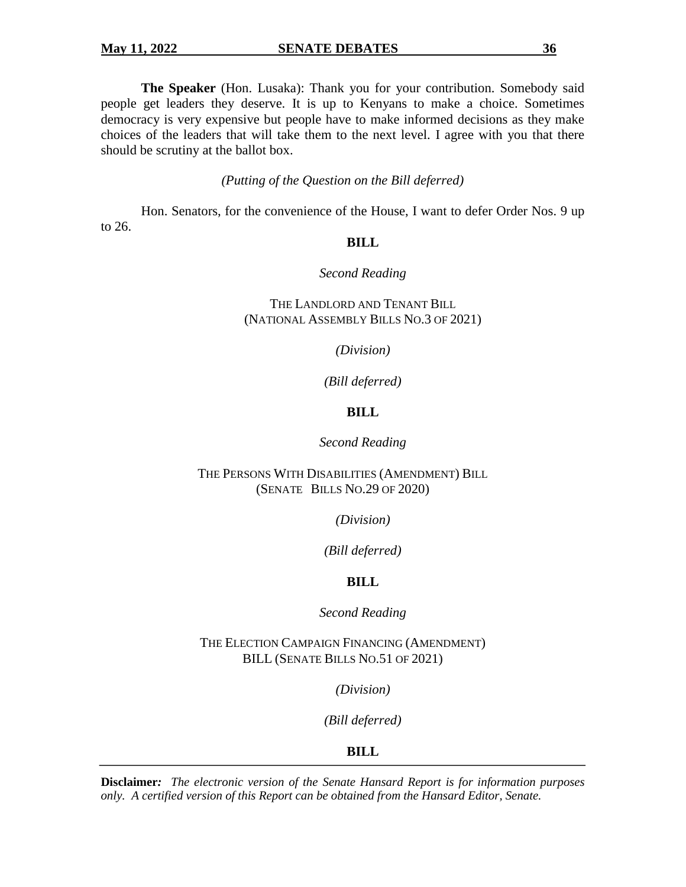**The Speaker** (Hon. Lusaka): Thank you for your contribution. Somebody said people get leaders they deserve. It is up to Kenyans to make a choice. Sometimes democracy is very expensive but people have to make informed decisions as they make choices of the leaders that will take them to the next level. I agree with you that there should be scrutiny at the ballot box.

*(Putting of the Question on the Bill deferred)*

Hon. Senators, for the convenience of the House, I want to defer Order Nos. 9 up to 26.

### **BILL**

### *Second Reading*

THE LANDLORD AND TENANT BILL (NATIONAL ASSEMBLY BILLS NO.3 OF 2021)

*(Division)*

*(Bill deferred)*

## **BILL**

#### *Second Reading*

## THE PERSONS WITH DISABILITIES (AMENDMENT) BILL (SENATE BILLS NO.29 OF 2020)

*(Division)*

*(Bill deferred)*

## **BILL**

*Second Reading*

THE ELECTION CAMPAIGN FINANCING (AMENDMENT) BILL (SENATE BILLS NO.51 OF 2021)

*(Division)*

*(Bill deferred)*

## **BILL**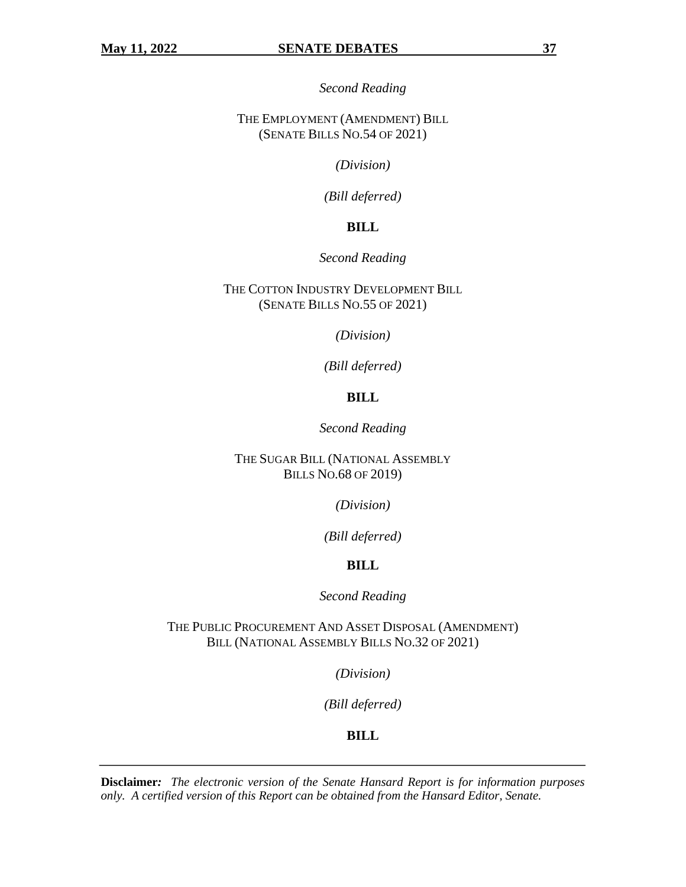*Second Reading*

THE EMPLOYMENT (AMENDMENT) BILL (SENATE BILLS NO.54 OF 2021)

*(Division)*

*(Bill deferred)*

## **BILL**

#### *Second Reading*

THE COTTON INDUSTRY DEVELOPMENT BILL (SENATE BILLS NO.55 OF 2021)

*(Division)*

*(Bill deferred)*

## **BILL**

*Second Reading*

THE SUGAR BILL (NATIONAL ASSEMBLY BILLS NO.68 OF 2019)

*(Division)*

*(Bill deferred)*

#### **BILL**

*Second Reading*

THE PUBLIC PROCUREMENT AND ASSET DISPOSAL (AMENDMENT) BILL (NATIONAL ASSEMBLY BILLS NO.32 OF 2021)

*(Division)*

*(Bill deferred)*

**BILL**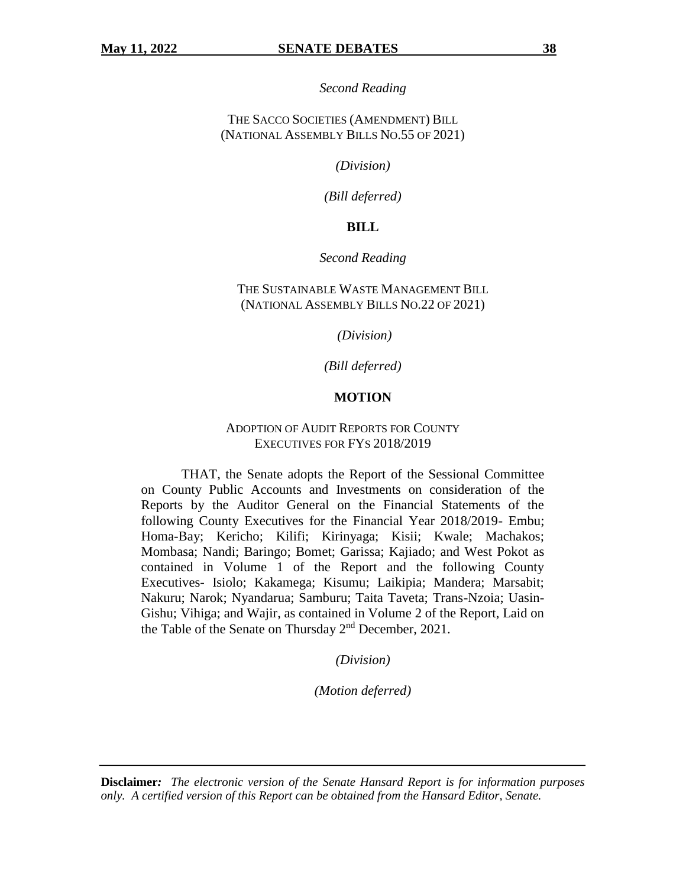*Second Reading*

THE SACCO SOCIETIES (AMENDMENT) BILL (NATIONAL ASSEMBLY BILLS NO.55 OF 2021)

*(Division)*

*(Bill deferred)*

#### **BILL**

#### *Second Reading*

## THE SUSTAINABLE WASTE MANAGEMENT BILL (NATIONAL ASSEMBLY BILLS NO.22 OF 2021)

*(Division)*

*(Bill deferred)*

#### **MOTION**

#### ADOPTION OF AUDIT REPORTS FOR COUNTY EXECUTIVES FOR FYS 2018/2019

THAT, the Senate adopts the Report of the Sessional Committee on County Public Accounts and Investments on consideration of the Reports by the Auditor General on the Financial Statements of the following County Executives for the Financial Year 2018/2019- Embu; Homa-Bay; Kericho; Kilifi; Kirinyaga; Kisii; Kwale; Machakos; Mombasa; Nandi; Baringo; Bomet; Garissa; Kajiado; and West Pokot as contained in Volume 1 of the Report and the following County Executives- Isiolo; Kakamega; Kisumu; Laikipia; Mandera; Marsabit; Nakuru; Narok; Nyandarua; Samburu; Taita Taveta; Trans-Nzoia; Uasin-Gishu; Vihiga; and Wajir, as contained in Volume 2 of the Report, Laid on the Table of the Senate on Thursday 2<sup>nd</sup> December, 2021.

*(Division)*

*(Motion deferred)*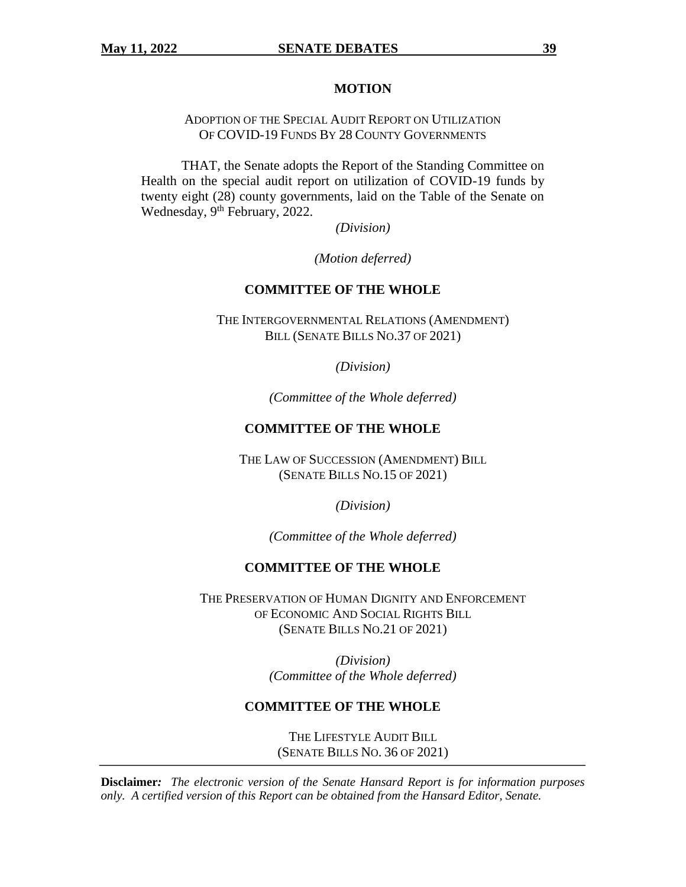#### **MOTION**

ADOPTION OF THE SPECIAL AUDIT REPORT ON UTILIZATION OF COVID-19 FUNDS BY 28 COUNTY GOVERNMENTS

THAT, the Senate adopts the Report of the Standing Committee on Health on the special audit report on utilization of COVID-19 funds by twenty eight (28) county governments, laid on the Table of the Senate on Wednesday, 9<sup>th</sup> February, 2022.

*(Division)*

*(Motion deferred)*

## **COMMITTEE OF THE WHOLE**

THE INTERGOVERNMENTAL RELATIONS (AMENDMENT) BILL (SENATE BILLS NO.37 OF 2021)

*(Division)*

*(Committee of the Whole deferred)*

#### **COMMITTEE OF THE WHOLE**

THE LAW OF SUCCESSION (AMENDMENT) BILL (SENATE BILLS NO.15 OF 2021)

*(Division)*

*(Committee of the Whole deferred)*

#### **COMMITTEE OF THE WHOLE**

THE PRESERVATION OF HUMAN DIGNITY AND ENFORCEMENT OF ECONOMIC AND SOCIAL RIGHTS BILL (SENATE BILLS NO.21 OF 2021)

> *(Division) (Committee of the Whole deferred)*

#### **COMMITTEE OF THE WHOLE**

THE LIFESTYLE AUDIT BILL (SENATE BILLS NO. 36 OF 2021)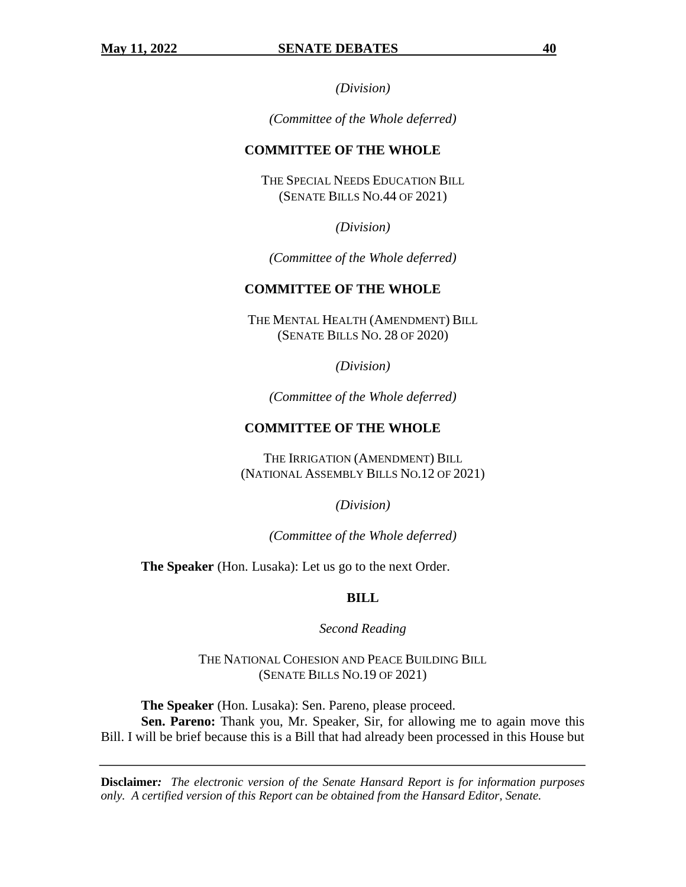*(Division)*

*(Committee of the Whole deferred)*

## **COMMITTEE OF THE WHOLE**

THE SPECIAL NEEDS EDUCATION BILL (SENATE BILLS NO.44 OF 2021)

*(Division)*

*(Committee of the Whole deferred)*

## **COMMITTEE OF THE WHOLE**

THE MENTAL HEALTH (AMENDMENT) BILL (SENATE BILLS NO. 28 OF 2020)

*(Division)*

*(Committee of the Whole deferred)*

## **COMMITTEE OF THE WHOLE**

THE IRRIGATION (AMENDMENT) BILL (NATIONAL ASSEMBLY BILLS NO.12 OF 2021)

*(Division)*

*(Committee of the Whole deferred)*

**The Speaker** (Hon. Lusaka): Let us go to the next Order.

## **BILL**

*Second Reading*

THE NATIONAL COHESION AND PEACE BUILDING BILL (SENATE BILLS NO.19 OF 2021)

**The Speaker** (Hon. Lusaka): Sen. Pareno, please proceed.

**Sen. Pareno:** Thank you, Mr. Speaker, Sir, for allowing me to again move this Bill. I will be brief because this is a Bill that had already been processed in this House but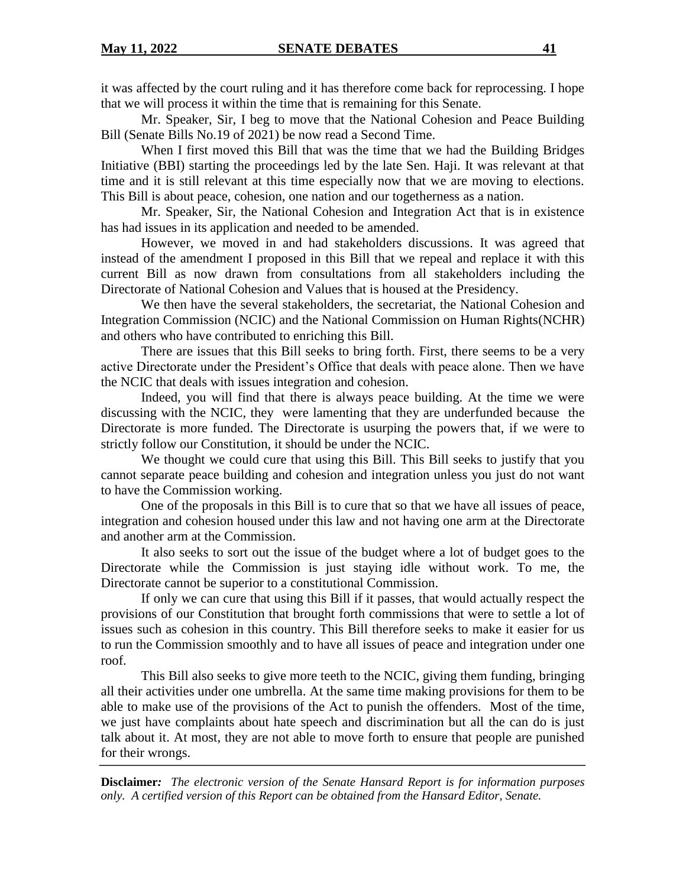it was affected by the court ruling and it has therefore come back for reprocessing. I hope that we will process it within the time that is remaining for this Senate.

Mr. Speaker, Sir, I beg to move that the National Cohesion and Peace Building Bill (Senate Bills No.19 of 2021) be now read a Second Time.

When I first moved this Bill that was the time that we had the Building Bridges Initiative (BBI) starting the proceedings led by the late Sen. Haji. It was relevant at that time and it is still relevant at this time especially now that we are moving to elections. This Bill is about peace, cohesion, one nation and our togetherness as a nation.

Mr. Speaker, Sir, the National Cohesion and Integration Act that is in existence has had issues in its application and needed to be amended.

However, we moved in and had stakeholders discussions. It was agreed that instead of the amendment I proposed in this Bill that we repeal and replace it with this current Bill as now drawn from consultations from all stakeholders including the Directorate of National Cohesion and Values that is housed at the Presidency.

We then have the several stakeholders, the secretariat, the National Cohesion and Integration Commission (NCIC) and the National Commission on Human Rights(NCHR) and others who have contributed to enriching this Bill.

There are issues that this Bill seeks to bring forth. First, there seems to be a very active Directorate under the President's Office that deals with peace alone. Then we have the NCIC that deals with issues integration and cohesion.

Indeed, you will find that there is always peace building. At the time we were discussing with the NCIC, they were lamenting that they are underfunded because the Directorate is more funded. The Directorate is usurping the powers that, if we were to strictly follow our Constitution, it should be under the NCIC.

We thought we could cure that using this Bill. This Bill seeks to justify that you cannot separate peace building and cohesion and integration unless you just do not want to have the Commission working.

One of the proposals in this Bill is to cure that so that we have all issues of peace, integration and cohesion housed under this law and not having one arm at the Directorate and another arm at the Commission.

It also seeks to sort out the issue of the budget where a lot of budget goes to the Directorate while the Commission is just staying idle without work. To me, the Directorate cannot be superior to a constitutional Commission.

If only we can cure that using this Bill if it passes, that would actually respect the provisions of our Constitution that brought forth commissions that were to settle a lot of issues such as cohesion in this country. This Bill therefore seeks to make it easier for us to run the Commission smoothly and to have all issues of peace and integration under one roof.

This Bill also seeks to give more teeth to the NCIC, giving them funding, bringing all their activities under one umbrella. At the same time making provisions for them to be able to make use of the provisions of the Act to punish the offenders. Most of the time, we just have complaints about hate speech and discrimination but all the can do is just talk about it. At most, they are not able to move forth to ensure that people are punished for their wrongs.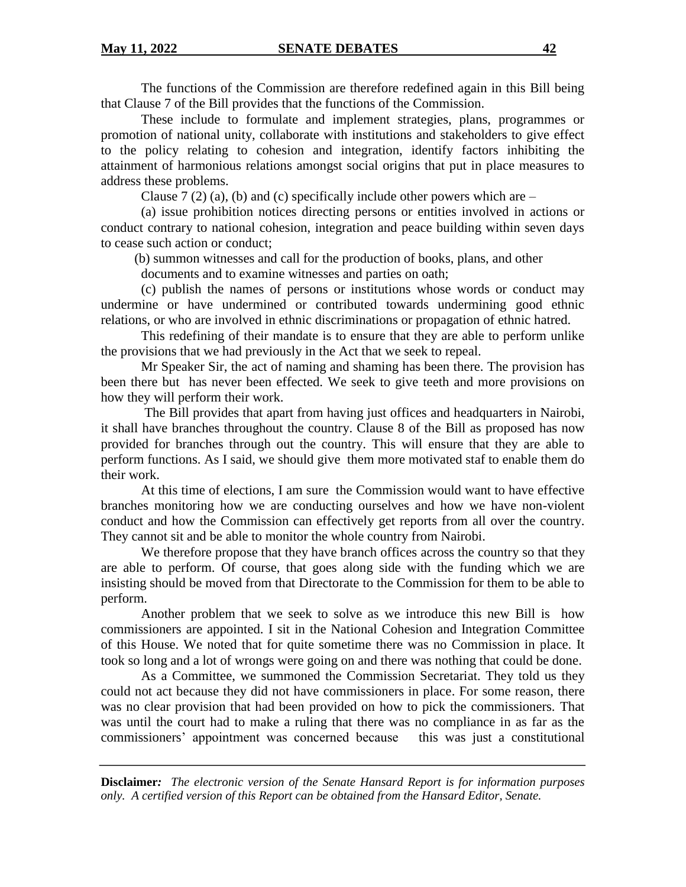The functions of the Commission are therefore redefined again in this Bill being that Clause 7 of the Bill provides that the functions of the Commission.

These include to formulate and implement strategies, plans, programmes or promotion of national unity, collaborate with institutions and stakeholders to give effect to the policy relating to cohesion and integration, identify factors inhibiting the attainment of harmonious relations amongst social origins that put in place measures to address these problems.

Clause 7 (2) (a), (b) and (c) specifically include other powers which are  $-$ 

(a) issue prohibition notices directing persons or entities involved in actions or conduct contrary to national cohesion, integration and peace building within seven days to cease such action or conduct;

(b) summon witnesses and call for the production of books, plans, and other

documents and to examine witnesses and parties on oath;

(c) publish the names of persons or institutions whose words or conduct may undermine or have undermined or contributed towards undermining good ethnic relations, or who are involved in ethnic discriminations or propagation of ethnic hatred.

This redefining of their mandate is to ensure that they are able to perform unlike the provisions that we had previously in the Act that we seek to repeal.

Mr Speaker Sir, the act of naming and shaming has been there. The provision has been there but has never been effected. We seek to give teeth and more provisions on how they will perform their work.

The Bill provides that apart from having just offices and headquarters in Nairobi, it shall have branches throughout the country. Clause 8 of the Bill as proposed has now provided for branches through out the country. This will ensure that they are able to perform functions. As I said, we should give them more motivated staf to enable them do their work.

At this time of elections, I am sure the Commission would want to have effective branches monitoring how we are conducting ourselves and how we have non-violent conduct and how the Commission can effectively get reports from all over the country. They cannot sit and be able to monitor the whole country from Nairobi.

We therefore propose that they have branch offices across the country so that they are able to perform. Of course, that goes along side with the funding which we are insisting should be moved from that Directorate to the Commission for them to be able to perform.

Another problem that we seek to solve as we introduce this new Bill is how commissioners are appointed. I sit in the National Cohesion and Integration Committee of this House. We noted that for quite sometime there was no Commission in place. It took so long and a lot of wrongs were going on and there was nothing that could be done.

As a Committee, we summoned the Commission Secretariat. They told us they could not act because they did not have commissioners in place. For some reason, there was no clear provision that had been provided on how to pick the commissioners. That was until the court had to make a ruling that there was no compliance in as far as the commissioners' appointment was concerned because this was just a constitutional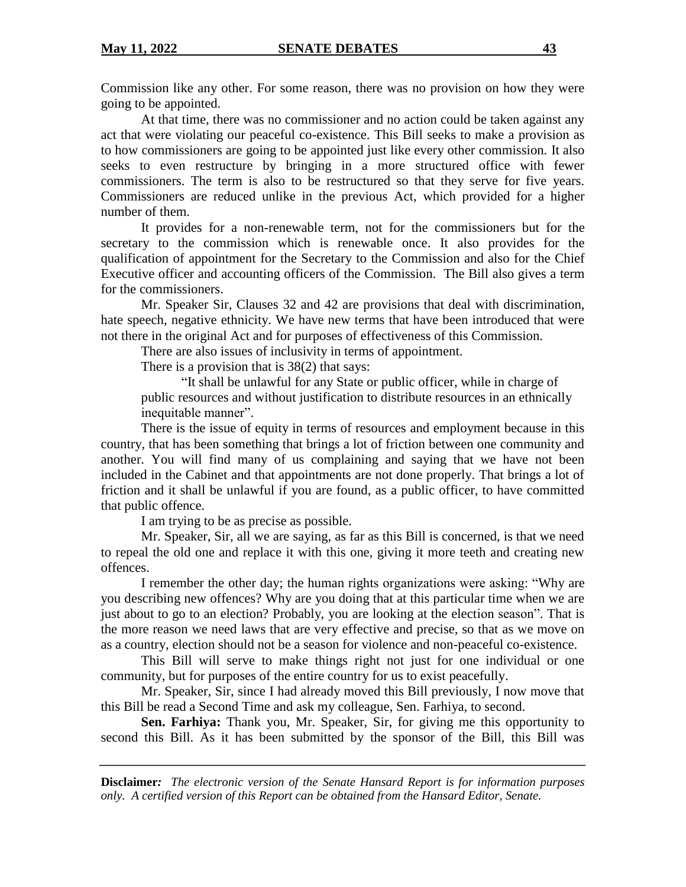Commission like any other. For some reason, there was no provision on how they were going to be appointed.

At that time, there was no commissioner and no action could be taken against any act that were violating our peaceful co-existence. This Bill seeks to make a provision as to how commissioners are going to be appointed just like every other commission. It also seeks to even restructure by bringing in a more structured office with fewer commissioners. The term is also to be restructured so that they serve for five years. Commissioners are reduced unlike in the previous Act, which provided for a higher number of them.

It provides for a non-renewable term, not for the commissioners but for the secretary to the commission which is renewable once. It also provides for the qualification of appointment for the Secretary to the Commission and also for the Chief Executive officer and accounting officers of the Commission. The Bill also gives a term for the commissioners.

Mr. Speaker Sir, Clauses 32 and 42 are provisions that deal with discrimination, hate speech, negative ethnicity. We have new terms that have been introduced that were not there in the original Act and for purposes of effectiveness of this Commission.

There are also issues of inclusivity in terms of appointment.

There is a provision that is 38(2) that says:

"It shall be unlawful for any State or public officer, while in charge of public resources and without justification to distribute resources in an ethnically inequitable manner".

There is the issue of equity in terms of resources and employment because in this country, that has been something that brings a lot of friction between one community and another. You will find many of us complaining and saying that we have not been included in the Cabinet and that appointments are not done properly. That brings a lot of friction and it shall be unlawful if you are found, as a public officer, to have committed that public offence.

I am trying to be as precise as possible.

Mr. Speaker, Sir, all we are saying, as far as this Bill is concerned, is that we need to repeal the old one and replace it with this one, giving it more teeth and creating new offences.

I remember the other day; the human rights organizations were asking: "Why are you describing new offences? Why are you doing that at this particular time when we are just about to go to an election? Probably, you are looking at the election season". That is the more reason we need laws that are very effective and precise, so that as we move on as a country, election should not be a season for violence and non-peaceful co-existence.

This Bill will serve to make things right not just for one individual or one community, but for purposes of the entire country for us to exist peacefully.

Mr. Speaker, Sir, since I had already moved this Bill previously, I now move that this Bill be read a Second Time and ask my colleague, Sen. Farhiya, to second.

**Sen. Farhiya:** Thank you, Mr. Speaker, Sir, for giving me this opportunity to second this Bill. As it has been submitted by the sponsor of the Bill, this Bill was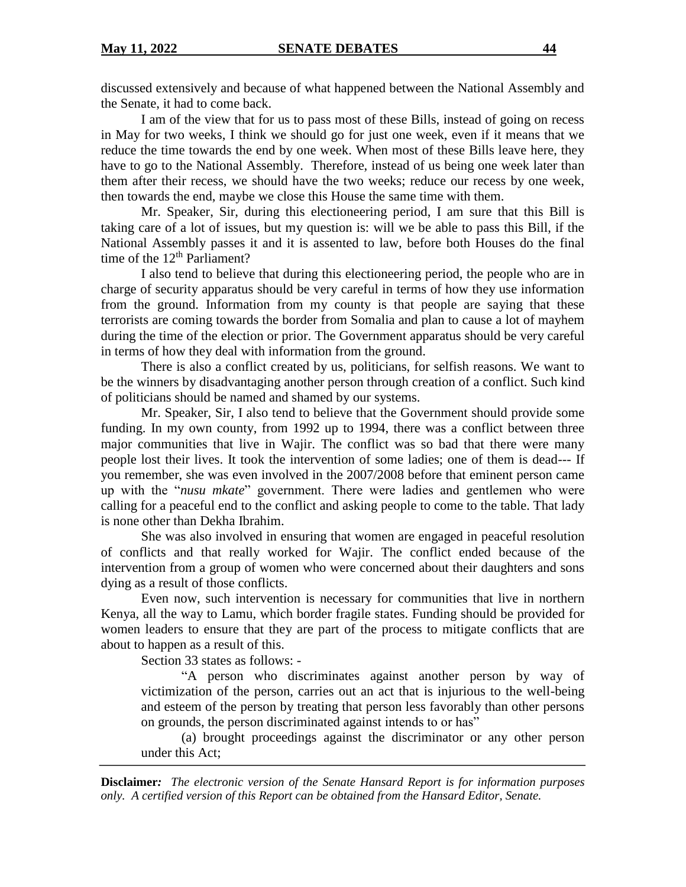discussed extensively and because of what happened between the National Assembly and the Senate, it had to come back.

I am of the view that for us to pass most of these Bills, instead of going on recess in May for two weeks, I think we should go for just one week, even if it means that we reduce the time towards the end by one week. When most of these Bills leave here, they have to go to the National Assembly. Therefore, instead of us being one week later than them after their recess, we should have the two weeks; reduce our recess by one week, then towards the end, maybe we close this House the same time with them.

Mr. Speaker, Sir, during this electioneering period, I am sure that this Bill is taking care of a lot of issues, but my question is: will we be able to pass this Bill, if the National Assembly passes it and it is assented to law, before both Houses do the final time of the 12<sup>th</sup> Parliament?

I also tend to believe that during this electioneering period, the people who are in charge of security apparatus should be very careful in terms of how they use information from the ground. Information from my county is that people are saying that these terrorists are coming towards the border from Somalia and plan to cause a lot of mayhem during the time of the election or prior. The Government apparatus should be very careful in terms of how they deal with information from the ground.

There is also a conflict created by us, politicians, for selfish reasons. We want to be the winners by disadvantaging another person through creation of a conflict. Such kind of politicians should be named and shamed by our systems.

Mr. Speaker, Sir, I also tend to believe that the Government should provide some funding. In my own county, from 1992 up to 1994, there was a conflict between three major communities that live in Wajir. The conflict was so bad that there were many people lost their lives. It took the intervention of some ladies; one of them is dead--- If you remember, she was even involved in the 2007/2008 before that eminent person came up with the "*nusu mkate*" government. There were ladies and gentlemen who were calling for a peaceful end to the conflict and asking people to come to the table. That lady is none other than Dekha Ibrahim.

She was also involved in ensuring that women are engaged in peaceful resolution of conflicts and that really worked for Wajir. The conflict ended because of the intervention from a group of women who were concerned about their daughters and sons dying as a result of those conflicts.

Even now, such intervention is necessary for communities that live in northern Kenya, all the way to Lamu, which border fragile states. Funding should be provided for women leaders to ensure that they are part of the process to mitigate conflicts that are about to happen as a result of this.

Section 33 states as follows: -

"A person who discriminates against another person by way of victimization of the person, carries out an act that is injurious to the well-being and esteem of the person by treating that person less favorably than other persons on grounds, the person discriminated against intends to or has"

(a) brought proceedings against the discriminator or any other person under this Act;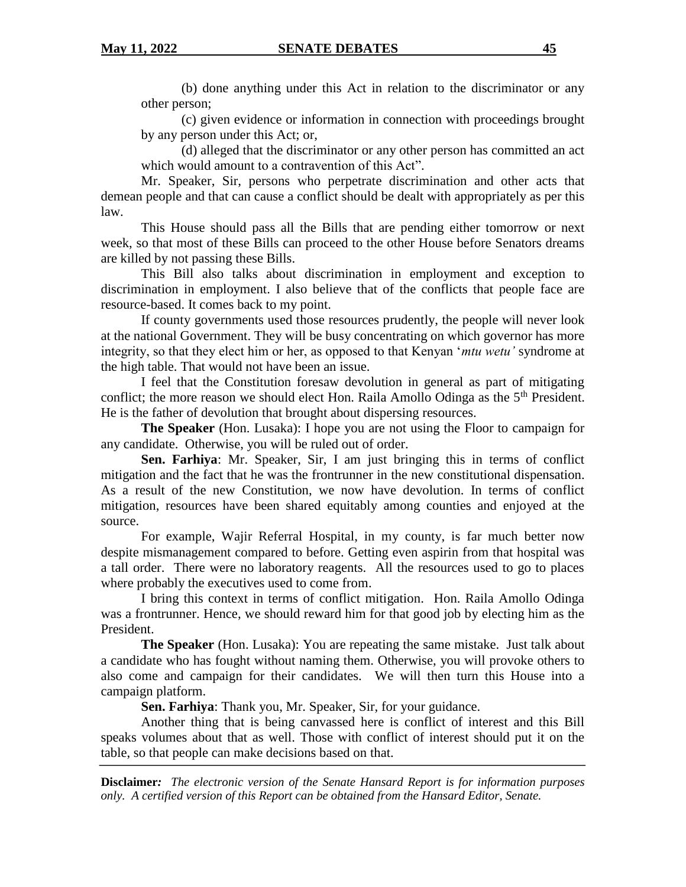(b) done anything under this Act in relation to the discriminator or any other person;

(c) given evidence or information in connection with proceedings brought by any person under this Act; or,

(d) alleged that the discriminator or any other person has committed an act which would amount to a contravention of this Act".

Mr. Speaker, Sir, persons who perpetrate discrimination and other acts that demean people and that can cause a conflict should be dealt with appropriately as per this law.

This House should pass all the Bills that are pending either tomorrow or next week, so that most of these Bills can proceed to the other House before Senators dreams are killed by not passing these Bills.

This Bill also talks about discrimination in employment and exception to discrimination in employment. I also believe that of the conflicts that people face are resource-based. It comes back to my point.

If county governments used those resources prudently, the people will never look at the national Government. They will be busy concentrating on which governor has more integrity, so that they elect him or her, as opposed to that Kenyan '*mtu wetu'* syndrome at the high table. That would not have been an issue.

I feel that the Constitution foresaw devolution in general as part of mitigating conflict; the more reason we should elect Hon. Raila Amollo Odinga as the  $5<sup>th</sup>$  President. He is the father of devolution that brought about dispersing resources.

**The Speaker** (Hon. Lusaka): I hope you are not using the Floor to campaign for any candidate. Otherwise, you will be ruled out of order.

**Sen. Farhiya**: Mr. Speaker, Sir, I am just bringing this in terms of conflict mitigation and the fact that he was the frontrunner in the new constitutional dispensation. As a result of the new Constitution, we now have devolution. In terms of conflict mitigation, resources have been shared equitably among counties and enjoyed at the source.

For example, Wajir Referral Hospital, in my county, is far much better now despite mismanagement compared to before. Getting even aspirin from that hospital was a tall order. There were no laboratory reagents. All the resources used to go to places where probably the executives used to come from.

I bring this context in terms of conflict mitigation. Hon. Raila Amollo Odinga was a frontrunner. Hence, we should reward him for that good job by electing him as the President.

**The Speaker** (Hon. Lusaka): You are repeating the same mistake. Just talk about a candidate who has fought without naming them. Otherwise, you will provoke others to also come and campaign for their candidates. We will then turn this House into a campaign platform.

**Sen. Farhiya**: Thank you, Mr. Speaker, Sir, for your guidance.

Another thing that is being canvassed here is conflict of interest and this Bill speaks volumes about that as well. Those with conflict of interest should put it on the table, so that people can make decisions based on that.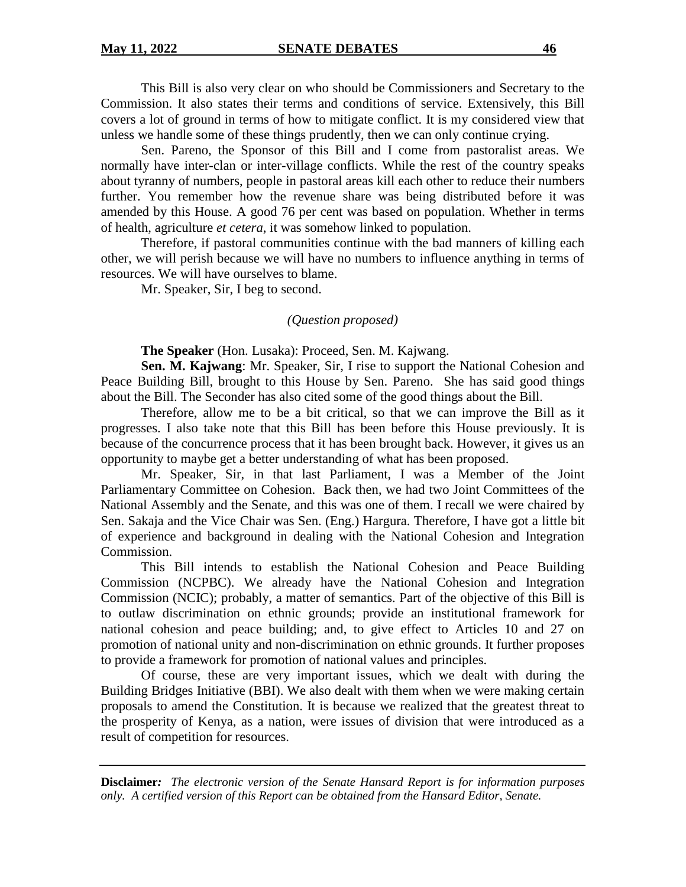This Bill is also very clear on who should be Commissioners and Secretary to the Commission. It also states their terms and conditions of service. Extensively, this Bill covers a lot of ground in terms of how to mitigate conflict. It is my considered view that unless we handle some of these things prudently, then we can only continue crying.

Sen. Pareno, the Sponsor of this Bill and I come from pastoralist areas. We normally have inter-clan or inter-village conflicts. While the rest of the country speaks about tyranny of numbers, people in pastoral areas kill each other to reduce their numbers further. You remember how the revenue share was being distributed before it was amended by this House. A good 76 per cent was based on population. Whether in terms of health, agriculture *et cetera*, it was somehow linked to population.

Therefore, if pastoral communities continue with the bad manners of killing each other, we will perish because we will have no numbers to influence anything in terms of resources. We will have ourselves to blame.

Mr. Speaker, Sir, I beg to second.

### *(Question proposed)*

**The Speaker** (Hon. Lusaka): Proceed, Sen. M. Kajwang.

**Sen. M. Kajwang**: Mr. Speaker, Sir, I rise to support the National Cohesion and Peace Building Bill, brought to this House by Sen. Pareno. She has said good things about the Bill. The Seconder has also cited some of the good things about the Bill.

Therefore, allow me to be a bit critical, so that we can improve the Bill as it progresses. I also take note that this Bill has been before this House previously. It is because of the concurrence process that it has been brought back. However, it gives us an opportunity to maybe get a better understanding of what has been proposed.

Mr. Speaker, Sir, in that last Parliament, I was a Member of the Joint Parliamentary Committee on Cohesion. Back then, we had two Joint Committees of the National Assembly and the Senate, and this was one of them. I recall we were chaired by Sen. Sakaja and the Vice Chair was Sen. (Eng.) Hargura. Therefore, I have got a little bit of experience and background in dealing with the National Cohesion and Integration Commission.

This Bill intends to establish the National Cohesion and Peace Building Commission (NCPBC). We already have the National Cohesion and Integration Commission (NCIC); probably, a matter of semantics. Part of the objective of this Bill is to outlaw discrimination on ethnic grounds; provide an institutional framework for national cohesion and peace building; and, to give effect to Articles 10 and 27 on promotion of national unity and non-discrimination on ethnic grounds. It further proposes to provide a framework for promotion of national values and principles.

Of course, these are very important issues, which we dealt with during the Building Bridges Initiative (BBI). We also dealt with them when we were making certain proposals to amend the Constitution. It is because we realized that the greatest threat to the prosperity of Kenya, as a nation, were issues of division that were introduced as a result of competition for resources.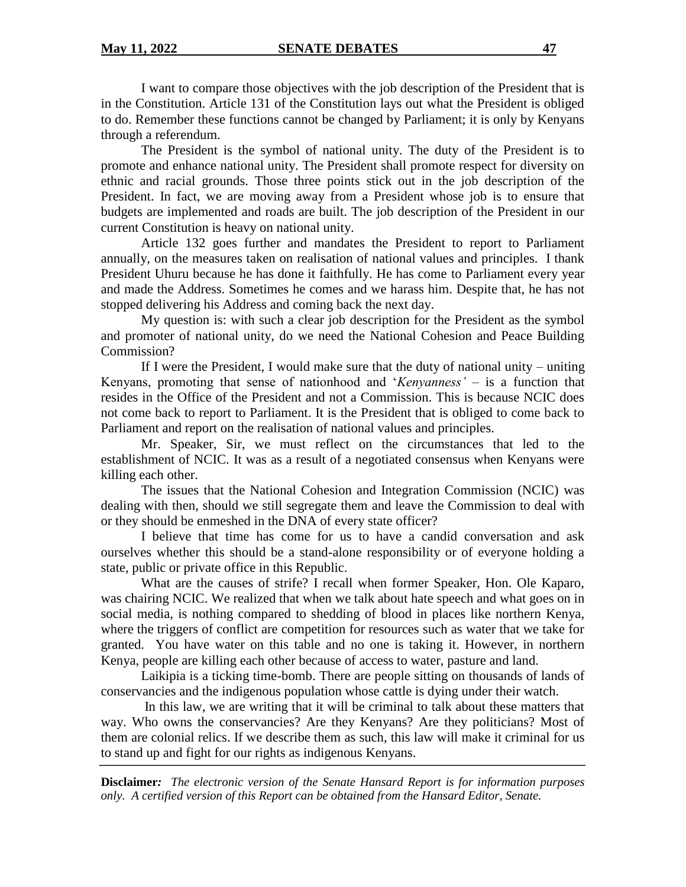I want to compare those objectives with the job description of the President that is in the Constitution. Article 131 of the Constitution lays out what the President is obliged to do. Remember these functions cannot be changed by Parliament; it is only by Kenyans through a referendum.

The President is the symbol of national unity. The duty of the President is to promote and enhance national unity. The President shall promote respect for diversity on ethnic and racial grounds. Those three points stick out in the job description of the President. In fact, we are moving away from a President whose job is to ensure that budgets are implemented and roads are built. The job description of the President in our current Constitution is heavy on national unity.

Article 132 goes further and mandates the President to report to Parliament annually, on the measures taken on realisation of national values and principles. I thank President Uhuru because he has done it faithfully. He has come to Parliament every year and made the Address. Sometimes he comes and we harass him. Despite that, he has not stopped delivering his Address and coming back the next day.

My question is: with such a clear job description for the President as the symbol and promoter of national unity, do we need the National Cohesion and Peace Building Commission?

If I were the President, I would make sure that the duty of national unity – uniting Kenyans, promoting that sense of nationhood and '*Kenyanness'* – is a function that resides in the Office of the President and not a Commission. This is because NCIC does not come back to report to Parliament. It is the President that is obliged to come back to Parliament and report on the realisation of national values and principles.

Mr. Speaker, Sir, we must reflect on the circumstances that led to the establishment of NCIC. It was as a result of a negotiated consensus when Kenyans were killing each other.

The issues that the National Cohesion and Integration Commission (NCIC) was dealing with then, should we still segregate them and leave the Commission to deal with or they should be enmeshed in the DNA of every state officer?

I believe that time has come for us to have a candid conversation and ask ourselves whether this should be a stand-alone responsibility or of everyone holding a state, public or private office in this Republic.

What are the causes of strife? I recall when former Speaker, Hon. Ole Kaparo, was chairing NCIC. We realized that when we talk about hate speech and what goes on in social media, is nothing compared to shedding of blood in places like northern Kenya, where the triggers of conflict are competition for resources such as water that we take for granted. You have water on this table and no one is taking it. However, in northern Kenya, people are killing each other because of access to water, pasture and land.

Laikipia is a ticking time-bomb. There are people sitting on thousands of lands of conservancies and the indigenous population whose cattle is dying under their watch.

In this law, we are writing that it will be criminal to talk about these matters that way. Who owns the conservancies? Are they Kenyans? Are they politicians? Most of them are colonial relics. If we describe them as such, this law will make it criminal for us to stand up and fight for our rights as indigenous Kenyans.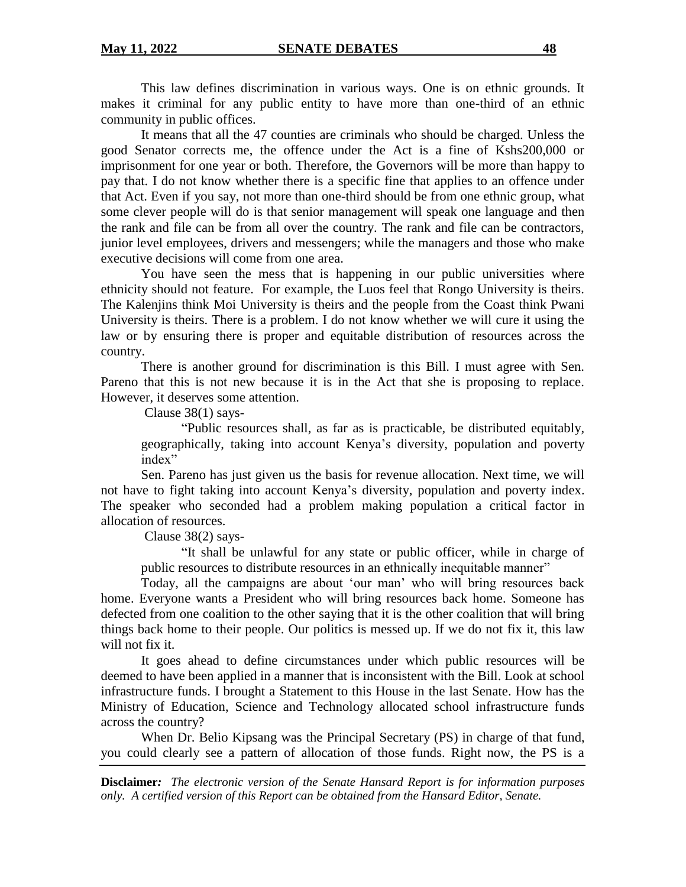This law defines discrimination in various ways. One is on ethnic grounds. It makes it criminal for any public entity to have more than one-third of an ethnic community in public offices.

It means that all the 47 counties are criminals who should be charged. Unless the good Senator corrects me, the offence under the Act is a fine of Kshs200,000 or imprisonment for one year or both. Therefore, the Governors will be more than happy to pay that. I do not know whether there is a specific fine that applies to an offence under that Act. Even if you say, not more than one-third should be from one ethnic group, what some clever people will do is that senior management will speak one language and then the rank and file can be from all over the country. The rank and file can be contractors, junior level employees, drivers and messengers; while the managers and those who make executive decisions will come from one area.

You have seen the mess that is happening in our public universities where ethnicity should not feature. For example, the Luos feel that Rongo University is theirs. The Kalenjins think Moi University is theirs and the people from the Coast think Pwani University is theirs. There is a problem. I do not know whether we will cure it using the law or by ensuring there is proper and equitable distribution of resources across the country.

There is another ground for discrimination is this Bill. I must agree with Sen. Pareno that this is not new because it is in the Act that she is proposing to replace. However, it deserves some attention.

Clause 38(1) says-

"Public resources shall, as far as is practicable, be distributed equitably, geographically, taking into account Kenya's diversity, population and poverty index"

Sen. Pareno has just given us the basis for revenue allocation. Next time, we will not have to fight taking into account Kenya's diversity, population and poverty index. The speaker who seconded had a problem making population a critical factor in allocation of resources.

Clause 38(2) says-

"It shall be unlawful for any state or public officer, while in charge of public resources to distribute resources in an ethnically inequitable manner"

Today, all the campaigns are about 'our man' who will bring resources back home. Everyone wants a President who will bring resources back home. Someone has defected from one coalition to the other saying that it is the other coalition that will bring things back home to their people. Our politics is messed up. If we do not fix it, this law will not fix it.

It goes ahead to define circumstances under which public resources will be deemed to have been applied in a manner that is inconsistent with the Bill. Look at school infrastructure funds. I brought a Statement to this House in the last Senate. How has the Ministry of Education, Science and Technology allocated school infrastructure funds across the country?

When Dr. Belio Kipsang was the Principal Secretary (PS) in charge of that fund, you could clearly see a pattern of allocation of those funds. Right now, the PS is a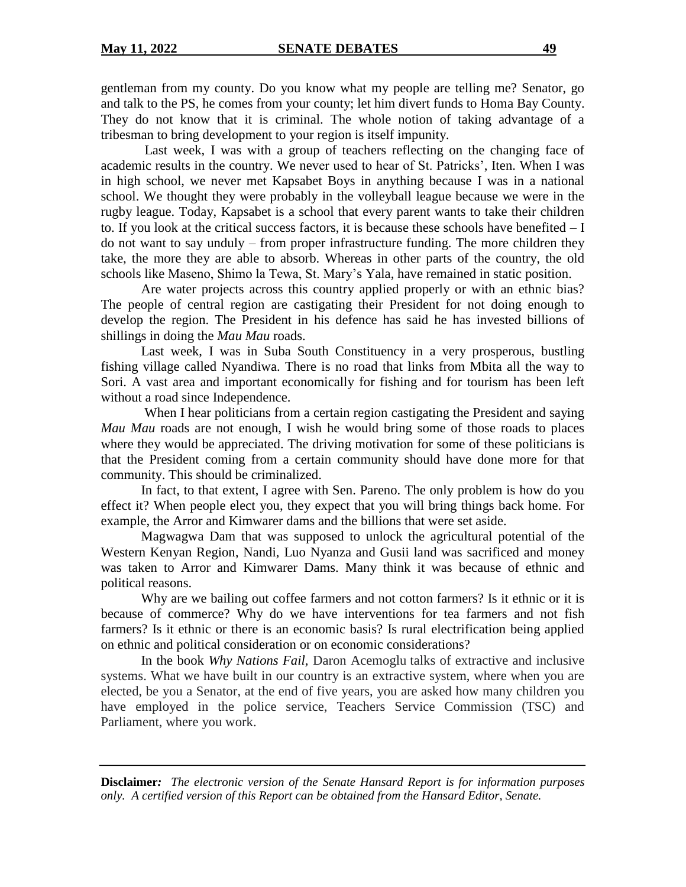gentleman from my county. Do you know what my people are telling me? Senator, go and talk to the PS, he comes from your county; let him divert funds to Homa Bay County. They do not know that it is criminal. The whole notion of taking advantage of a tribesman to bring development to your region is itself impunity.

Last week, I was with a group of teachers reflecting on the changing face of academic results in the country. We never used to hear of St. Patricks', Iten. When I was in high school, we never met Kapsabet Boys in anything because I was in a national school. We thought they were probably in the volleyball league because we were in the rugby league. Today, Kapsabet is a school that every parent wants to take their children to. If you look at the critical success factors, it is because these schools have benefited – I do not want to say unduly – from proper infrastructure funding. The more children they take, the more they are able to absorb. Whereas in other parts of the country, the old schools like Maseno, Shimo la Tewa, St. Mary's Yala, have remained in static position.

Are water projects across this country applied properly or with an ethnic bias? The people of central region are castigating their President for not doing enough to develop the region. The President in his defence has said he has invested billions of shillings in doing the *Mau Mau* roads.

Last week, I was in Suba South Constituency in a very prosperous, bustling fishing village called Nyandiwa. There is no road that links from Mbita all the way to Sori. A vast area and important economically for fishing and for tourism has been left without a road since Independence.

When I hear politicians from a certain region castigating the President and saying *Mau Mau* roads are not enough, I wish he would bring some of those roads to places where they would be appreciated. The driving motivation for some of these politicians is that the President coming from a certain community should have done more for that community. This should be criminalized.

In fact, to that extent, I agree with Sen. Pareno. The only problem is how do you effect it? When people elect you, they expect that you will bring things back home. For example, the Arror and Kimwarer dams and the billions that were set aside.

Magwagwa Dam that was supposed to unlock the agricultural potential of the Western Kenyan Region, Nandi, Luo Nyanza and Gusii land was sacrificed and money was taken to Arror and Kimwarer Dams. Many think it was because of ethnic and political reasons.

Why are we bailing out coffee farmers and not cotton farmers? Is it ethnic or it is because of commerce? Why do we have interventions for tea farmers and not fish farmers? Is it ethnic or there is an economic basis? Is rural electrification being applied on ethnic and political consideration or on economic considerations?

In the book *Why Nations Fail,* Daron Acemoglu talks of extractive and inclusive systems. What we have built in our country is an extractive system, where when you are elected, be you a Senator, at the end of five years, you are asked how many children you have employed in the police service, Teachers Service Commission (TSC) and Parliament, where you work.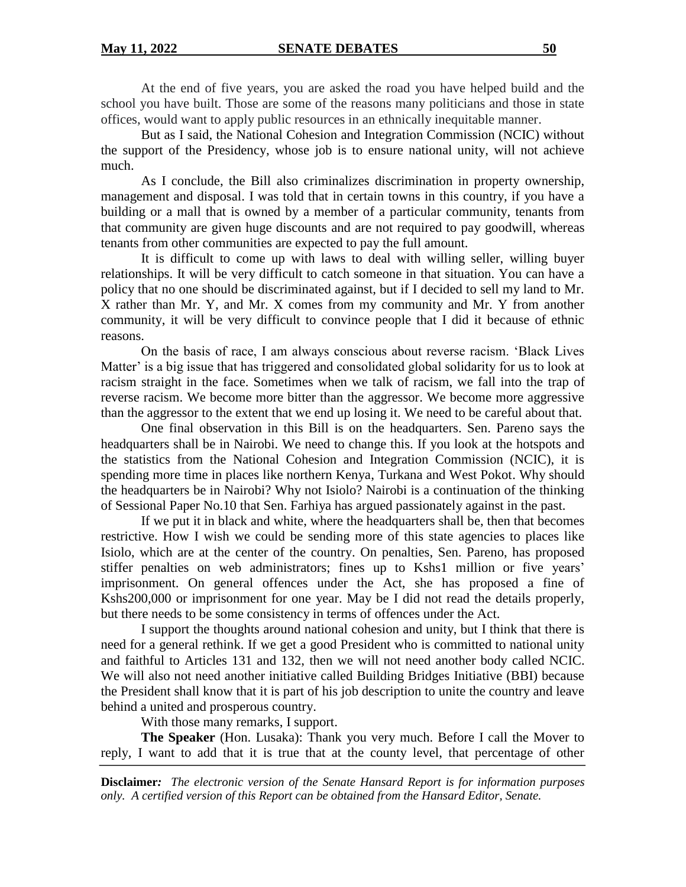At the end of five years, you are asked the road you have helped build and the school you have built. Those are some of the reasons many politicians and those in state offices, would want to apply public resources in an ethnically inequitable manner.

But as I said, the National Cohesion and Integration Commission (NCIC) without the support of the Presidency, whose job is to ensure national unity, will not achieve much.

As I conclude, the Bill also criminalizes discrimination in property ownership, management and disposal. I was told that in certain towns in this country, if you have a building or a mall that is owned by a member of a particular community, tenants from that community are given huge discounts and are not required to pay goodwill, whereas tenants from other communities are expected to pay the full amount.

It is difficult to come up with laws to deal with willing seller, willing buyer relationships. It will be very difficult to catch someone in that situation. You can have a policy that no one should be discriminated against, but if I decided to sell my land to Mr. X rather than Mr. Y, and Mr. X comes from my community and Mr. Y from another community, it will be very difficult to convince people that I did it because of ethnic reasons.

On the basis of race, I am always conscious about reverse racism. 'Black Lives Matter' is a big issue that has triggered and consolidated global solidarity for us to look at racism straight in the face. Sometimes when we talk of racism, we fall into the trap of reverse racism. We become more bitter than the aggressor. We become more aggressive than the aggressor to the extent that we end up losing it. We need to be careful about that.

One final observation in this Bill is on the headquarters. Sen. Pareno says the headquarters shall be in Nairobi. We need to change this. If you look at the hotspots and the statistics from the National Cohesion and Integration Commission (NCIC), it is spending more time in places like northern Kenya, Turkana and West Pokot. Why should the headquarters be in Nairobi? Why not Isiolo? Nairobi is a continuation of the thinking of Sessional Paper No.10 that Sen. Farhiya has argued passionately against in the past.

If we put it in black and white, where the headquarters shall be, then that becomes restrictive. How I wish we could be sending more of this state agencies to places like Isiolo, which are at the center of the country. On penalties, Sen. Pareno, has proposed stiffer penalties on web administrators; fines up to Kshs1 million or five years' imprisonment. On general offences under the Act, she has proposed a fine of Kshs200,000 or imprisonment for one year. May be I did not read the details properly, but there needs to be some consistency in terms of offences under the Act.

I support the thoughts around national cohesion and unity, but I think that there is need for a general rethink. If we get a good President who is committed to national unity and faithful to Articles 131 and 132, then we will not need another body called NCIC. We will also not need another initiative called Building Bridges Initiative (BBI) because the President shall know that it is part of his job description to unite the country and leave behind a united and prosperous country.

With those many remarks, I support.

**The Speaker** (Hon. Lusaka): Thank you very much. Before I call the Mover to reply, I want to add that it is true that at the county level, that percentage of other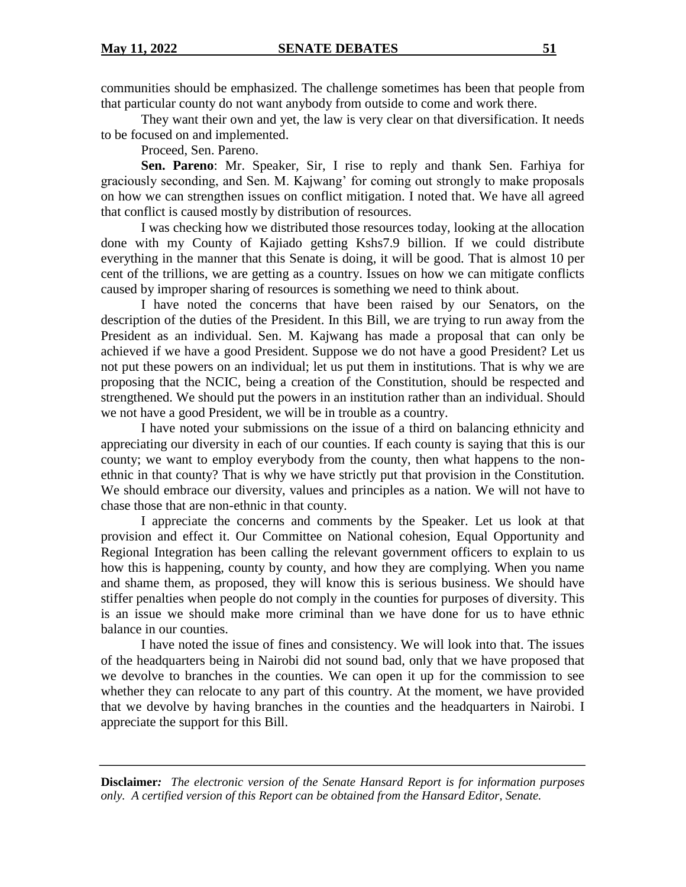communities should be emphasized. The challenge sometimes has been that people from that particular county do not want anybody from outside to come and work there.

They want their own and yet, the law is very clear on that diversification. It needs to be focused on and implemented.

Proceed, Sen. Pareno.

**Sen. Pareno**: Mr. Speaker, Sir, I rise to reply and thank Sen. Farhiya for graciously seconding, and Sen. M. Kajwang' for coming out strongly to make proposals on how we can strengthen issues on conflict mitigation. I noted that. We have all agreed that conflict is caused mostly by distribution of resources.

I was checking how we distributed those resources today, looking at the allocation done with my County of Kajiado getting Kshs7.9 billion. If we could distribute everything in the manner that this Senate is doing, it will be good. That is almost 10 per cent of the trillions, we are getting as a country. Issues on how we can mitigate conflicts caused by improper sharing of resources is something we need to think about.

I have noted the concerns that have been raised by our Senators, on the description of the duties of the President. In this Bill, we are trying to run away from the President as an individual. Sen. M. Kajwang has made a proposal that can only be achieved if we have a good President. Suppose we do not have a good President? Let us not put these powers on an individual; let us put them in institutions. That is why we are proposing that the NCIC, being a creation of the Constitution, should be respected and strengthened. We should put the powers in an institution rather than an individual. Should we not have a good President, we will be in trouble as a country.

I have noted your submissions on the issue of a third on balancing ethnicity and appreciating our diversity in each of our counties. If each county is saying that this is our county; we want to employ everybody from the county, then what happens to the nonethnic in that county? That is why we have strictly put that provision in the Constitution. We should embrace our diversity, values and principles as a nation. We will not have to chase those that are non-ethnic in that county.

I appreciate the concerns and comments by the Speaker. Let us look at that provision and effect it. Our Committee on National cohesion, Equal Opportunity and Regional Integration has been calling the relevant government officers to explain to us how this is happening, county by county, and how they are complying. When you name and shame them, as proposed, they will know this is serious business. We should have stiffer penalties when people do not comply in the counties for purposes of diversity. This is an issue we should make more criminal than we have done for us to have ethnic balance in our counties.

I have noted the issue of fines and consistency. We will look into that. The issues of the headquarters being in Nairobi did not sound bad, only that we have proposed that we devolve to branches in the counties. We can open it up for the commission to see whether they can relocate to any part of this country. At the moment, we have provided that we devolve by having branches in the counties and the headquarters in Nairobi. I appreciate the support for this Bill.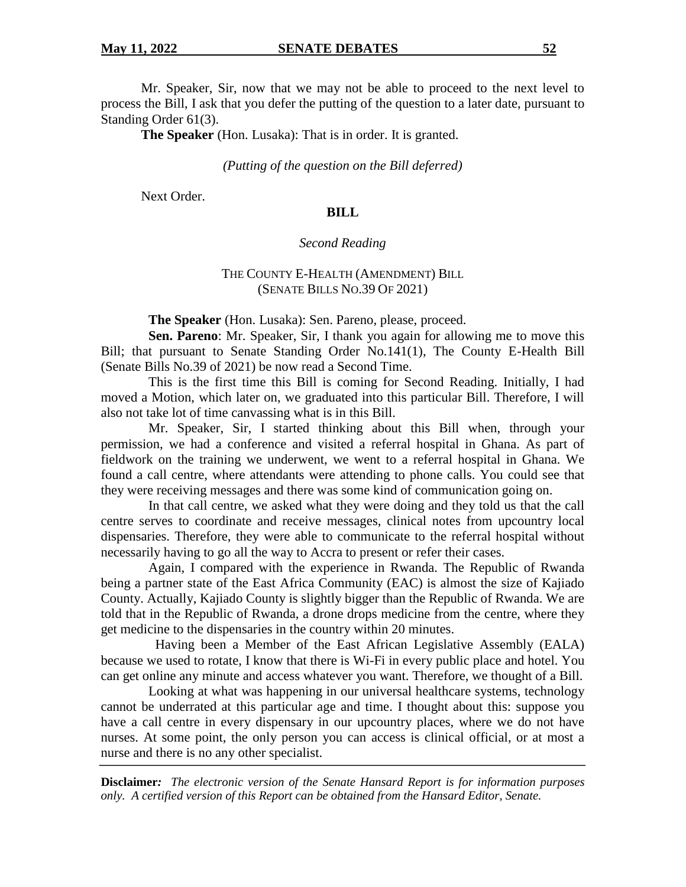Mr. Speaker, Sir, now that we may not be able to proceed to the next level to process the Bill, I ask that you defer the putting of the question to a later date, pursuant to Standing Order 61(3).

**The Speaker** (Hon. Lusaka): That is in order. It is granted.

#### *(Putting of the question on the Bill deferred)*

Next Order.

## **BILL**

#### *Second Reading*

## THE COUNTY E-HEALTH (AMENDMENT) BILL (SENATE BILLS NO.39 OF 2021)

**The Speaker** (Hon. Lusaka): Sen. Pareno, please, proceed.

**Sen. Pareno**: Mr. Speaker, Sir, I thank you again for allowing me to move this Bill; that pursuant to Senate Standing Order No.141(1), The County E-Health Bill (Senate Bills No.39 of 2021) be now read a Second Time.

This is the first time this Bill is coming for Second Reading. Initially, I had moved a Motion, which later on, we graduated into this particular Bill. Therefore, I will also not take lot of time canvassing what is in this Bill.

Mr. Speaker, Sir, I started thinking about this Bill when, through your permission, we had a conference and visited a referral hospital in Ghana. As part of fieldwork on the training we underwent, we went to a referral hospital in Ghana. We found a call centre, where attendants were attending to phone calls. You could see that they were receiving messages and there was some kind of communication going on.

In that call centre, we asked what they were doing and they told us that the call centre serves to coordinate and receive messages, clinical notes from upcountry local dispensaries. Therefore, they were able to communicate to the referral hospital without necessarily having to go all the way to Accra to present or refer their cases.

Again, I compared with the experience in Rwanda. The Republic of Rwanda being a partner state of the East Africa Community (EAC) is almost the size of Kajiado County. Actually, Kajiado County is slightly bigger than the Republic of Rwanda. We are told that in the Republic of Rwanda, a drone drops medicine from the centre, where they get medicine to the dispensaries in the country within 20 minutes.

 Having been a Member of the East African Legislative Assembly (EALA) because we used to rotate, I know that there is Wi-Fi in every public place and hotel. You can get online any minute and access whatever you want. Therefore, we thought of a Bill.

Looking at what was happening in our universal healthcare systems, technology cannot be underrated at this particular age and time. I thought about this: suppose you have a call centre in every dispensary in our upcountry places, where we do not have nurses. At some point, the only person you can access is clinical official, or at most a nurse and there is no any other specialist.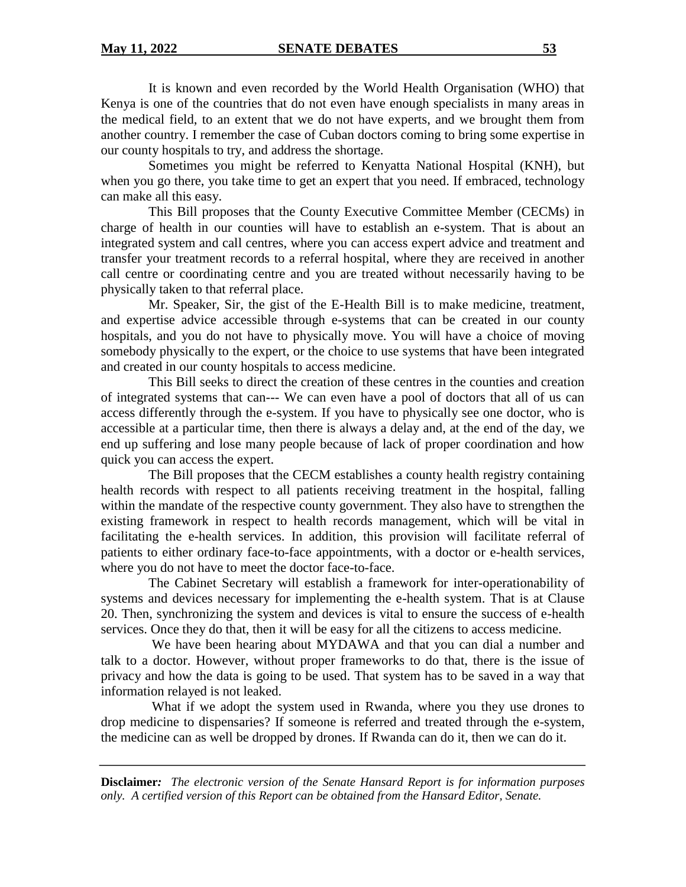It is known and even recorded by the World Health Organisation (WHO) that Kenya is one of the countries that do not even have enough specialists in many areas in the medical field, to an extent that we do not have experts, and we brought them from another country. I remember the case of Cuban doctors coming to bring some expertise in our county hospitals to try, and address the shortage.

Sometimes you might be referred to Kenyatta National Hospital (KNH), but when you go there, you take time to get an expert that you need. If embraced, technology can make all this easy.

This Bill proposes that the County Executive Committee Member (CECMs) in charge of health in our counties will have to establish an e-system. That is about an integrated system and call centres, where you can access expert advice and treatment and transfer your treatment records to a referral hospital, where they are received in another call centre or coordinating centre and you are treated without necessarily having to be physically taken to that referral place.

Mr. Speaker, Sir, the gist of the E-Health Bill is to make medicine, treatment, and expertise advice accessible through e-systems that can be created in our county hospitals, and you do not have to physically move. You will have a choice of moving somebody physically to the expert, or the choice to use systems that have been integrated and created in our county hospitals to access medicine.

This Bill seeks to direct the creation of these centres in the counties and creation of integrated systems that can--- We can even have a pool of doctors that all of us can access differently through the e-system. If you have to physically see one doctor, who is accessible at a particular time, then there is always a delay and, at the end of the day, we end up suffering and lose many people because of lack of proper coordination and how quick you can access the expert.

The Bill proposes that the CECM establishes a county health registry containing health records with respect to all patients receiving treatment in the hospital, falling within the mandate of the respective county government. They also have to strengthen the existing framework in respect to health records management, which will be vital in facilitating the e-health services. In addition, this provision will facilitate referral of patients to either ordinary face-to-face appointments, with a doctor or e-health services, where you do not have to meet the doctor face-to-face.

The Cabinet Secretary will establish a framework for inter-operationability of systems and devices necessary for implementing the e-health system. That is at Clause 20. Then, synchronizing the system and devices is vital to ensure the success of e-health services. Once they do that, then it will be easy for all the citizens to access medicine.

We have been hearing about MYDAWA and that you can dial a number and talk to a doctor. However, without proper frameworks to do that, there is the issue of privacy and how the data is going to be used. That system has to be saved in a way that information relayed is not leaked.

What if we adopt the system used in Rwanda, where you they use drones to drop medicine to dispensaries? If someone is referred and treated through the e-system, the medicine can as well be dropped by drones. If Rwanda can do it, then we can do it.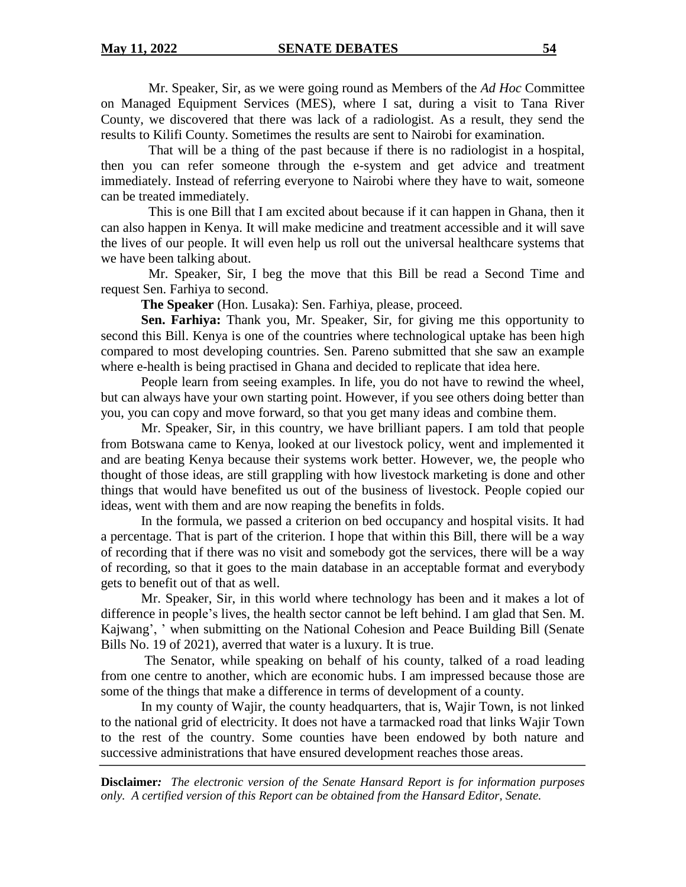Mr. Speaker, Sir, as we were going round as Members of the *Ad Hoc* Committee on Managed Equipment Services (MES), where I sat, during a visit to Tana River County, we discovered that there was lack of a radiologist. As a result, they send the results to Kilifi County. Sometimes the results are sent to Nairobi for examination.

That will be a thing of the past because if there is no radiologist in a hospital, then you can refer someone through the e-system and get advice and treatment immediately. Instead of referring everyone to Nairobi where they have to wait, someone can be treated immediately.

This is one Bill that I am excited about because if it can happen in Ghana, then it can also happen in Kenya. It will make medicine and treatment accessible and it will save the lives of our people. It will even help us roll out the universal healthcare systems that we have been talking about.

Mr. Speaker, Sir, I beg the move that this Bill be read a Second Time and request Sen. Farhiya to second.

**The Speaker** (Hon. Lusaka): Sen. Farhiya, please, proceed.

**Sen. Farhiya:** Thank you, Mr. Speaker, Sir, for giving me this opportunity to second this Bill. Kenya is one of the countries where technological uptake has been high compared to most developing countries. Sen. Pareno submitted that she saw an example where e-health is being practised in Ghana and decided to replicate that idea here.

People learn from seeing examples. In life, you do not have to rewind the wheel, but can always have your own starting point. However, if you see others doing better than you, you can copy and move forward, so that you get many ideas and combine them.

Mr. Speaker, Sir, in this country, we have brilliant papers. I am told that people from Botswana came to Kenya, looked at our livestock policy, went and implemented it and are beating Kenya because their systems work better. However, we, the people who thought of those ideas, are still grappling with how livestock marketing is done and other things that would have benefited us out of the business of livestock. People copied our ideas, went with them and are now reaping the benefits in folds.

In the formula, we passed a criterion on bed occupancy and hospital visits. It had a percentage. That is part of the criterion. I hope that within this Bill, there will be a way of recording that if there was no visit and somebody got the services, there will be a way of recording, so that it goes to the main database in an acceptable format and everybody gets to benefit out of that as well.

Mr. Speaker, Sir, in this world where technology has been and it makes a lot of difference in people's lives, the health sector cannot be left behind. I am glad that Sen. M. Kajwang', ' when submitting on the National Cohesion and Peace Building Bill (Senate Bills No. 19 of 2021), averred that water is a luxury. It is true.

The Senator, while speaking on behalf of his county, talked of a road leading from one centre to another, which are economic hubs. I am impressed because those are some of the things that make a difference in terms of development of a county.

In my county of Wajir, the county headquarters, that is, Wajir Town, is not linked to the national grid of electricity. It does not have a tarmacked road that links Wajir Town to the rest of the country. Some counties have been endowed by both nature and successive administrations that have ensured development reaches those areas.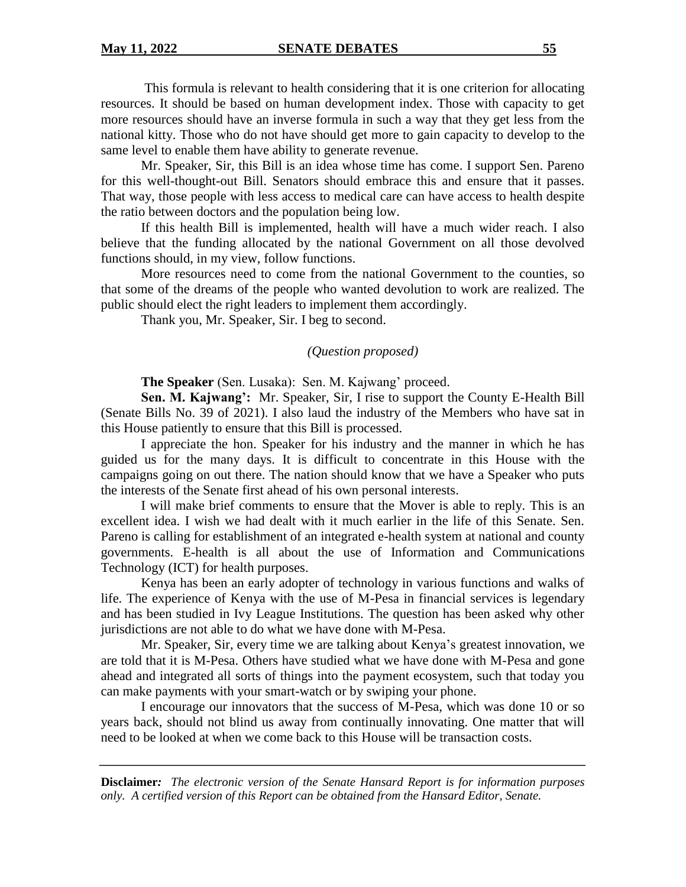This formula is relevant to health considering that it is one criterion for allocating resources. It should be based on human development index. Those with capacity to get more resources should have an inverse formula in such a way that they get less from the national kitty. Those who do not have should get more to gain capacity to develop to the same level to enable them have ability to generate revenue.

Mr. Speaker, Sir, this Bill is an idea whose time has come. I support Sen. Pareno for this well-thought-out Bill. Senators should embrace this and ensure that it passes. That way, those people with less access to medical care can have access to health despite the ratio between doctors and the population being low.

If this health Bill is implemented, health will have a much wider reach. I also believe that the funding allocated by the national Government on all those devolved functions should, in my view, follow functions.

More resources need to come from the national Government to the counties, so that some of the dreams of the people who wanted devolution to work are realized. The public should elect the right leaders to implement them accordingly.

Thank you, Mr. Speaker, Sir. I beg to second.

#### *(Question proposed)*

**The Speaker** (Sen. Lusaka): Sen. M. Kajwang' proceed.

**Sen. M. Kajwang':** Mr. Speaker, Sir, I rise to support the County E-Health Bill (Senate Bills No. 39 of 2021). I also laud the industry of the Members who have sat in this House patiently to ensure that this Bill is processed.

I appreciate the hon. Speaker for his industry and the manner in which he has guided us for the many days. It is difficult to concentrate in this House with the campaigns going on out there. The nation should know that we have a Speaker who puts the interests of the Senate first ahead of his own personal interests.

I will make brief comments to ensure that the Mover is able to reply. This is an excellent idea. I wish we had dealt with it much earlier in the life of this Senate. Sen. Pareno is calling for establishment of an integrated e-health system at national and county governments. E-health is all about the use of Information and Communications Technology (ICT) for health purposes.

Kenya has been an early adopter of technology in various functions and walks of life. The experience of Kenya with the use of M-Pesa in financial services is legendary and has been studied in Ivy League Institutions. The question has been asked why other jurisdictions are not able to do what we have done with M-Pesa.

Mr. Speaker, Sir, every time we are talking about Kenya's greatest innovation, we are told that it is M-Pesa. Others have studied what we have done with M-Pesa and gone ahead and integrated all sorts of things into the payment ecosystem, such that today you can make payments with your smart-watch or by swiping your phone.

I encourage our innovators that the success of M-Pesa, which was done 10 or so years back, should not blind us away from continually innovating. One matter that will need to be looked at when we come back to this House will be transaction costs.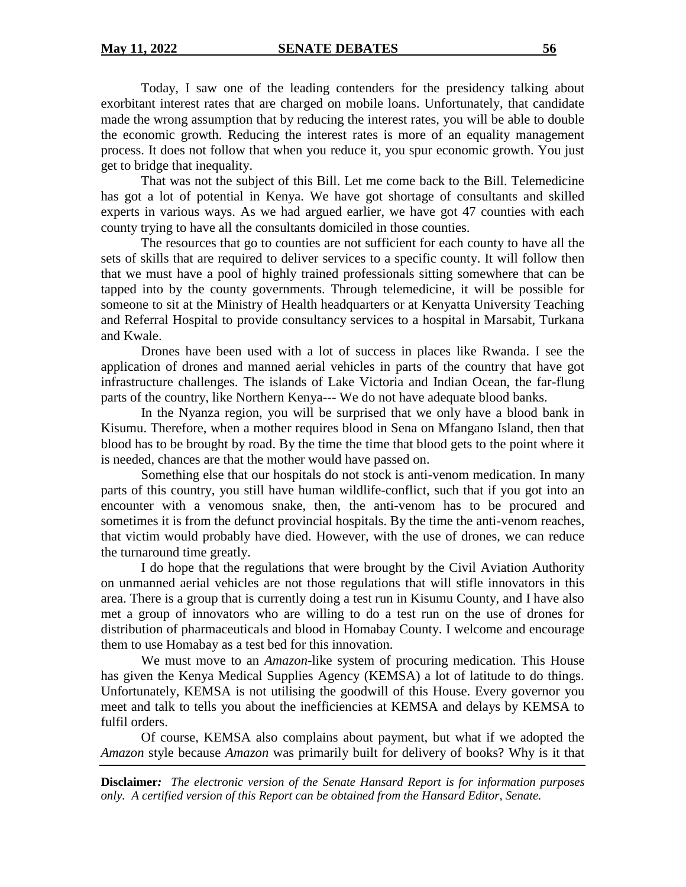Today, I saw one of the leading contenders for the presidency talking about exorbitant interest rates that are charged on mobile loans. Unfortunately, that candidate made the wrong assumption that by reducing the interest rates, you will be able to double the economic growth. Reducing the interest rates is more of an equality management process. It does not follow that when you reduce it, you spur economic growth. You just get to bridge that inequality.

That was not the subject of this Bill. Let me come back to the Bill. Telemedicine has got a lot of potential in Kenya. We have got shortage of consultants and skilled experts in various ways. As we had argued earlier, we have got 47 counties with each county trying to have all the consultants domiciled in those counties.

The resources that go to counties are not sufficient for each county to have all the sets of skills that are required to deliver services to a specific county. It will follow then that we must have a pool of highly trained professionals sitting somewhere that can be tapped into by the county governments. Through telemedicine, it will be possible for someone to sit at the Ministry of Health headquarters or at Kenyatta University Teaching and Referral Hospital to provide consultancy services to a hospital in Marsabit, Turkana and Kwale.

Drones have been used with a lot of success in places like Rwanda. I see the application of drones and manned aerial vehicles in parts of the country that have got infrastructure challenges. The islands of Lake Victoria and Indian Ocean, the far-flung parts of the country, like Northern Kenya--- We do not have adequate blood banks.

In the Nyanza region, you will be surprised that we only have a blood bank in Kisumu. Therefore, when a mother requires blood in Sena on Mfangano Island, then that blood has to be brought by road. By the time the time that blood gets to the point where it is needed, chances are that the mother would have passed on.

Something else that our hospitals do not stock is anti-venom medication. In many parts of this country, you still have human wildlife-conflict, such that if you got into an encounter with a venomous snake, then, the anti-venom has to be procured and sometimes it is from the defunct provincial hospitals. By the time the anti-venom reaches, that victim would probably have died. However, with the use of drones, we can reduce the turnaround time greatly.

I do hope that the regulations that were brought by the Civil Aviation Authority on unmanned aerial vehicles are not those regulations that will stifle innovators in this area. There is a group that is currently doing a test run in Kisumu County, and I have also met a group of innovators who are willing to do a test run on the use of drones for distribution of pharmaceuticals and blood in Homabay County. I welcome and encourage them to use Homabay as a test bed for this innovation.

We must move to an *Amazon*-like system of procuring medication. This House has given the Kenya Medical Supplies Agency (KEMSA) a lot of latitude to do things. Unfortunately, KEMSA is not utilising the goodwill of this House. Every governor you meet and talk to tells you about the inefficiencies at KEMSA and delays by KEMSA to fulfil orders.

Of course, KEMSA also complains about payment, but what if we adopted the *Amazon* style because *Amazon* was primarily built for delivery of books? Why is it that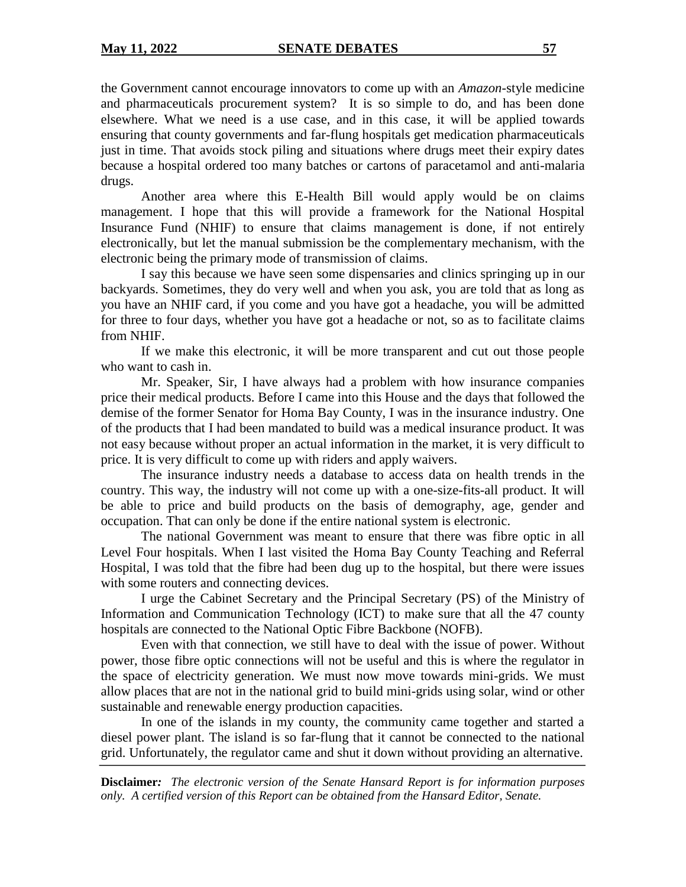the Government cannot encourage innovators to come up with an *Amazon*-style medicine and pharmaceuticals procurement system? It is so simple to do, and has been done elsewhere. What we need is a use case, and in this case, it will be applied towards ensuring that county governments and far-flung hospitals get medication pharmaceuticals just in time. That avoids stock piling and situations where drugs meet their expiry dates because a hospital ordered too many batches or cartons of paracetamol and anti-malaria drugs.

Another area where this E-Health Bill would apply would be on claims management. I hope that this will provide a framework for the National Hospital Insurance Fund (NHIF) to ensure that claims management is done, if not entirely electronically, but let the manual submission be the complementary mechanism, with the electronic being the primary mode of transmission of claims.

I say this because we have seen some dispensaries and clinics springing up in our backyards. Sometimes, they do very well and when you ask, you are told that as long as you have an NHIF card, if you come and you have got a headache, you will be admitted for three to four days, whether you have got a headache or not, so as to facilitate claims from NHIF.

If we make this electronic, it will be more transparent and cut out those people who want to cash in.

Mr. Speaker, Sir, I have always had a problem with how insurance companies price their medical products. Before I came into this House and the days that followed the demise of the former Senator for Homa Bay County, I was in the insurance industry. One of the products that I had been mandated to build was a medical insurance product. It was not easy because without proper an actual information in the market, it is very difficult to price. It is very difficult to come up with riders and apply waivers.

The insurance industry needs a database to access data on health trends in the country. This way, the industry will not come up with a one-size-fits-all product. It will be able to price and build products on the basis of demography, age, gender and occupation. That can only be done if the entire national system is electronic.

The national Government was meant to ensure that there was fibre optic in all Level Four hospitals. When I last visited the Homa Bay County Teaching and Referral Hospital, I was told that the fibre had been dug up to the hospital, but there were issues with some routers and connecting devices.

I urge the Cabinet Secretary and the Principal Secretary (PS) of the Ministry of Information and Communication Technology (ICT) to make sure that all the 47 county hospitals are connected to the National Optic Fibre Backbone (NOFB).

Even with that connection, we still have to deal with the issue of power. Without power, those fibre optic connections will not be useful and this is where the regulator in the space of electricity generation. We must now move towards mini-grids. We must allow places that are not in the national grid to build mini-grids using solar, wind or other sustainable and renewable energy production capacities.

In one of the islands in my county, the community came together and started a diesel power plant. The island is so far-flung that it cannot be connected to the national grid. Unfortunately, the regulator came and shut it down without providing an alternative.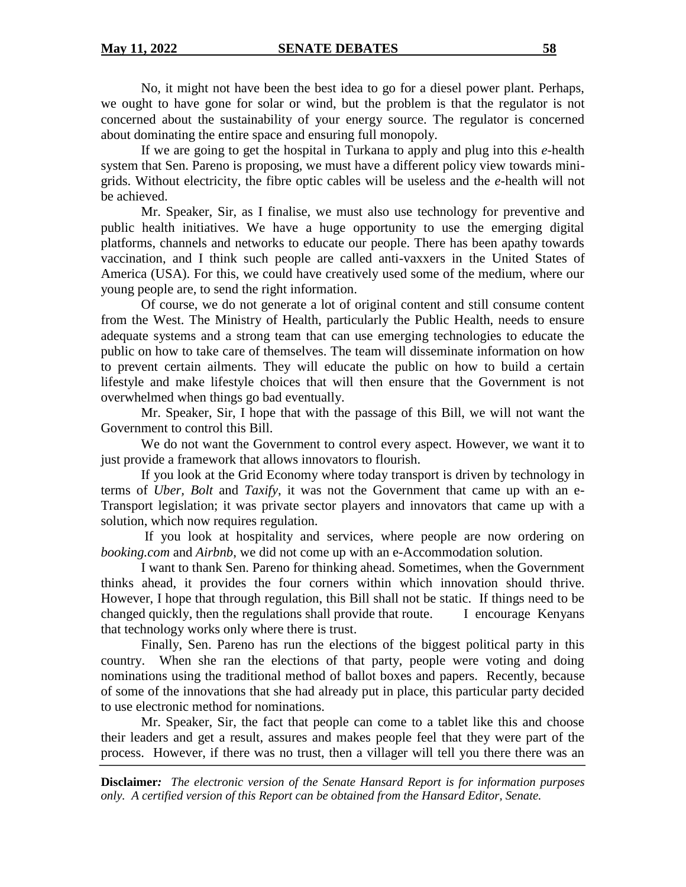No, it might not have been the best idea to go for a diesel power plant. Perhaps, we ought to have gone for solar or wind, but the problem is that the regulator is not concerned about the sustainability of your energy source. The regulator is concerned about dominating the entire space and ensuring full monopoly.

If we are going to get the hospital in Turkana to apply and plug into this *e*-health system that Sen. Pareno is proposing, we must have a different policy view towards minigrids. Without electricity, the fibre optic cables will be useless and the *e*-health will not be achieved.

Mr. Speaker, Sir, as I finalise, we must also use technology for preventive and public health initiatives. We have a huge opportunity to use the emerging digital platforms, channels and networks to educate our people. There has been apathy towards vaccination, and I think such people are called anti-vaxxers in the United States of America (USA). For this, we could have creatively used some of the medium, where our young people are, to send the right information.

Of course, we do not generate a lot of original content and still consume content from the West. The Ministry of Health, particularly the Public Health, needs to ensure adequate systems and a strong team that can use emerging technologies to educate the public on how to take care of themselves. The team will disseminate information on how to prevent certain ailments. They will educate the public on how to build a certain lifestyle and make lifestyle choices that will then ensure that the Government is not overwhelmed when things go bad eventually.

Mr. Speaker, Sir, I hope that with the passage of this Bill, we will not want the Government to control this Bill.

We do not want the Government to control every aspect. However, we want it to just provide a framework that allows innovators to flourish.

If you look at the Grid Economy where today transport is driven by technology in terms of *Uber, Bolt* and *Taxify*, it was not the Government that came up with an e-Transport legislation; it was private sector players and innovators that came up with a solution, which now requires regulation.

If you look at hospitality and services, where people are now ordering on *booking.com* and *Airbnb*, we did not come up with an e-Accommodation solution.

I want to thank Sen. Pareno for thinking ahead. Sometimes, when the Government thinks ahead, it provides the four corners within which innovation should thrive. However, I hope that through regulation, this Bill shall not be static. If things need to be changed quickly, then the regulations shall provide that route. I encourage Kenyans that technology works only where there is trust.

 Finally, Sen. Pareno has run the elections of the biggest political party in this country. When she ran the elections of that party, people were voting and doing nominations using the traditional method of ballot boxes and papers. Recently, because of some of the innovations that she had already put in place, this particular party decided to use electronic method for nominations.

Mr. Speaker, Sir, the fact that people can come to a tablet like this and choose their leaders and get a result, assures and makes people feel that they were part of the process. However, if there was no trust, then a villager will tell you there there was an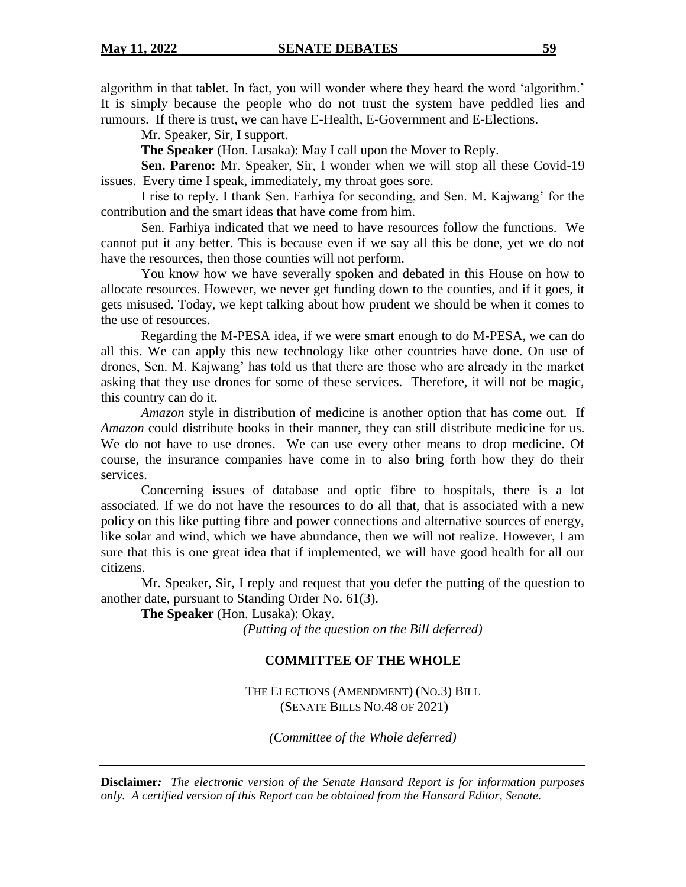algorithm in that tablet. In fact, you will wonder where they heard the word 'algorithm.' It is simply because the people who do not trust the system have peddled lies and rumours. If there is trust, we can have E-Health, E-Government and E-Elections.

Mr. Speaker, Sir, I support.

**The Speaker** (Hon. Lusaka): May I call upon the Mover to Reply.

**Sen. Pareno:** Mr. Speaker, Sir, I wonder when we will stop all these Covid-19 issues. Every time I speak, immediately, my throat goes sore.

I rise to reply. I thank Sen. Farhiya for seconding, and Sen. M. Kajwang' for the contribution and the smart ideas that have come from him.

Sen. Farhiya indicated that we need to have resources follow the functions. We cannot put it any better. This is because even if we say all this be done, yet we do not have the resources, then those counties will not perform.

You know how we have severally spoken and debated in this House on how to allocate resources. However, we never get funding down to the counties, and if it goes, it gets misused. Today, we kept talking about how prudent we should be when it comes to the use of resources.

Regarding the M-PESA idea, if we were smart enough to do M-PESA, we can do all this. We can apply this new technology like other countries have done. On use of drones, Sen. M. Kajwang' has told us that there are those who are already in the market asking that they use drones for some of these services. Therefore, it will not be magic, this country can do it.

*Amazon* style in distribution of medicine is another option that has come out. If *Amazon* could distribute books in their manner, they can still distribute medicine for us. We do not have to use drones. We can use every other means to drop medicine. Of course, the insurance companies have come in to also bring forth how they do their services.

Concerning issues of database and optic fibre to hospitals, there is a lot associated. If we do not have the resources to do all that, that is associated with a new policy on this like putting fibre and power connections and alternative sources of energy, like solar and wind, which we have abundance, then we will not realize. However, I am sure that this is one great idea that if implemented, we will have good health for all our citizens.

Mr. Speaker, Sir, I reply and request that you defer the putting of the question to another date, pursuant to Standing Order No. 61(3).

**The Speaker** (Hon. Lusaka): Okay.

*(Putting of the question on the Bill deferred)*

## **COMMITTEE OF THE WHOLE**

THE ELECTIONS (AMENDMENT) (NO.3) BILL (SENATE BILLS NO.48 OF 2021)

*(Committee of the Whole deferred)*